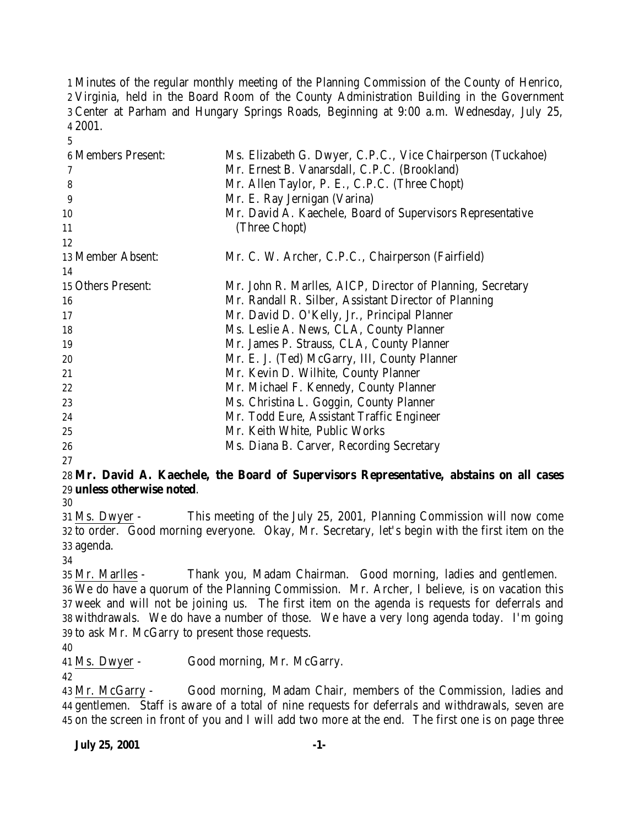Minutes of the regular monthly meeting of the Planning Commission of the County of Henrico, Virginia, held in the Board Room of the County Administration Building in the Government Center at Parham and Hungary Springs Roads, Beginning at 9:00 a.m. Wednesday, July 25, 2001.

| 6 Members Present: | Ms. Elizabeth G. Dwyer, C.P.C., Vice Chairperson (Tuckahoe) |
|--------------------|-------------------------------------------------------------|
|                    | Mr. Ernest B. Vanarsdall, C.P.C. (Brookland)                |
| 8                  | Mr. Allen Taylor, P. E., C.P.C. (Three Chopt)               |
| 9                  | Mr. E. Ray Jernigan (Varina)                                |
| 10                 | Mr. David A. Kaechele, Board of Supervisors Representative  |
| 11                 | (Three Chopt)                                               |
| 12                 |                                                             |
| 13 Member Absent:  | Mr. C. W. Archer, C.P.C., Chairperson (Fairfield)           |
| 14                 |                                                             |
| 15 Others Present: | Mr. John R. Marlles, AICP, Director of Planning, Secretary  |
| 16                 | Mr. Randall R. Silber, Assistant Director of Planning       |
| 17                 | Mr. David D. O'Kelly, Jr., Principal Planner                |
| 18                 | Ms. Leslie A. News, CLA, County Planner                     |
| 19                 | Mr. James P. Strauss, CLA, County Planner                   |
| 20                 | Mr. E. J. (Ted) McGarry, III, County Planner                |
| 21                 | Mr. Kevin D. Wilhite, County Planner                        |
| 22                 | Mr. Michael F. Kennedy, County Planner                      |
| 23                 | Ms. Christina L. Goggin, County Planner                     |
| 24                 | Mr. Todd Eure, Assistant Traffic Engineer                   |
| 25                 | Mr. Keith White, Public Works                               |
| 26                 | Ms. Diana B. Carver, Recording Secretary                    |

# **Mr. David A. Kaechele, the Board of Supervisors Representative, abstains on all cases unless otherwise noted**.

 Ms. Dwyer - This meeting of the July 25, 2001, Planning Commission will now come to order. Good morning everyone. Okay, Mr. Secretary, let's begin with the first item on the agenda.

 Mr. Marlles - Thank you, Madam Chairman. Good morning, ladies and gentlemen. We do have a quorum of the Planning Commission. Mr. Archer, I believe, is on vacation this week and will not be joining us. The first item on the agenda is requests for deferrals and withdrawals. We do have a number of those. We have a very long agenda today. I'm going to ask Mr. McGarry to present those requests.

Ms. Dwyer - Good morning, Mr. McGarry.

 Mr. McGarry - Good morning, Madam Chair, members of the Commission, ladies and gentlemen. Staff is aware of a total of nine requests for deferrals and withdrawals, seven are on the screen in front of you and I will add two more at the end. The first one is on page three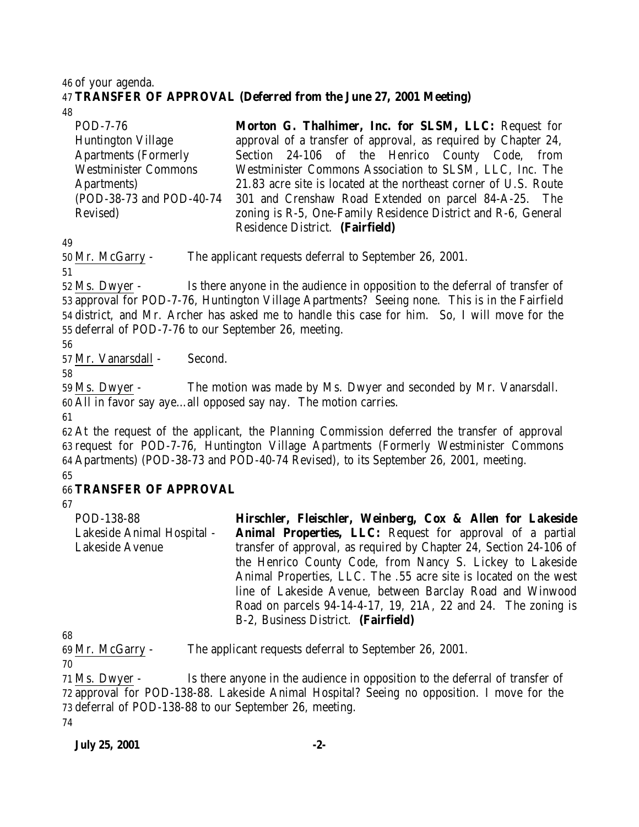#### 46 of your agenda.

# 47 **TRANSFER OF APPROVAL (Deferred from the June 27, 2001 Meeting)**

48

| POD-7-76                    | Morton G. Thalhimer, Inc. for SLSM, LLC: Request for             |
|-----------------------------|------------------------------------------------------------------|
| <b>Huntington Village</b>   | approval of a transfer of approval, as required by Chapter 24,   |
| <b>Apartments (Formerly</b> | Section 24-106 of the Henrico County Code, from                  |
| <b>Westminister Commons</b> | Westminister Commons Association to SLSM, LLC, Inc. The          |
| Apartments)                 | 21.83 acre site is located at the northeast corner of U.S. Route |
| (POD-38-73 and POD-40-74    | 301 and Crenshaw Road Extended on parcel 84-A-25. The            |
| Revised)                    | zoning is R-5, One-Family Residence District and R-6, General    |
|                             | Residence District. (Fairfield)                                  |

49

50 Mr. McGarry - The applicant requests deferral to September 26, 2001.

51

 Ms. Dwyer - Is there anyone in the audience in opposition to the deferral of transfer of approval for POD-7-76, Huntington Village Apartments? Seeing none. This is in the Fairfield district, and Mr. Archer has asked me to handle this case for him. So, I will move for the deferral of POD-7-76 to our September 26, meeting.

56

57 Mr. Vanarsdall - Second.

58

59 Ms. Dwyer - The motion was made by Ms. Dwyer and seconded by Mr. Vanarsdall. 60 All in favor say aye…all opposed say nay. The motion carries.

61

 At the request of the applicant, the Planning Commission deferred the transfer of approval request for POD-7-76, Huntington Village Apartments (Formerly Westminister Commons Apartments) (POD-38-73 and POD-40-74 Revised), to its September 26, 2001, meeting. 65

# 66 **TRANSFER OF APPROVAL**

67

POD-138-88 Lakeside Animal Hospital - Lakeside Avenue **Hirschler, Fleischler, Weinberg, Cox & Allen for Lakeside Animal Properties, LLC:** Request for approval of a partial transfer of approval, as required by Chapter 24, Section 24-106 of the Henrico County Code, from Nancy S. Lickey to Lakeside Animal Properties, LLC. The .55 acre site is located on the west line of Lakeside Avenue, between Barclay Road and Winwood Road on parcels 94-14-4-17, 19, 21A, 22 and 24. The zoning is B-2, Business District. **(Fairfield)**

68

69 Mr. McGarry - The applicant requests deferral to September 26, 2001.

70

 Ms. Dwyer - Is there anyone in the audience in opposition to the deferral of transfer of approval for POD-138-88. Lakeside Animal Hospital? Seeing no opposition. I move for the deferral of POD-138-88 to our September 26, meeting. 74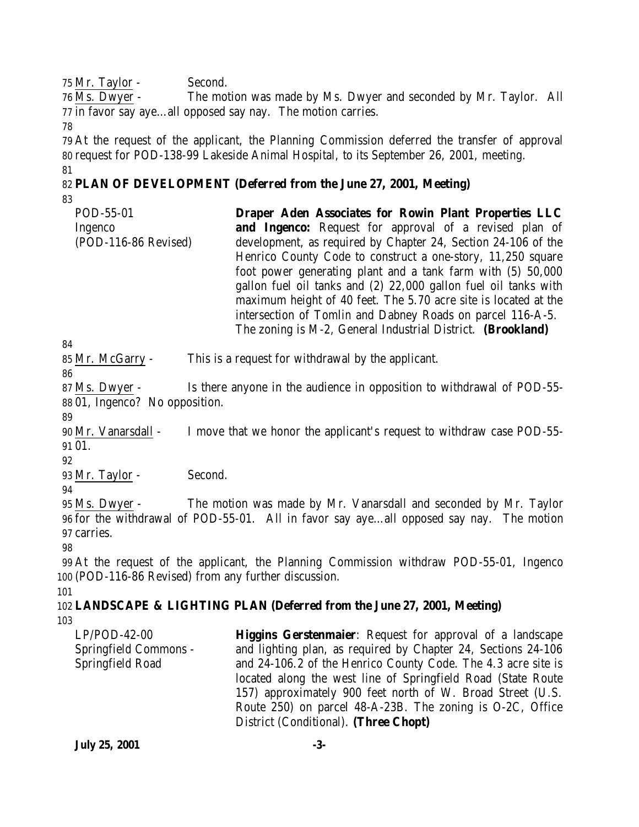75 Mr. Taylor - Second.

76 Ms. Dwyer - The motion was made by Ms. Dwyer and seconded by Mr. Taylor. All 77 in favor say aye…all opposed say nay. The motion carries. 78

79 At the request of the applicant, the Planning Commission deferred the transfer of approval 80 request for POD-138-99 Lakeside Animal Hospital, to its September 26, 2001, meeting. 81

### 82 **PLAN OF DEVELOPMENT (Deferred from the June 27, 2001, Meeting)** 83

| POD-55-01            | Draper Aden Associates for Rowin Plant Properties LLC           |
|----------------------|-----------------------------------------------------------------|
| Ingenco              | <b>and Ingenco:</b> Request for approval of a revised plan of   |
| (POD-116-86 Revised) | development, as required by Chapter 24, Section 24-106 of the   |
|                      | Henrico County Code to construct a one-story, 11,250 square     |
|                      | foot power generating plant and a tank farm with (5) 50,000     |
|                      | gallon fuel oil tanks and (2) 22,000 gallon fuel oil tanks with |
|                      | maximum height of 40 feet. The 5.70 acre site is located at the |
|                      | intersection of Tomlin and Dabney Roads on parcel 116-A-5.      |
|                      | The zoning is M-2, General Industrial District. (Brookland)     |

84

85 Mr. McGarry - This is a request for withdrawal by the applicant.

86

87 Ms. Dwyer - Is there anyone in the audience in opposition to withdrawal of POD-55- 88 01, Ingenco? No opposition.

89

90 Mr. Vanarsdall - I move that we honor the applicant's request to withdraw case POD-55- 91 01.

92

93 Mr. Taylor - Second.

94

95 Ms. Dwyer - The motion was made by Mr. Vanarsdall and seconded by Mr. Taylor 96 for the withdrawal of POD-55-01. All in favor say aye…all opposed say nay. The motion 97 carries.

98

99 At the request of the applicant, the Planning Commission withdraw POD-55-01, Ingenco 100 (POD-116-86 Revised) from any further discussion.

101

#### 102 **LANDSCAPE & LIGHTING PLAN (Deferred from the June 27, 2001, Meeting)** 103

LP/POD-42-00 Springfield Commons - Springfield Road

**Higgins Gerstenmaier**: Request for approval of a landscape and lighting plan, as required by Chapter 24, Sections 24-106 and 24-106.2 of the Henrico County Code. The 4.3 acre site is located along the west line of Springfield Road (State Route 157) approximately 900 feet north of W. Broad Street (U.S. Route 250) on parcel 48-A-23B. The zoning is O-2C, Office District (Conditional). **(Three Chopt)**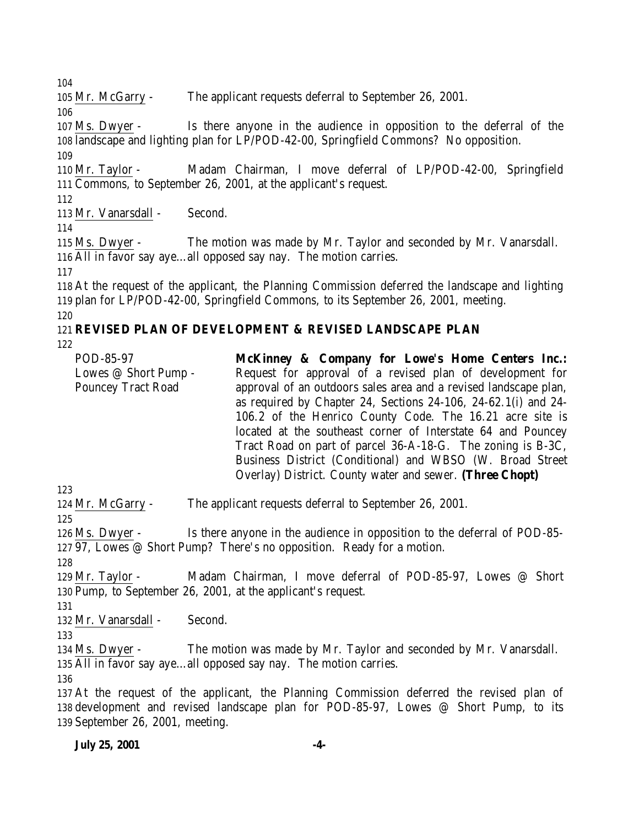Mr. McGarry - The applicant requests deferral to September 26, 2001.

 Ms. Dwyer - Is there anyone in the audience in opposition to the deferral of the landscape and lighting plan for LP/POD-42-00, Springfield Commons? No opposition. 

 Mr. Taylor - Madam Chairman, I move deferral of LP/POD-42-00, Springfield Commons, to September 26, 2001, at the applicant's request.

Mr. Vanarsdall - Second.

 Ms. Dwyer - The motion was made by Mr. Taylor and seconded by Mr. Vanarsdall. All in favor say aye…all opposed say nay. The motion carries.

 At the request of the applicant, the Planning Commission deferred the landscape and lighting plan for LP/POD-42-00, Springfield Commons, to its September 26, 2001, meeting.

# 

# **REVISED PLAN OF DEVELOPMENT & REVISED LANDSCAPE PLAN**

| POD-85-97                                         | McKinney & Company for Lowe's Home Centers Inc.:                                                                              |
|---------------------------------------------------|-------------------------------------------------------------------------------------------------------------------------------|
| Lowes @ Short Pump -<br><b>Pouncey Tract Road</b> | Request for approval of a revised plan of development for<br>approval of an outdoors sales area and a revised landscape plan, |
|                                                   | as required by Chapter 24, Sections $24-106$ , $24-62.1(i)$ and $24-$                                                         |
|                                                   | 106.2 of the Henrico County Code. The 16.21 acre site is                                                                      |
|                                                   | located at the southeast corner of Interstate 64 and Pouncey                                                                  |
|                                                   | Tract Road on part of parcel 36-A-18-G. The zoning is B-3C,                                                                   |
|                                                   | Business District (Conditional) and WBSO (W. Broad Street                                                                     |
|                                                   | Overlay) District. County water and sewer. (Three Chopt)                                                                      |

Mr. McGarry - The applicant requests deferral to September 26, 2001.

126 Ms. Dwyer - Is there anyone in the audience in opposition to the deferral of POD-85-97, Lowes @ Short Pump? There's no opposition. Ready for a motion.

 Mr. Taylor - Madam Chairman, I move deferral of POD-85-97, Lowes @ Short Pump, to September 26, 2001, at the applicant's request.

Mr. Vanarsdall - Second.

 Ms. Dwyer - The motion was made by Mr. Taylor and seconded by Mr. Vanarsdall. All in favor say aye…all opposed say nay. The motion carries.

 At the request of the applicant, the Planning Commission deferred the revised plan of development and revised landscape plan for POD-85-97, Lowes @ Short Pump, to its September 26, 2001, meeting.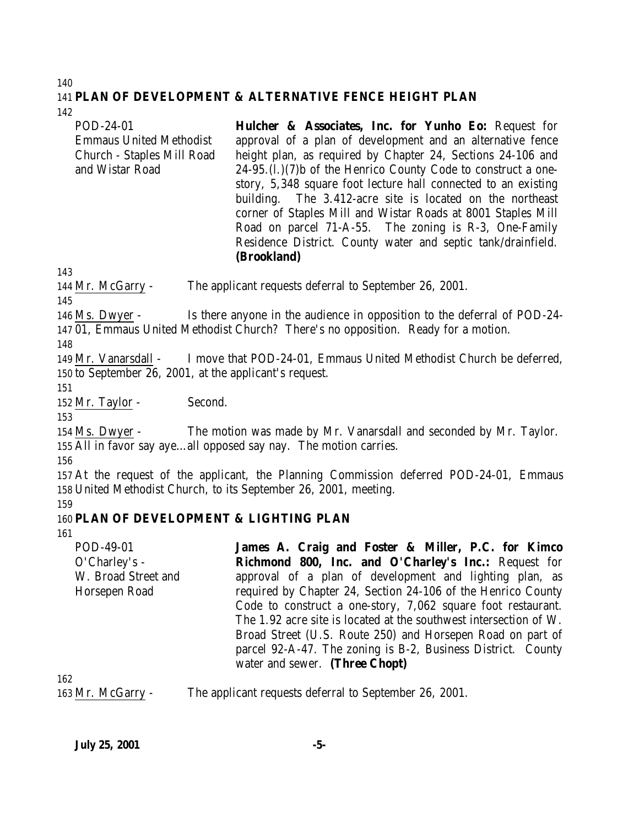#### 140 141 **PLAN OF DEVELOPMENT & ALTERNATIVE FENCE HEIGHT PLAN**

142

POD-24-01 Emmaus United Methodist Church - Staples Mill Road and Wistar Road **Hulcher & Associates, Inc. for Yunho Eo:** Request for approval of a plan of development and an alternative fence height plan, as required by Chapter 24, Sections 24-106 and 24-95.(l.)(7)b of the Henrico County Code to construct a onestory, 5,348 square foot lecture hall connected to an existing building. The 3.412-acre site is located on the northeast corner of Staples Mill and Wistar Roads at 8001 Staples Mill Road on parcel 71-A-55. The zoning is R-3, One-Family Residence District. County water and septic tank/drainfield. **(Brookland)**

144 Mr. McGarry - The applicant requests deferral to September 26, 2001.

145

143

146 Ms. Dwyer - Is there anyone in the audience in opposition to the deferral of POD-24- 147 01, Emmaus United Methodist Church? There's no opposition. Ready for a motion.

148

149 Mr. Vanarsdall - I move that POD-24-01, Emmaus United Methodist Church be deferred, 150 to September 26, 2001, at the applicant's request.

151

152 Mr. Taylor - Second.

153

154 Ms. Dwyer - The motion was made by Mr. Vanarsdall and seconded by Mr. Taylor. 155 All in favor say aye…all opposed say nay. The motion carries.

156

157 At the request of the applicant, the Planning Commission deferred POD-24-01, Emmaus 158 United Methodist Church, to its September 26, 2001, meeting.

159

# 160 **PLAN OF DEVELOPMENT & LIGHTING PLAN**

161

POD-49-01 O'Charley's - W. Broad Street and Horsepen Road **James A. Craig and Foster & Miller, P.C. for Kimco Richmond 800, Inc. and O'Charley's Inc.:** Request for approval of a plan of development and lighting plan, as required by Chapter 24, Section 24-106 of the Henrico County Code to construct a one-story, 7,062 square foot restaurant. The 1.92 acre site is located at the southwest intersection of W. Broad Street (U.S. Route 250) and Horsepen Road on part of parcel 92-A-47. The zoning is B-2, Business District. County water and sewer. **(Three Chopt)**

162

163 Mr. McGarry - The applicant requests deferral to September 26, 2001.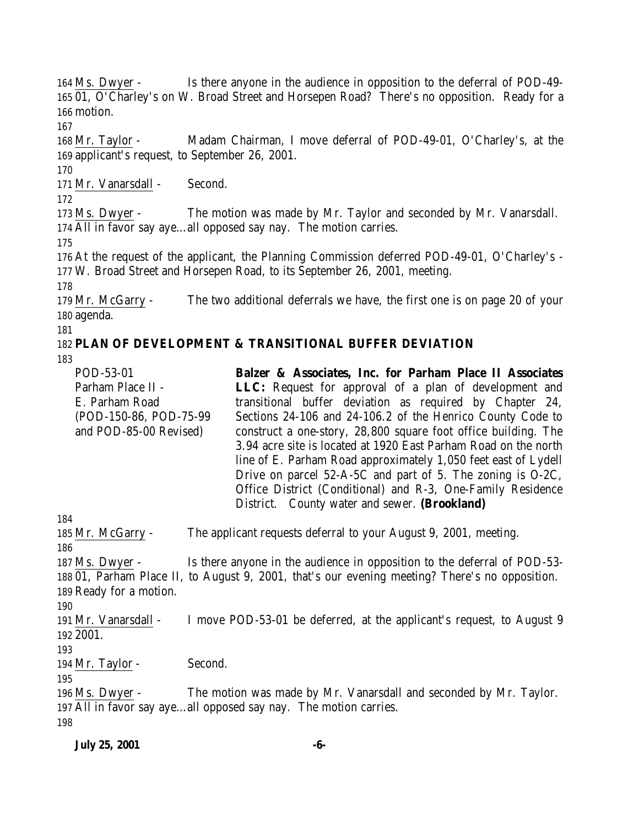Ms. Dwyer - Is there anyone in the audience in opposition to the deferral of POD-49- 01, O'Charley's on W. Broad Street and Horsepen Road? There's no opposition. Ready for a motion. Mr. Taylor - Madam Chairman, I move deferral of POD-49-01, O'Charley's, at the applicant's request, to September 26, 2001. Mr. Vanarsdall - Second. Ms. Dwyer - The motion was made by Mr. Taylor and seconded by Mr. Vanarsdall. All in favor say aye…all opposed say nay. The motion carries. At the request of the applicant, the Planning Commission deferred POD-49-01, O'Charley's - W. Broad Street and Horsepen Road, to its September 26, 2001, meeting. Mr. McGarry - The two additional deferrals we have, the first one is on page 20 of your agenda. **PLAN OF DEVELOPMENT & TRANSITIONAL BUFFER DEVIATION** POD-53-01 Parham Place II - E. Parham Road (POD-150-86, POD-75-99 and POD-85-00 Revised) **Balzer & Associates, Inc. for Parham Place II Associates LLC:** Request for approval of a plan of development and transitional buffer deviation as required by Chapter 24, Sections 24-106 and 24-106.2 of the Henrico County Code to construct a one-story, 28,800 square foot office building. The 3.94 acre site is located at 1920 East Parham Road on the north line of E. Parham Road approximately 1,050 feet east of Lydell Drive on parcel 52-A-5C and part of 5. The zoning is O-2C, Office District (Conditional) and R-3, One-Family Residence District. County water and sewer. **(Brookland)** Mr. McGarry - The applicant requests deferral to your August 9, 2001, meeting. Ms. Dwyer - Is there anyone in the audience in opposition to the deferral of POD-53- 01, Parham Place II, to August 9, 2001, that's our evening meeting? There's no opposition. Ready for a motion. Mr. Vanarsdall - I move POD-53-01 be deferred, at the applicant's request, to August 9 2001. 194 Mr. Taylor - Second. Ms. Dwyer - The motion was made by Mr. Vanarsdall and seconded by Mr. Taylor. All in favor say aye…all opposed say nay. The motion carries.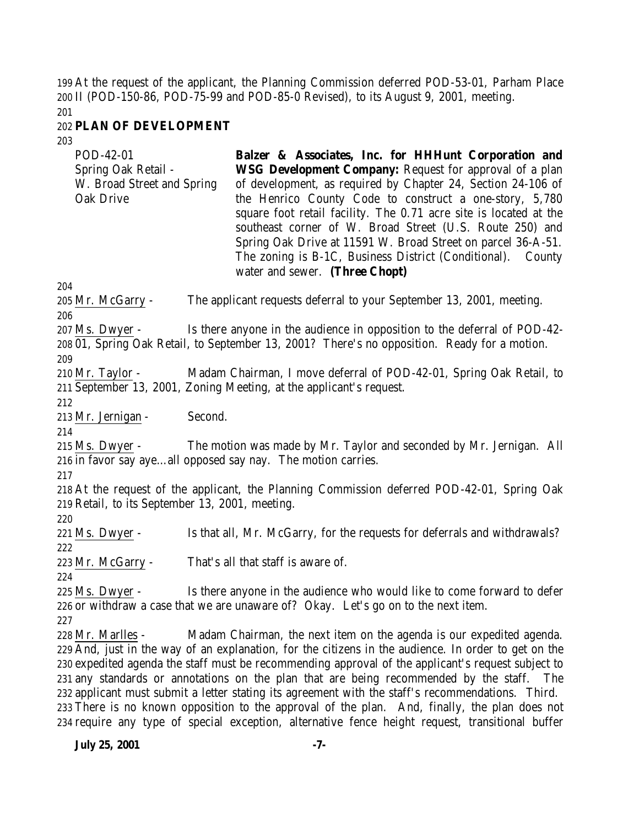At the request of the applicant, the Planning Commission deferred POD-53-01, Parham Place II (POD-150-86, POD-75-99 and POD-85-0 Revised), to its August 9, 2001, meeting.

# **PLAN OF DEVELOPMENT**

| POD-42-01<br>Spring Oak Retail -<br>W. Broad Street and Spring<br>Oak Drive       | Balzer & Associates, Inc. for HHHunt Corporation and<br><b>WSG Development Company:</b> Request for approval of a plan<br>of development, as required by Chapter 24, Section 24-106 of<br>the Henrico County Code to construct a one-story, 5,780<br>square foot retail facility. The 0.71 acre site is located at the<br>southeast corner of W. Broad Street (U.S. Route 250) and<br>Spring Oak Drive at 11591 W. Broad Street on parcel 36-A-51.<br>The zoning is B-1C, Business District (Conditional). County<br>water and sewer. (Three Chopt)                                                                                                                                          |
|-----------------------------------------------------------------------------------|----------------------------------------------------------------------------------------------------------------------------------------------------------------------------------------------------------------------------------------------------------------------------------------------------------------------------------------------------------------------------------------------------------------------------------------------------------------------------------------------------------------------------------------------------------------------------------------------------------------------------------------------------------------------------------------------|
| 204                                                                               |                                                                                                                                                                                                                                                                                                                                                                                                                                                                                                                                                                                                                                                                                              |
| 205 Mr. McGarry -<br>206                                                          | The applicant requests deferral to your September 13, 2001, meeting.                                                                                                                                                                                                                                                                                                                                                                                                                                                                                                                                                                                                                         |
| 207 Ms. Dwyer -                                                                   | Is there anyone in the audience in opposition to the deferral of POD-42-                                                                                                                                                                                                                                                                                                                                                                                                                                                                                                                                                                                                                     |
| 209                                                                               | 208 01, Spring Oak Retail, to September 13, 2001? There's no opposition. Ready for a motion.                                                                                                                                                                                                                                                                                                                                                                                                                                                                                                                                                                                                 |
| 210 Mr. Taylor -<br>212                                                           | Madam Chairman, I move deferral of POD-42-01, Spring Oak Retail, to<br>211 September 13, 2001, Zoning Meeting, at the applicant's request.                                                                                                                                                                                                                                                                                                                                                                                                                                                                                                                                                   |
| 213 Mr. Jernigan -<br>Second.<br>214                                              |                                                                                                                                                                                                                                                                                                                                                                                                                                                                                                                                                                                                                                                                                              |
| $215$ Ms. Dwyer -<br>216 in favor say ayeall opposed say nay. The motion carries. | The motion was made by Mr. Taylor and seconded by Mr. Jernigan. All                                                                                                                                                                                                                                                                                                                                                                                                                                                                                                                                                                                                                          |
| 217<br>219 Retail, to its September 13, 2001, meeting.<br>220                     | 218 At the request of the applicant, the Planning Commission deferred POD-42-01, Spring Oak                                                                                                                                                                                                                                                                                                                                                                                                                                                                                                                                                                                                  |
| 221 Ms. Dwyer -<br>222                                                            | Is that all, Mr. McGarry, for the requests for deferrals and withdrawals?                                                                                                                                                                                                                                                                                                                                                                                                                                                                                                                                                                                                                    |
| 223 Mr. McGarry -                                                                 | That's all that staff is aware of.                                                                                                                                                                                                                                                                                                                                                                                                                                                                                                                                                                                                                                                           |
| 224<br>$225$ Ms. Dwyer -                                                          | Is there anyone in the audience who would like to come forward to defer                                                                                                                                                                                                                                                                                                                                                                                                                                                                                                                                                                                                                      |
| 227                                                                               | 226 or withdraw a case that we are unaware of? Okay. Let's go on to the next item.                                                                                                                                                                                                                                                                                                                                                                                                                                                                                                                                                                                                           |
| 228 Mr. Marlles -                                                                 | Madam Chairman, the next item on the agenda is our expedited agenda.<br>229 And, just in the way of an explanation, for the citizens in the audience. In order to get on the<br>230 expedited agenda the staff must be recommending approval of the applicant's request subject to<br>231 any standards or annotations on the plan that are being recommended by the staff.<br>The<br>232 applicant must submit a letter stating its agreement with the staff's recommendations. Third.<br>233 There is no known opposition to the approval of the plan. And, finally, the plan does not<br>234 require any type of special exception, alternative fence height request, transitional buffer |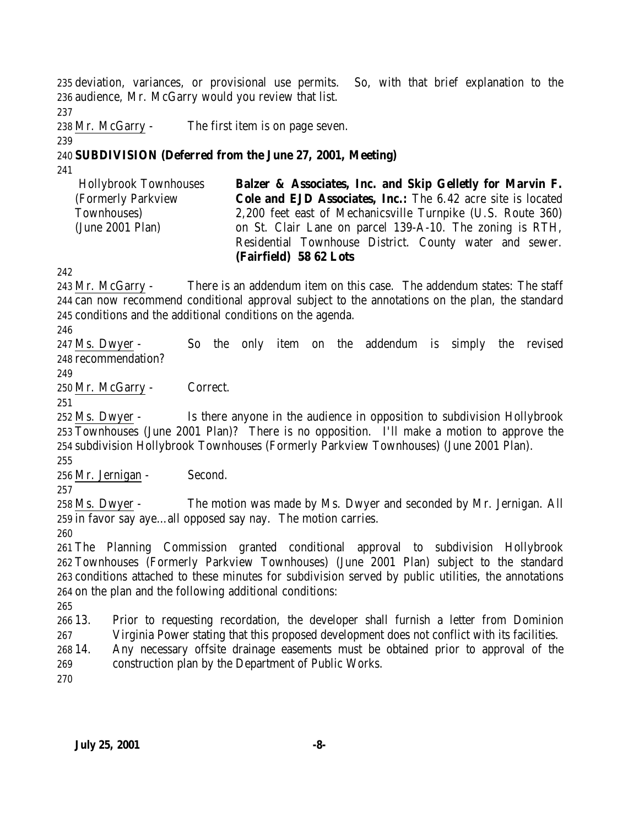deviation, variances, or provisional use permits. So, with that brief explanation to the audience, Mr. McGarry would you review that list.

Mr. McGarry - The first item is on page seven.

# **SUBDIVISION (Deferred from the June 27, 2001, Meeting)**

 Hollybrook Townhouses (Formerly Parkview Townhouses) (June 2001 Plan) **Balzer & Associates, Inc. and Skip Gelletly for Marvin F. Cole and EJD Associates, Inc.:** The 6.42 acre site is located 2,200 feet east of Mechanicsville Turnpike (U.S. Route 360) on St. Clair Lane on parcel 139-A-10. The zoning is RTH, Residential Townhouse District. County water and sewer. **(Fairfield) 58 62 Lots**

 Mr. McGarry - There is an addendum item on this case. The addendum states: The staff can now recommend conditional approval subject to the annotations on the plan, the standard conditions and the additional conditions on the agenda.

 Ms. Dwyer - So the only item on the addendum is simply the revised recommendation?

Mr. McGarry - Correct.

 Ms. Dwyer - Is there anyone in the audience in opposition to subdivision Hollybrook Townhouses (June 2001 Plan)? There is no opposition. I'll make a motion to approve the subdivision Hollybrook Townhouses (Formerly Parkview Townhouses) (June 2001 Plan).

Mr. Jernigan - Second.

 Ms. Dwyer - The motion was made by Ms. Dwyer and seconded by Mr. Jernigan. All in favor say aye…all opposed say nay. The motion carries.

 The Planning Commission granted conditional approval to subdivision Hollybrook Townhouses (Formerly Parkview Townhouses) (June 2001 Plan) subject to the standard conditions attached to these minutes for subdivision served by public utilities, the annotations on the plan and the following additional conditions:

 13. Prior to requesting recordation, the developer shall furnish a letter from Dominion Virginia Power stating that this proposed development does not conflict with its facilities.

 14. Any necessary offsite drainage easements must be obtained prior to approval of the construction plan by the Department of Public Works.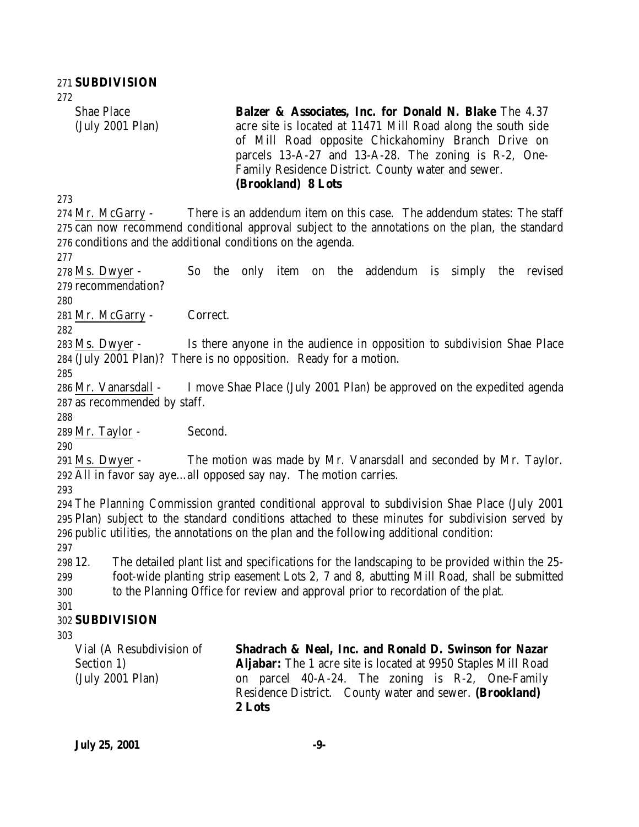**SUBDIVISION** Shae Place (July 2001 Plan) **Balzer & Associates, Inc. for Donald N. Blake** The 4.37 acre site is located at 11471 Mill Road along the south side of Mill Road opposite Chickahominy Branch Drive on parcels 13-A-27 and 13-A-28. The zoning is R-2, One-Family Residence District. County water and sewer. **(Brookland) 8 Lots** Mr. McGarry - There is an addendum item on this case. The addendum states: The staff can now recommend conditional approval subject to the annotations on the plan, the standard conditions and the additional conditions on the agenda. Ms. Dwyer - So the only item on the addendum is simply the revised recommendation? Mr. McGarry - Correct. Ms. Dwyer - Is there anyone in the audience in opposition to subdivision Shae Place (July 2001 Plan)? There is no opposition. Ready for a motion. Mr. Vanarsdall - I move Shae Place (July 2001 Plan) be approved on the expedited agenda as recommended by staff. Mr. Taylor - Second. Ms. Dwyer - The motion was made by Mr. Vanarsdall and seconded by Mr. Taylor. All in favor say aye…all opposed say nay. The motion carries. The Planning Commission granted conditional approval to subdivision Shae Place (July 2001 Plan) subject to the standard conditions attached to these minutes for subdivision served by public utilities, the annotations on the plan and the following additional condition: 12. The detailed plant list and specifications for the landscaping to be provided within the 25- foot-wide planting strip easement Lots 2, 7 and 8, abutting Mill Road, shall be submitted to the Planning Office for review and approval prior to recordation of the plat. **SUBDIVISION** Vial (A Resubdivision of Section 1) (July 2001 Plan) **Shadrach & Neal, Inc. and Ronald D. Swinson for Nazar Aljabar:** The 1 acre site is located at 9950 Staples Mill Road on parcel 40-A-24. The zoning is R-2, One-Family Residence District. County water and sewer. **(Brookland)**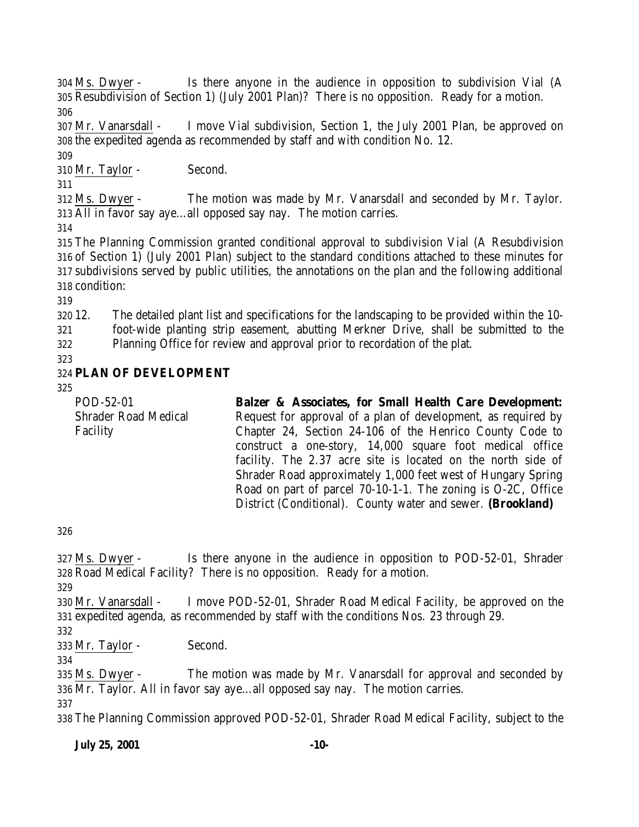Ms. Dwyer - Is there anyone in the audience in opposition to subdivision Vial (A Resubdivision of Section 1) (July 2001 Plan)? There is no opposition. Ready for a motion. 

 Mr. Vanarsdall - I move Vial subdivision, Section 1, the July 2001 Plan, be approved on the expedited agenda as recommended by staff and with condition No. 12.

 Mr. Taylor - Second.

 Ms. Dwyer - The motion was made by Mr. Vanarsdall and seconded by Mr. Taylor. All in favor say aye…all opposed say nay. The motion carries.

 The Planning Commission granted conditional approval to subdivision Vial (A Resubdivision of Section 1) (July 2001 Plan) subject to the standard conditions attached to these minutes for subdivisions served by public utilities, the annotations on the plan and the following additional condition:

 12. The detailed plant list and specifications for the landscaping to be provided within the 10- foot-wide planting strip easement, abutting Merkner Drive, shall be submitted to the

Planning Office for review and approval prior to recordation of the plat.

# **PLAN OF DEVELOPMENT**

| POD-52-01                   | <b>Balzer &amp; Associates, for Small Health Care Development:</b> |
|-----------------------------|--------------------------------------------------------------------|
| <b>Shrader Road Medical</b> | Request for approval of a plan of development, as required by      |
| Facility                    | Chapter 24, Section 24-106 of the Henrico County Code to           |
|                             | construct a one-story, 14,000 square foot medical office           |
|                             | facility. The 2.37 acre site is located on the north side of       |
|                             | Shrader Road approximately 1,000 feet west of Hungary Spring       |
|                             | Road on part of parcel 70-10-1-1. The zoning is O-2C, Office       |
|                             | District (Conditional). County water and sewer. (Brookland)        |
|                             |                                                                    |

 Ms. Dwyer - Is there anyone in the audience in opposition to POD-52-01, Shrader Road Medical Facility? There is no opposition. Ready for a motion. 

 Mr. Vanarsdall - I move POD-52-01, Shrader Road Medical Facility, be approved on the expedited agenda, as recommended by staff with the conditions Nos. 23 through 29.

Mr. Taylor - Second.

 Ms. Dwyer - The motion was made by Mr. Vanarsdall for approval and seconded by 336  $\overline{Mr}$ . Taylor. All in favor say aye...all opposed say nay. The motion carries.

The Planning Commission approved POD-52-01, Shrader Road Medical Facility, subject to the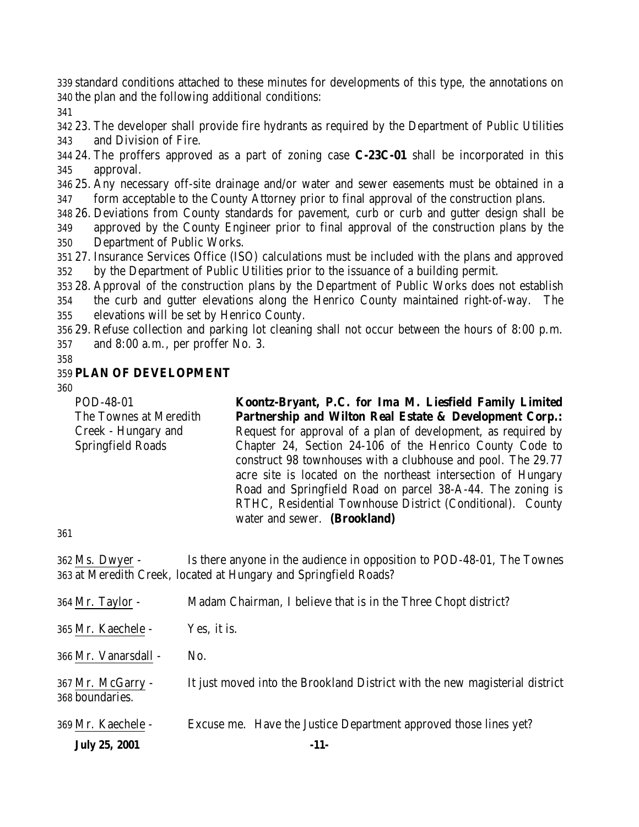standard conditions attached to these minutes for developments of this type, the annotations on the plan and the following additional conditions:

 23. The developer shall provide fire hydrants as required by the Department of Public Utilities and Division of Fire.

 24. The proffers approved as a part of zoning case **C-23C-01** shall be incorporated in this approval.

 25. Any necessary off-site drainage and/or water and sewer easements must be obtained in a form acceptable to the County Attorney prior to final approval of the construction plans.

 26. Deviations from County standards for pavement, curb or curb and gutter design shall be approved by the County Engineer prior to final approval of the construction plans by the Department of Public Works.

 27. Insurance Services Office (ISO) calculations must be included with the plans and approved by the Department of Public Utilities prior to the issuance of a building permit.

 28. Approval of the construction plans by the Department of Public Works does not establish the curb and gutter elevations along the Henrico County maintained right-of-way. The elevations will be set by Henrico County.

 29. Refuse collection and parking lot cleaning shall not occur between the hours of 8:00 p.m. and 8:00 a.m., per proffer No. 3.

### **PLAN OF DEVELOPMENT**

POD-48-01 The Townes at Meredith Creek - Hungary and Springfield Roads **Koontz-Bryant, P.C. for Ima M. Liesfield Family Limited Partnership and Wilton Real Estate & Development Corp.:** Request for approval of a plan of development, as required by Chapter 24, Section 24-106 of the Henrico County Code to construct 98 townhouses with a clubhouse and pool. The 29.77 acre site is located on the northeast intersection of Hungary Road and Springfield Road on parcel 38-A-44. The zoning is RTHC, Residential Townhouse District (Conditional). County water and sewer. **(Brookland)**

 Ms. Dwyer - Is there anyone in the audience in opposition to POD-48-01, The Townes at Meredith Creek, located at Hungary and Springfield Roads?

| <b>July 25, 2001</b>                 | $-11-$                                                                      |
|--------------------------------------|-----------------------------------------------------------------------------|
| 369 Mr. Kaechele -                   | Excuse me. Have the Justice Department approved those lines yet?            |
| 367 Mr. McGarry -<br>368 boundaries. | It just moved into the Brookland District with the new magisterial district |
| 366 Mr. Vanarsdall -                 | No.                                                                         |
| 365 Mr. Kaechele -                   | Yes, it is.                                                                 |
| $364$ Mr. Taylor -                   | Madam Chairman, I believe that is in the Three Chopt district?              |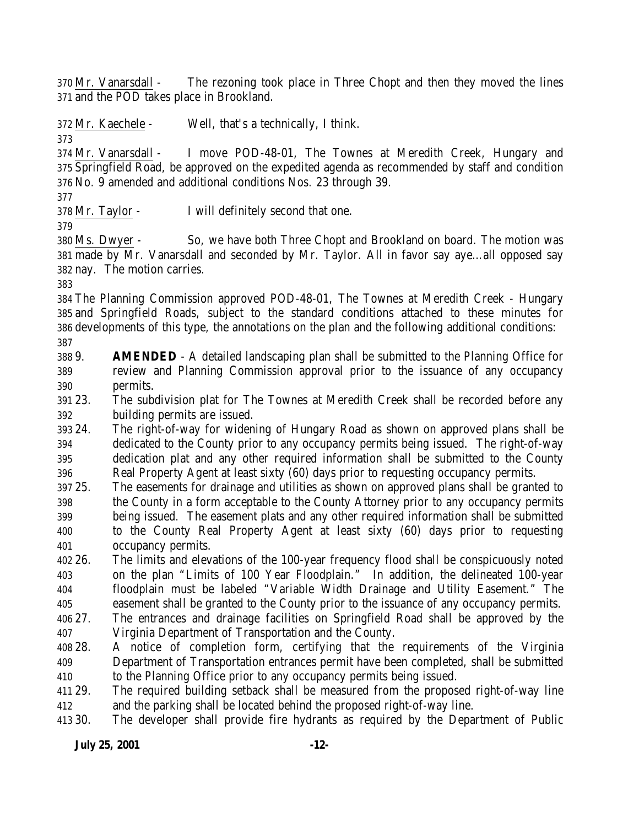Mr. Vanarsdall - The rezoning took place in Three Chopt and then they moved the lines and the POD takes place in Brookland.

Mr. Kaechele - Well, that's a technically, I think.

 Mr. Vanarsdall - I move POD-48-01, The Townes at Meredith Creek, Hungary and Springfield Road, be approved on the expedited agenda as recommended by staff and condition No. 9 amended and additional conditions Nos. 23 through 39.

Mr. Taylor - I will definitely second that one.

 Ms. Dwyer - So, we have both Three Chopt and Brookland on board. The motion was made by Mr. Vanarsdall and seconded by Mr. Taylor. All in favor say aye…all opposed say nay. The motion carries.

 The Planning Commission approved POD-48-01, The Townes at Meredith Creek - Hungary and Springfield Roads, subject to the standard conditions attached to these minutes for developments of this type, the annotations on the plan and the following additional conditions: 

 9. **AMENDED** - A detailed landscaping plan shall be submitted to the Planning Office for review and Planning Commission approval prior to the issuance of any occupancy permits.

 23. The subdivision plat for The Townes at Meredith Creek shall be recorded before any building permits are issued.

 24. The right-of-way for widening of Hungary Road as shown on approved plans shall be dedicated to the County prior to any occupancy permits being issued. The right-of-way dedication plat and any other required information shall be submitted to the County Real Property Agent at least sixty (60) days prior to requesting occupancy permits.

 25. The easements for drainage and utilities as shown on approved plans shall be granted to the County in a form acceptable to the County Attorney prior to any occupancy permits being issued. The easement plats and any other required information shall be submitted to the County Real Property Agent at least sixty (60) days prior to requesting occupancy permits.

 26. The limits and elevations of the 100-year frequency flood shall be conspicuously noted on the plan "Limits of 100 Year Floodplain." In addition, the delineated 100-year floodplain must be labeled "Variable Width Drainage and Utility Easement." The easement shall be granted to the County prior to the issuance of any occupancy permits.

 27. The entrances and drainage facilities on Springfield Road shall be approved by the Virginia Department of Transportation and the County.

 28. A notice of completion form, certifying that the requirements of the Virginia Department of Transportation entrances permit have been completed, shall be submitted to the Planning Office prior to any occupancy permits being issued.

 29. The required building setback shall be measured from the proposed right-of-way line and the parking shall be located behind the proposed right-of-way line.

30. The developer shall provide fire hydrants as required by the Department of Public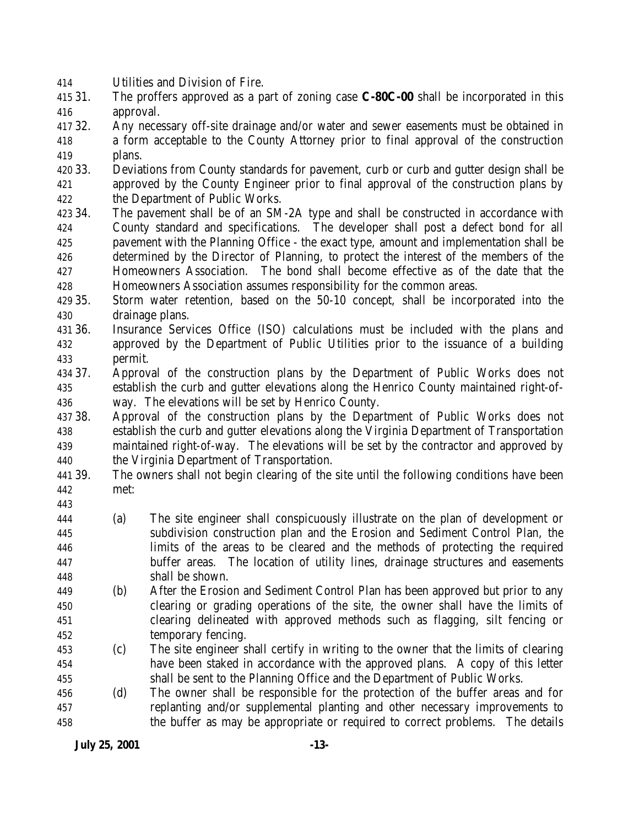Utilities and Division of Fire.

- 31. The proffers approved as a part of zoning case **C-80C-00** shall be incorporated in this approval.
- 32. Any necessary off-site drainage and/or water and sewer easements must be obtained in a form acceptable to the County Attorney prior to final approval of the construction plans.
- 33. Deviations from County standards for pavement, curb or curb and gutter design shall be approved by the County Engineer prior to final approval of the construction plans by the Department of Public Works.
- 34. The pavement shall be of an SM-2A type and shall be constructed in accordance with County standard and specifications. The developer shall post a defect bond for all pavement with the Planning Office - the exact type, amount and implementation shall be determined by the Director of Planning, to protect the interest of the members of the Homeowners Association. The bond shall become effective as of the date that the Homeowners Association assumes responsibility for the common areas.
- 35. Storm water retention, based on the 50-10 concept, shall be incorporated into the drainage plans.
- 36. Insurance Services Office (ISO) calculations must be included with the plans and approved by the Department of Public Utilities prior to the issuance of a building permit.
- 37. Approval of the construction plans by the Department of Public Works does not establish the curb and gutter elevations along the Henrico County maintained right-of-way. The elevations will be set by Henrico County.
- 38. Approval of the construction plans by the Department of Public Works does not establish the curb and gutter elevations along the Virginia Department of Transportation maintained right-of-way. The elevations will be set by the contractor and approved by the Virginia Department of Transportation.
- 39. The owners shall not begin clearing of the site until the following conditions have been met:
- 
- (a) The site engineer shall conspicuously illustrate on the plan of development or subdivision construction plan and the Erosion and Sediment Control Plan, the limits of the areas to be cleared and the methods of protecting the required buffer areas. The location of utility lines, drainage structures and easements shall be shown.
- (b) After the Erosion and Sediment Control Plan has been approved but prior to any clearing or grading operations of the site, the owner shall have the limits of clearing delineated with approved methods such as flagging, silt fencing or temporary fencing.
- (c) The site engineer shall certify in writing to the owner that the limits of clearing have been staked in accordance with the approved plans. A copy of this letter shall be sent to the Planning Office and the Department of Public Works.
- (d) The owner shall be responsible for the protection of the buffer areas and for replanting and/or supplemental planting and other necessary improvements to the buffer as may be appropriate or required to correct problems. The details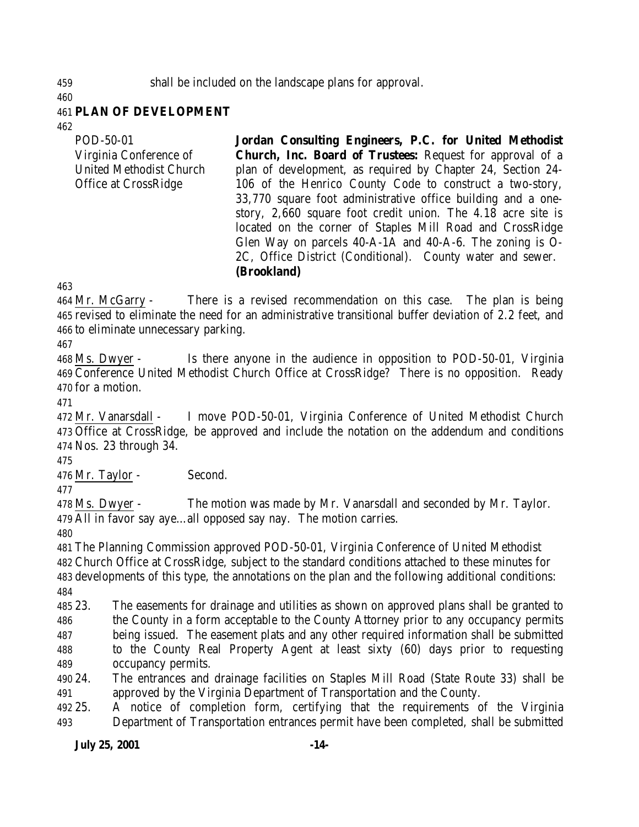shall be included on the landscape plans for approval.

#### **PLAN OF DEVELOPMENT**

POD-50-01 Virginia Conference of United Methodist Church Office at CrossRidge **Jordan Consulting Engineers, P.C. for United Methodist Church, Inc. Board of Trustees:** Request for approval of a plan of development, as required by Chapter 24, Section 24- 106 of the Henrico County Code to construct a two-story, 33,770 square foot administrative office building and a onestory, 2,660 square foot credit union. The 4.18 acre site is located on the corner of Staples Mill Road and CrossRidge Glen Way on parcels 40-A-1A and 40-A-6. The zoning is O-2C, Office District (Conditional). County water and sewer.

### **(Brookland)**

 Mr. McGarry - There is a revised recommendation on this case. The plan is being revised to eliminate the need for an administrative transitional buffer deviation of 2.2 feet, and to eliminate unnecessary parking.

 Ms. Dwyer - Is there anyone in the audience in opposition to POD-50-01, Virginia Conference United Methodist Church Office at CrossRidge? There is no opposition. Ready for a motion.

 Mr. Vanarsdall - I move POD-50-01, Virginia Conference of United Methodist Church Office at CrossRidge, be approved and include the notation on the addendum and conditions Nos. 23 through 34.

Mr. Taylor - Second.

 Ms. Dwyer - The motion was made by Mr. Vanarsdall and seconded by Mr. Taylor. All in favor say aye…all opposed say nay. The motion carries.

 The Planning Commission approved POD-50-01, Virginia Conference of United Methodist Church Office at CrossRidge, subject to the standard conditions attached to these minutes for developments of this type, the annotations on the plan and the following additional conditions: 

 23. The easements for drainage and utilities as shown on approved plans shall be granted to the County in a form acceptable to the County Attorney prior to any occupancy permits being issued. The easement plats and any other required information shall be submitted to the County Real Property Agent at least sixty (60) days prior to requesting occupancy permits.

 24. The entrances and drainage facilities on Staples Mill Road (State Route 33) shall be approved by the Virginia Department of Transportation and the County.

 25. A notice of completion form, certifying that the requirements of the Virginia Department of Transportation entrances permit have been completed, shall be submitted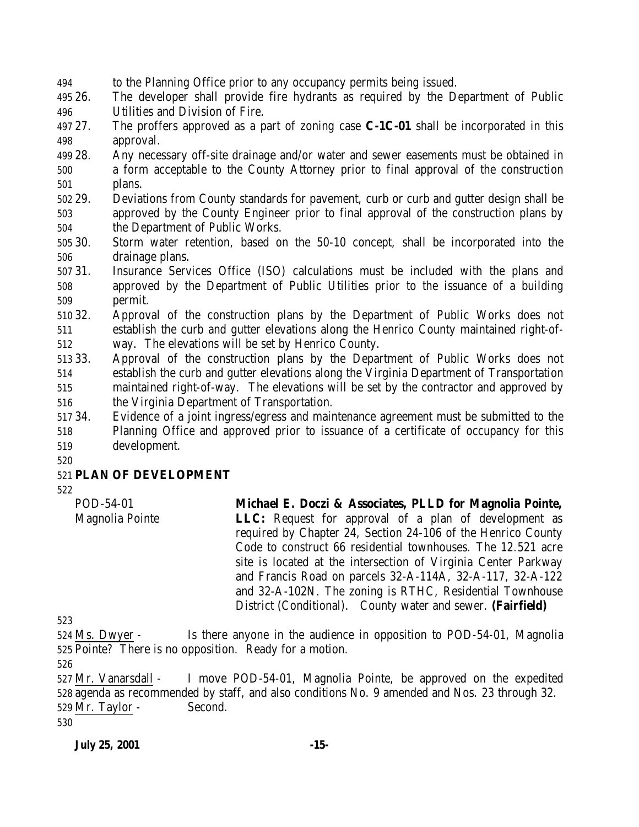to the Planning Office prior to any occupancy permits being issued.

 26. The developer shall provide fire hydrants as required by the Department of Public Utilities and Division of Fire.

 27. The proffers approved as a part of zoning case **C-1C-01** shall be incorporated in this approval.

- 28. Any necessary off-site drainage and/or water and sewer easements must be obtained in a form acceptable to the County Attorney prior to final approval of the construction plans.
- 29. Deviations from County standards for pavement, curb or curb and gutter design shall be approved by the County Engineer prior to final approval of the construction plans by the Department of Public Works.
- 30. Storm water retention, based on the 50-10 concept, shall be incorporated into the drainage plans.
- 31. Insurance Services Office (ISO) calculations must be included with the plans and approved by the Department of Public Utilities prior to the issuance of a building permit.
- 32. Approval of the construction plans by the Department of Public Works does not establish the curb and gutter elevations along the Henrico County maintained right-of-way. The elevations will be set by Henrico County.
- 33. Approval of the construction plans by the Department of Public Works does not establish the curb and gutter elevations along the Virginia Department of Transportation maintained right-of-way. The elevations will be set by the contractor and approved by the Virginia Department of Transportation.
- 34. Evidence of a joint ingress/egress and maintenance agreement must be submitted to the Planning Office and approved prior to issuance of a certificate of occupancy for this development.
- 

# **PLAN OF DEVELOPMENT**

POD-54-01 Magnolia Pointe **Michael E. Doczi & Associates, PLLD for Magnolia Pointe, LLC:** Request for approval of a plan of development as required by Chapter 24, Section 24-106 of the Henrico County Code to construct 66 residential townhouses. The 12.521 acre site is located at the intersection of Virginia Center Parkway and Francis Road on parcels 32-A-114A, 32-A-117, 32-A-122 and 32-A-102N. The zoning is RTHC, Residential Townhouse District (Conditional). County water and sewer. **(Fairfield)**

 Ms. Dwyer - Is there anyone in the audience in opposition to POD-54-01, Magnolia Pointe? There is no opposition. Ready for a motion.

 Mr. Vanarsdall - I move POD-54-01, Magnolia Pointe, be approved on the expedited agenda as recommended by staff, and also conditions No. 9 amended and Nos. 23 through 32. Mr. Taylor - Second.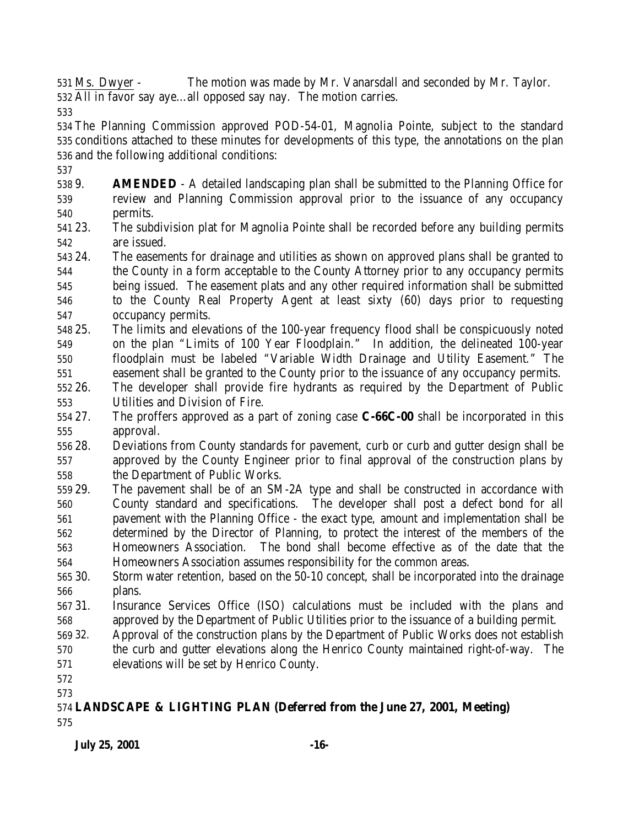Ms. Dwyer - The motion was made by Mr. Vanarsdall and seconded by Mr. Taylor. All in favor say aye…all opposed say nay. The motion carries.

 The Planning Commission approved POD-54-01, Magnolia Pointe, subject to the standard conditions attached to these minutes for developments of this type, the annotations on the plan and the following additional conditions:

- 9. **AMENDED** A detailed landscaping plan shall be submitted to the Planning Office for review and Planning Commission approval prior to the issuance of any occupancy permits.
- 23. The subdivision plat for Magnolia Pointe shall be recorded before any building permits are issued.
- 24. The easements for drainage and utilities as shown on approved plans shall be granted to the County in a form acceptable to the County Attorney prior to any occupancy permits being issued. The easement plats and any other required information shall be submitted to the County Real Property Agent at least sixty (60) days prior to requesting
- occupancy permits.
- 25. The limits and elevations of the 100-year frequency flood shall be conspicuously noted on the plan "Limits of 100 Year Floodplain." In addition, the delineated 100-year floodplain must be labeled "Variable Width Drainage and Utility Easement." The easement shall be granted to the County prior to the issuance of any occupancy permits.
- 26. The developer shall provide fire hydrants as required by the Department of Public Utilities and Division of Fire.
- 27. The proffers approved as a part of zoning case **C-66C-00** shall be incorporated in this approval.
- 28. Deviations from County standards for pavement, curb or curb and gutter design shall be approved by the County Engineer prior to final approval of the construction plans by the Department of Public Works.
- 29. The pavement shall be of an SM-2A type and shall be constructed in accordance with County standard and specifications. The developer shall post a defect bond for all pavement with the Planning Office - the exact type, amount and implementation shall be determined by the Director of Planning, to protect the interest of the members of the Homeowners Association. The bond shall become effective as of the date that the Homeowners Association assumes responsibility for the common areas.
- 30. Storm water retention, based on the 50-10 concept, shall be incorporated into the drainage plans.
- 31. Insurance Services Office (ISO) calculations must be included with the plans and approved by the Department of Public Utilities prior to the issuance of a building permit.
- 32. Approval of the construction plans by the Department of Public Works does not establish the curb and gutter elevations along the Henrico County maintained right-of-way. The
- elevations will be set by Henrico County.
- 
- 

#### **LANDSCAPE & LIGHTING PLAN (Deferred from the June 27, 2001, Meeting)**

### **July 25, 2001 -16-**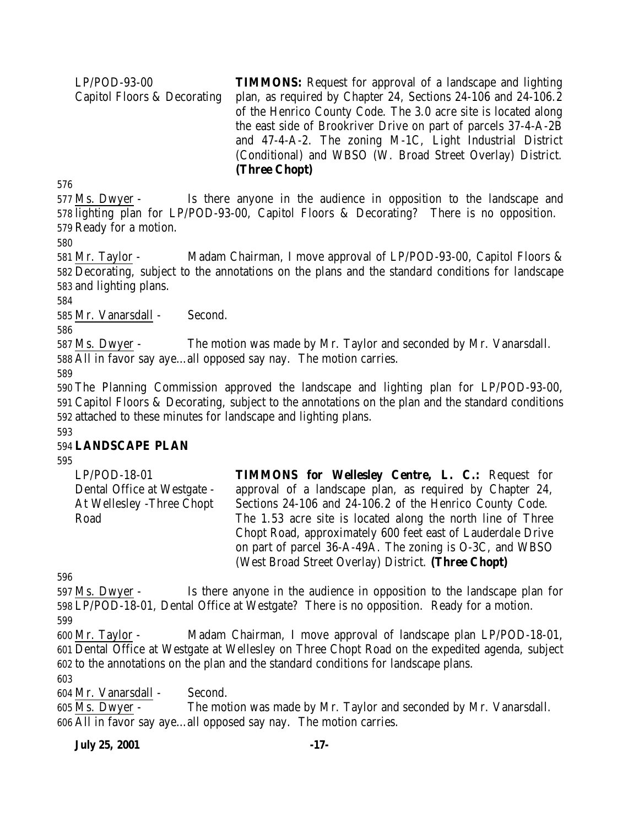LP/POD-93-00 Capitol Floors & Decorating **TIMMONS:** Request for approval of a landscape and lighting plan, as required by Chapter 24, Sections 24-106 and 24-106.2 of the Henrico County Code. The 3.0 acre site is located along the east side of Brookriver Drive on part of parcels 37-4-A-2B and 47-4-A-2. The zoning M-1C, Light Industrial District (Conditional) and WBSO (W. Broad Street Overlay) District. **(Three Chopt)**

576

577 Ms. Dwyer - Is there anyone in the audience in opposition to the landscape and 578 lighting plan for LP/POD-93-00, Capitol Floors & Decorating? There is no opposition. 579 Ready for a motion.

580

581 Mr. Taylor - Madam Chairman, I move approval of LP/POD-93-00, Capitol Floors & 582 Decorating, subject to the annotations on the plans and the standard conditions for landscape 583 and lighting plans.

584

585 Mr. Vanarsdall - Second.

586

587 Ms. Dwyer - The motion was made by Mr. Taylor and seconded by Mr. Vanarsdall. 588 All in favor say aye…all opposed say nay. The motion carries.

589

590 The Planning Commission approved the landscape and lighting plan for LP/POD-93-00, 591 Capitol Floors & Decorating, subject to the annotations on the plan and the standard conditions 592 attached to these minutes for landscape and lighting plans.

#### 593

### 594 **LANDSCAPE PLAN**

595

| LP/POD-18-01                | <b>TIMMONS for Wellesley Centre, L. C.: Request for</b>     |
|-----------------------------|-------------------------------------------------------------|
| Dental Office at Westgate - | approval of a landscape plan, as required by Chapter 24,    |
| At Wellesley -Three Chopt   | Sections 24-106 and 24-106.2 of the Henrico County Code.    |
| Road                        | The 1.53 acre site is located along the north line of Three |
|                             | Chopt Road, approximately 600 feet east of Lauderdale Drive |
|                             | on part of parcel 36-A-49A. The zoning is O-3C, and WBSO    |
|                             | (West Broad Street Overlay) District. (Three Chopt)         |

596

597 Ms. Dwyer - Is there anyone in the audience in opposition to the landscape plan for 598 LP/POD-18-01, Dental Office at Westgate? There is no opposition. Ready for a motion.

599

600 Mr. Taylor - Madam Chairman, I move approval of landscape plan LP/POD-18-01, 601 Dental Office at Westgate at Wellesley on Three Chopt Road on the expedited agenda, subject 602 to the annotations on the plan and the standard conditions for landscape plans.

603

604 Mr. Vanarsdall - Second.

605 Ms. Dwyer - The motion was made by Mr. Taylor and seconded by Mr. Vanarsdall. 606 All in favor say aye…all opposed say nay. The motion carries.

#### **July 25, 2001 -17-**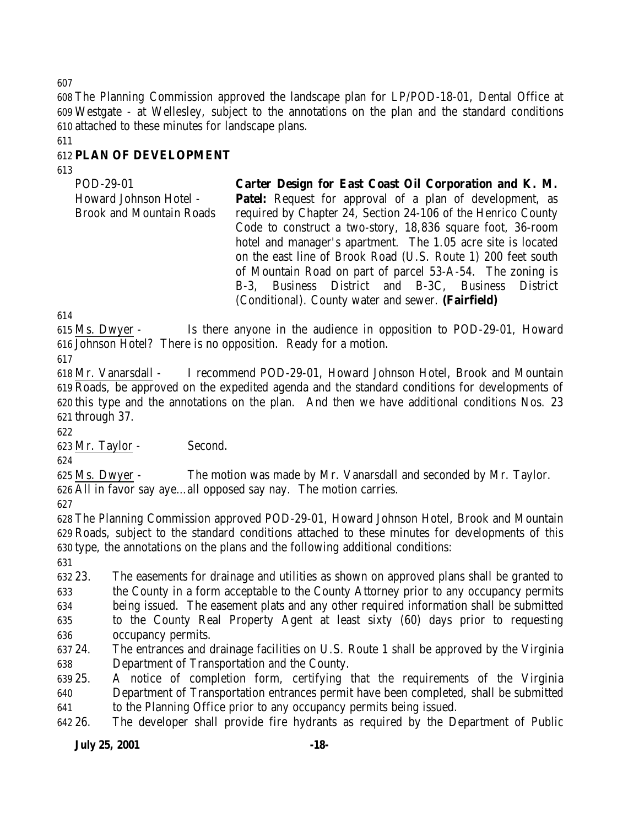The Planning Commission approved the landscape plan for LP/POD-18-01, Dental Office at Westgate - at Wellesley, subject to the annotations on the plan and the standard conditions attached to these minutes for landscape plans.

# **PLAN OF DEVELOPMENT**

POD-29-01 Howard Johnson Hotel - Brook and Mountain Roads **Carter Design for East Coast Oil Corporation and K. M. Patel:** Request for approval of a plan of development, as required by Chapter 24, Section 24-106 of the Henrico County Code to construct a two-story, 18,836 square foot, 36-room hotel and manager's apartment. The 1.05 acre site is located on the east line of Brook Road (U.S. Route 1) 200 feet south of Mountain Road on part of parcel 53-A-54. The zoning is B-3, Business District and B-3C, Business District (Conditional). County water and sewer. **(Fairfield)**

 Ms. Dwyer - Is there anyone in the audience in opposition to POD-29-01, Howard Johnson Hotel? There is no opposition. Ready for a motion.

 Mr. Vanarsdall - I recommend POD-29-01, Howard Johnson Hotel, Brook and Mountain Roads, be approved on the expedited agenda and the standard conditions for developments of this type and the annotations on the plan. And then we have additional conditions Nos. 23 through 37.

Mr. Taylor - Second.

 Ms. Dwyer - The motion was made by Mr. Vanarsdall and seconded by Mr. Taylor. All in favor say aye…all opposed say nay. The motion carries.

 The Planning Commission approved POD-29-01, Howard Johnson Hotel, Brook and Mountain Roads, subject to the standard conditions attached to these minutes for developments of this type, the annotations on the plans and the following additional conditions:

 23. The easements for drainage and utilities as shown on approved plans shall be granted to the County in a form acceptable to the County Attorney prior to any occupancy permits being issued. The easement plats and any other required information shall be submitted to the County Real Property Agent at least sixty (60) days prior to requesting occupancy permits.

 24. The entrances and drainage facilities on U.S. Route 1 shall be approved by the Virginia Department of Transportation and the County.

 25. A notice of completion form, certifying that the requirements of the Virginia Department of Transportation entrances permit have been completed, shall be submitted to the Planning Office prior to any occupancy permits being issued.

26. The developer shall provide fire hydrants as required by the Department of Public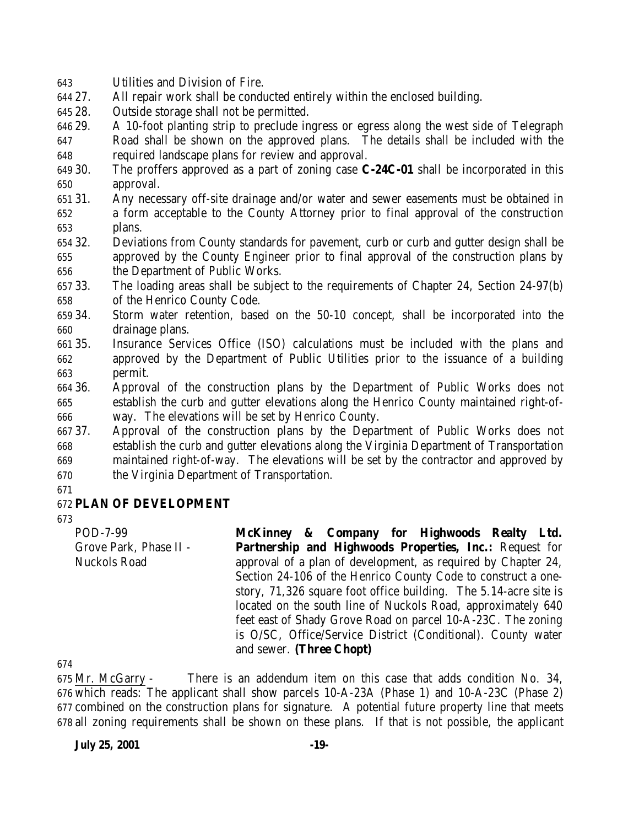- Utilities and Division of Fire.
- 27. All repair work shall be conducted entirely within the enclosed building.
- 28. Outside storage shall not be permitted.
- 29. A 10-foot planting strip to preclude ingress or egress along the west side of Telegraph Road shall be shown on the approved plans. The details shall be included with the required landscape plans for review and approval.
- 30. The proffers approved as a part of zoning case **C-24C-01** shall be incorporated in this approval.
- 31. Any necessary off-site drainage and/or water and sewer easements must be obtained in a form acceptable to the County Attorney prior to final approval of the construction plans.
- 32. Deviations from County standards for pavement, curb or curb and gutter design shall be approved by the County Engineer prior to final approval of the construction plans by the Department of Public Works.
- 33. The loading areas shall be subject to the requirements of Chapter 24, Section 24-97(b) of the Henrico County Code.
- 34. Storm water retention, based on the 50-10 concept, shall be incorporated into the drainage plans.
- 35. Insurance Services Office (ISO) calculations must be included with the plans and approved by the Department of Public Utilities prior to the issuance of a building permit.
- 36. Approval of the construction plans by the Department of Public Works does not establish the curb and gutter elevations along the Henrico County maintained right-of-way. The elevations will be set by Henrico County.
- 37. Approval of the construction plans by the Department of Public Works does not establish the curb and gutter elevations along the Virginia Department of Transportation maintained right-of-way. The elevations will be set by the contractor and approved by the Virginia Department of Transportation.
- 

### **PLAN OF DEVELOPMENT**

POD-7-99 Grove Park, Phase II - Nuckols Road **McKinney & Company for Highwoods Realty Ltd. Partnership and Highwoods Properties, Inc.:** Request for approval of a plan of development, as required by Chapter 24, Section 24-106 of the Henrico County Code to construct a onestory, 71,326 square foot office building. The 5.14-acre site is located on the south line of Nuckols Road, approximately 640 feet east of Shady Grove Road on parcel 10-A-23C. The zoning is O/SC, Office/Service District (Conditional). County water and sewer. **(Three Chopt)**

 Mr. McGarry - There is an addendum item on this case that adds condition No. 34, which reads: The applicant shall show parcels 10-A-23A (Phase 1) and 10-A-23C (Phase 2) combined on the construction plans for signature. A potential future property line that meets all zoning requirements shall be shown on these plans. If that is not possible, the applicant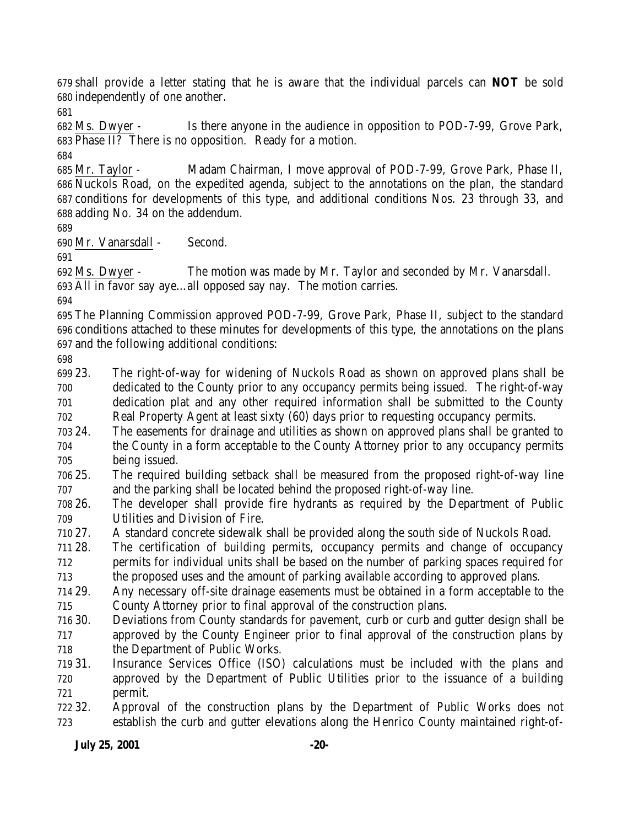shall provide a letter stating that he is aware that the individual parcels can **NOT** be sold independently of one another.

 Ms. Dwyer - Is there anyone in the audience in opposition to POD-7-99, Grove Park, Phase II? There is no opposition. Ready for a motion.

 Mr. Taylor - Madam Chairman, I move approval of POD-7-99, Grove Park, Phase II, Nuckols Road, on the expedited agenda, subject to the annotations on the plan, the standard conditions for developments of this type, and additional conditions Nos. 23 through 33, and adding No. 34 on the addendum.

Mr. Vanarsdall - Second.

 Ms. Dwyer - The motion was made by Mr. Taylor and seconded by Mr. Vanarsdall. All in favor say aye…all opposed say nay. The motion carries.

 The Planning Commission approved POD-7-99, Grove Park, Phase II, subject to the standard conditions attached to these minutes for developments of this type, the annotations on the plans and the following additional conditions:

 23. The right-of-way for widening of Nuckols Road as shown on approved plans shall be dedicated to the County prior to any occupancy permits being issued. The right-of-way dedication plat and any other required information shall be submitted to the County Real Property Agent at least sixty (60) days prior to requesting occupancy permits.

- 24. The easements for drainage and utilities as shown on approved plans shall be granted to the County in a form acceptable to the County Attorney prior to any occupancy permits being issued.
- 25. The required building setback shall be measured from the proposed right-of-way line and the parking shall be located behind the proposed right-of-way line.
- 26. The developer shall provide fire hydrants as required by the Department of Public Utilities and Division of Fire.
- 27. A standard concrete sidewalk shall be provided along the south side of Nuckols Road.
- 28. The certification of building permits, occupancy permits and change of occupancy

 permits for individual units shall be based on the number of parking spaces required for the proposed uses and the amount of parking available according to approved plans.

 29. Any necessary off-site drainage easements must be obtained in a form acceptable to the County Attorney prior to final approval of the construction plans.

 30. Deviations from County standards for pavement, curb or curb and gutter design shall be approved by the County Engineer prior to final approval of the construction plans by the Department of Public Works.

- 31. Insurance Services Office (ISO) calculations must be included with the plans and approved by the Department of Public Utilities prior to the issuance of a building permit.
- 32. Approval of the construction plans by the Department of Public Works does not establish the curb and gutter elevations along the Henrico County maintained right-of-

**July 25, 2001 -20-**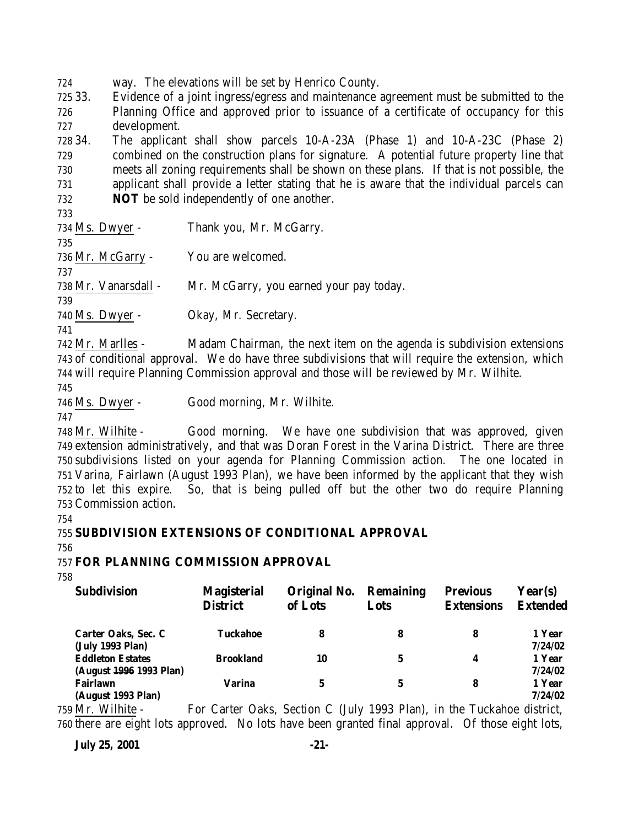724 way. The elevations will be set by Henrico County.

725 33. Evidence of a joint ingress/egress and maintenance agreement must be submitted to the 726 Planning Office and approved prior to issuance of a certificate of occupancy for this 727 development.

 34. The applicant shall show parcels 10-A-23A (Phase 1) and 10-A-23C (Phase 2) combined on the construction plans for signature. A potential future property line that meets all zoning requirements shall be shown on these plans. If that is not possible, the applicant shall provide a letter stating that he is aware that the individual parcels can **NOT** be sold independently of one another.

733

734 Ms. Dwyer - Thank you, Mr. McGarry. 735 736 Mr. McGarry - You are welcomed. 737 738 Mr. Vanarsdall - Mr. McGarry, you earned your pay today. 739 740 Ms. Dwyer - Okay, Mr. Secretary.

741

742 Mr. Marlles - Madam Chairman, the next item on the agenda is subdivision extensions 743 of conditional approval. We do have three subdivisions that will require the extension, which 744 will require Planning Commission approval and those will be reviewed by Mr. Wilhite.

745

746 Ms. Dwyer - Good morning, Mr. Wilhite.

747

 Mr. Wilhite - Good morning. We have one subdivision that was approved, given extension administratively, and that was Doran Forest in the Varina District. There are three subdivisions listed on your agenda for Planning Commission action. The one located in Varina, Fairlawn (August 1993 Plan), we have been informed by the applicant that they wish to let this expire. So, that is being pulled off but the other two do require Planning Commission action.

754

# 755 **SUBDIVISION EXTENSIONS OF CONDITIONAL APPROVAL**

756

# 757 **FOR PLANNING COMMISSION APPROVAL**

758

| <b>Subdivision</b>                                 | <b>Magisterial</b><br><b>District</b>                                              | Original No.<br>of Lots | <b>Remaining</b><br>Lots | <b>Previous</b><br><b>Extensions</b> | Year(s)<br><b>Extended</b> |
|----------------------------------------------------|------------------------------------------------------------------------------------|-------------------------|--------------------------|--------------------------------------|----------------------------|
| Carter Oaks, Sec. C<br>(July 1993 Plan)            | Tuckahoe                                                                           | 8                       | 8                        | 8                                    | 1 Year<br>7/24/02          |
| <b>Eddleton Estates</b><br>(August 1996 1993 Plan) | <b>Brookland</b>                                                                   | 10                      | 5                        | 4                                    | 1 Year<br>7/24/02          |
| <b>Fairlawn</b><br>(August 1993 Plan)              | <b>Varina</b>                                                                      | 5                       | 5                        | 8                                    | 1 Year<br>7/24/02          |
| . M. UII-L.                                        | $E_{\rm cm}$ Conton Oolis, Continu C. (Like 1009 Dlan), in the Tuelishee, district |                         |                          |                                      |                            |

759 Mr. Wilhite - For Carter Oaks, Section C (July 1993 Plan), in the Tuckahoe district, 760 there are eight lots approved. No lots have been granted final approval. Of those eight lots,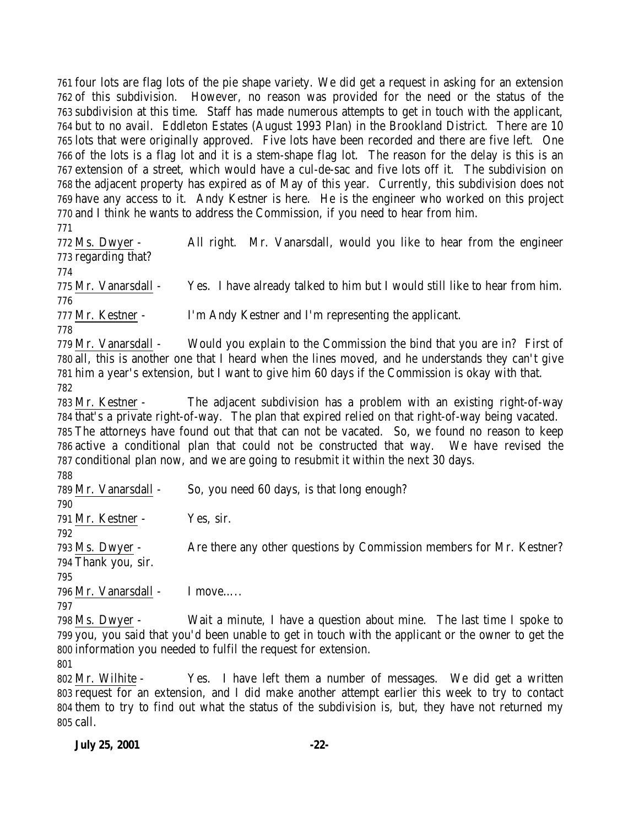four lots are flag lots of the pie shape variety. We did get a request in asking for an extension of this subdivision. However, no reason was provided for the need or the status of the subdivision at this time. Staff has made numerous attempts to get in touch with the applicant, but to no avail. Eddleton Estates (August 1993 Plan) in the Brookland District. There are 10 lots that were originally approved. Five lots have been recorded and there are five left. One of the lots is a flag lot and it is a stem-shape flag lot. The reason for the delay is this is an extension of a street, which would have a cul-de-sac and five lots off it. The subdivision on the adjacent property has expired as of May of this year. Currently, this subdivision does not have any access to it. Andy Kestner is here. He is the engineer who worked on this project and I think he wants to address the Commission, if you need to hear from him.

 Ms. Dwyer - All right. Mr. Vanarsdall, would you like to hear from the engineer regarding that? Mr. Vanarsdall - Yes. I have already talked to him but I would still like to hear from him. Mr. Kestner - I'm Andy Kestner and I'm representing the applicant.

 Mr. Vanarsdall - Would you explain to the Commission the bind that you are in? First of all, this is another one that I heard when the lines moved, and he understands they can't give him a year's extension, but I want to give him 60 days if the Commission is okay with that. 

 Mr. Kestner - The adjacent subdivision has a problem with an existing right-of-way that's a private right-of-way. The plan that expired relied on that right-of-way being vacated. The attorneys have found out that that can not be vacated. So, we found no reason to keep active a conditional plan that could not be constructed that way. We have revised the conditional plan now, and we are going to resubmit it within the next 30 days.

 Mr. Vanarsdall - So, you need 60 days, is that long enough? Mr. Kestner - Yes, sir. 793 Ms. Dwyer - Are there any other questions by Commission members for Mr. Kestner? Thank you, sir. Mr. Vanarsdall - I move….. 

 Ms. Dwyer - Wait a minute, I have a question about mine. The last time I spoke to you, you said that you'd been unable to get in touch with the applicant or the owner to get the information you needed to fulfil the request for extension.

 Mr. Wilhite - Yes. I have left them a number of messages. We did get a written request for an extension, and I did make another attempt earlier this week to try to contact them to try to find out what the status of the subdivision is, but, they have not returned my call.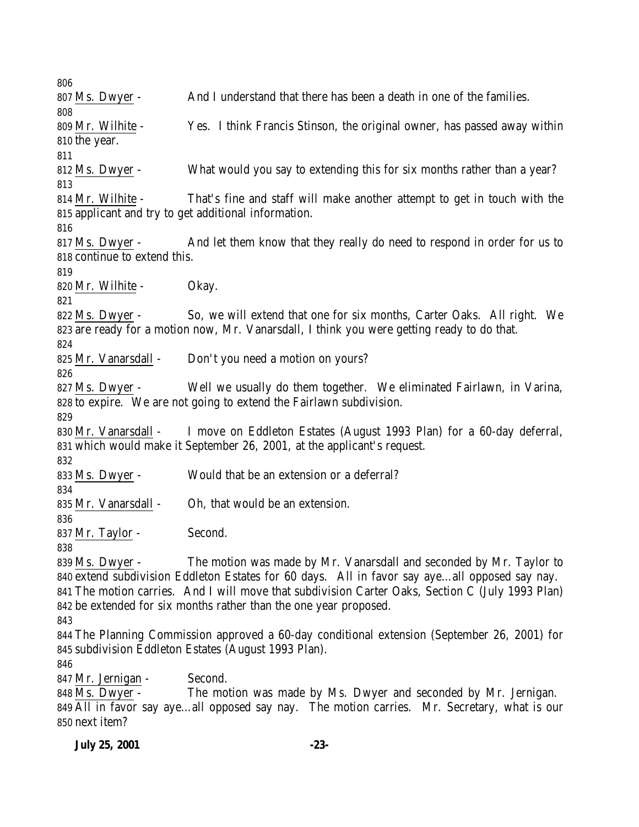Ms. Dwyer - And I understand that there has been a death in one of the families. Mr. Wilhite - Yes. I think Francis Stinson, the original owner, has passed away within the year. 812 Ms. Dwyer - What would you say to extending this for six months rather than a year? Mr. Wilhite - That's fine and staff will make another attempt to get in touch with the applicant and try to get additional information. 817 Ms. Dwyer - And let them know that they really do need to respond in order for us to continue to extend this. Mr. Wilhite - Okay. 822 Ms. Dwyer - So, we will extend that one for six months, Carter Oaks. All right. We are ready for a motion now, Mr. Vanarsdall, I think you were getting ready to do that. 825 Mr. Vanarsdall - Don't you need a motion on yours? Ms. Dwyer - Well we usually do them together. We eliminated Fairlawn, in Varina, to expire. We are not going to extend the Fairlawn subdivision. Mr. Vanarsdall - I move on Eddleton Estates (August 1993 Plan) for a 60-day deferral, which would make it September 26, 2001, at the applicant's request. Ms. Dwyer - Would that be an extension or a deferral? Mr. Vanarsdall - Oh, that would be an extension. 837 Mr. Taylor - Second. 839 Ms. Dwyer - The motion was made by Mr. Vanarsdall and seconded by Mr. Taylor to extend subdivision Eddleton Estates for 60 days. All in favor say aye…all opposed say nay. The motion carries. And I will move that subdivision Carter Oaks, Section C (July 1993 Plan) be extended for six months rather than the one year proposed. The Planning Commission approved a 60-day conditional extension (September 26, 2001) for subdivision Eddleton Estates (August 1993 Plan). Mr. Jernigan - Second. Ms. Dwyer - The motion was made by Ms. Dwyer and seconded by Mr. Jernigan. All in favor say aye…all opposed say nay. The motion carries. Mr. Secretary, what is our

next item?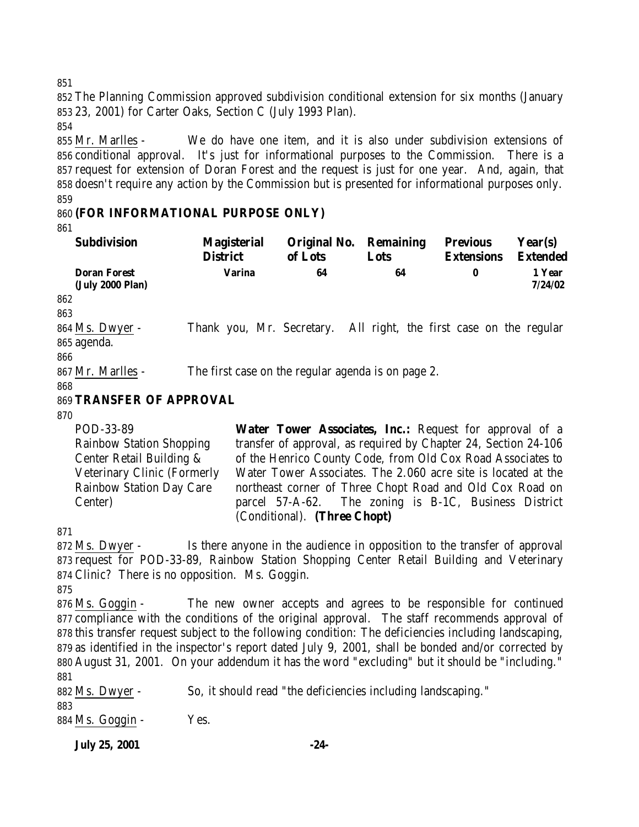852 The Planning Commission approved subdivision conditional extension for six months (January 853 23, 2001) for Carter Oaks, Section C (July 1993 Plan).

854

 Mr. Marlles - We do have one item, and it is also under subdivision extensions of conditional approval. It's just for informational purposes to the Commission. There is a request for extension of Doran Forest and the request is just for one year. And, again, that doesn't require any action by the Commission but is presented for informational purposes only. 859

# 860 **(FOR INFORMATIONAL PURPOSE ONLY)**

861

| <b>Subdivision</b>                      | <b>Magisterial</b><br><b>District</b>              | Original No.<br>of Lots                                 | Remaining<br>Lots | <b>Previous</b><br><b>Extensions</b>     | Year(s)<br><b>Extended</b> |
|-----------------------------------------|----------------------------------------------------|---------------------------------------------------------|-------------------|------------------------------------------|----------------------------|
| <b>Doran Forest</b><br>(July 2000 Plan) | <b>Varina</b>                                      | 64                                                      | 64                | 0                                        | 1 Year<br>7/24/02          |
| 862                                     |                                                    |                                                         |                   |                                          |                            |
| 863                                     |                                                    |                                                         |                   |                                          |                            |
| 864 Ms. Dwyer -                         | Thank you, Mr. Secretary.                          |                                                         |                   | All right, the first case on the regular |                            |
| 865 agenda.                             |                                                    |                                                         |                   |                                          |                            |
| 866                                     |                                                    |                                                         |                   |                                          |                            |
| 867 Mr. Marlles -                       | The first case on the regular agenda is on page 2. |                                                         |                   |                                          |                            |
| 868                                     |                                                    |                                                         |                   |                                          |                            |
| 869 TRANSFER OF APPROVAL                |                                                    |                                                         |                   |                                          |                            |
| 870                                     |                                                    |                                                         |                   |                                          |                            |
| DOD 99.00                               |                                                    | Water Tarren Aggestates Inc.: Deguest for ennuaval of a |                   |                                          |                            |

POD-33-89 Rainbow Station Shopping Center Retail Building & Veterinary Clinic (Formerly Rainbow Station Day Care Center)

**Water Tower Associates, Inc.:** Request for approval of a transfer of approval, as required by Chapter 24, Section 24-106 of the Henrico County Code, from Old Cox Road Associates to Water Tower Associates. The 2.060 acre site is located at the northeast corner of Three Chopt Road and Old Cox Road on parcel 57-A-62. The zoning is B-1C, Business District (Conditional). **(Three Chopt)**

871

872 Ms. Dwyer - Is there anyone in the audience in opposition to the transfer of approval 873 request for POD-33-89, Rainbow Station Shopping Center Retail Building and Veterinary 874 Clinic? There is no opposition. Ms. Goggin.

875

 Ms. Goggin - The new owner accepts and agrees to be responsible for continued compliance with the conditions of the original approval. The staff recommends approval of this transfer request subject to the following condition: The deficiencies including landscaping, as identified in the inspector's report dated July 9, 2001, shall be bonded and/or corrected by August 31, 2001. On your addendum it has the word "excluding" but it should be "including." 881

882 Ms. Dwyer - So, it should read "the deficiencies including landscaping." 883

884 Ms. Goggin - Yes.

**July 25, 2001 -24-**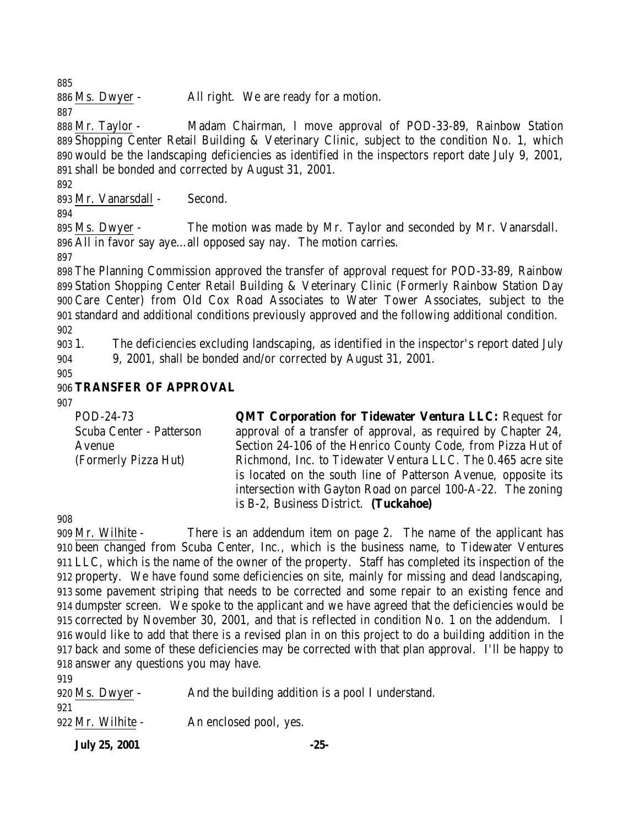Ms. Dwyer - All right. We are ready for a motion.

 Mr. Taylor - Madam Chairman, I move approval of POD-33-89, Rainbow Station Shopping Center Retail Building & Veterinary Clinic, subject to the condition No. 1, which would be the landscaping deficiencies as identified in the inspectors report date July 9, 2001, shall be bonded and corrected by August 31, 2001.

Mr. Vanarsdall - Second.

 Ms. Dwyer - The motion was made by Mr. Taylor and seconded by Mr. Vanarsdall. All in favor say aye…all opposed say nay. The motion carries.

 The Planning Commission approved the transfer of approval request for POD-33-89, Rainbow Station Shopping Center Retail Building & Veterinary Clinic (Formerly Rainbow Station Day Care Center) from Old Cox Road Associates to Water Tower Associates, subject to the standard and additional conditions previously approved and the following additional condition. 

 1. The deficiencies excluding landscaping, as identified in the inspector's report dated July 9, 2001, shall be bonded and/or corrected by August 31, 2001.

# **TRANSFER OF APPROVAL**

POD-24-73 Scuba Center - Patterson Avenue (Formerly Pizza Hut)

**QMT Corporation for Tidewater Ventura LLC:** Request for approval of a transfer of approval, as required by Chapter 24, Section 24-106 of the Henrico County Code, from Pizza Hut of Richmond, Inc. to Tidewater Ventura LLC. The 0.465 acre site is located on the south line of Patterson Avenue, opposite its intersection with Gayton Road on parcel 100-A-22. The zoning is B-2, Business District. **(Tuckahoe)**

 Mr. Wilhite - There is an addendum item on page 2. The name of the applicant has been changed from Scuba Center, Inc., which is the business name, to Tidewater Ventures LLC, which is the name of the owner of the property. Staff has completed its inspection of the property. We have found some deficiencies on site, mainly for missing and dead landscaping, some pavement striping that needs to be corrected and some repair to an existing fence and dumpster screen. We spoke to the applicant and we have agreed that the deficiencies would be corrected by November 30, 2001, and that is reflected in condition No. 1 on the addendum. I would like to add that there is a revised plan in on this project to do a building addition in the back and some of these deficiencies may be corrected with that plan approval. I'll be happy to answer any questions you may have. 

| And the building addition is a pool I understand.<br>$920$ Ms. Dwyer - |  |
|------------------------------------------------------------------------|--|
| 921                                                                    |  |
| 922 Mr. Wilhite -<br>An enclosed pool, yes.                            |  |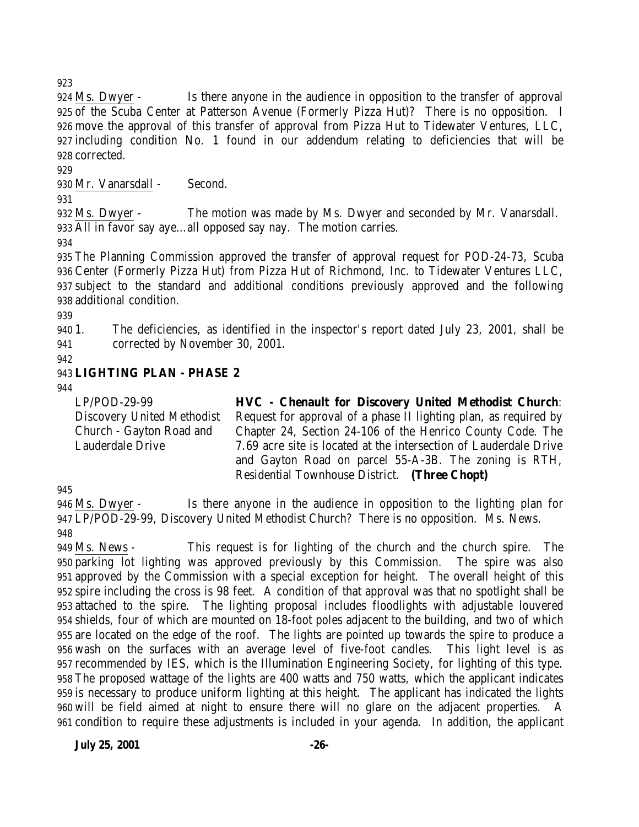Ms. Dwyer - Is there anyone in the audience in opposition to the transfer of approval of the Scuba Center at Patterson Avenue (Formerly Pizza Hut)? There is no opposition. I move the approval of this transfer of approval from Pizza Hut to Tidewater Ventures, LLC, including condition No. 1 found in our addendum relating to deficiencies that will be corrected.

Mr. Vanarsdall - Second.

 Ms. Dwyer - The motion was made by Ms. Dwyer and seconded by Mr. Vanarsdall. All in favor say aye…all opposed say nay. The motion carries.

 The Planning Commission approved the transfer of approval request for POD-24-73, Scuba Center (Formerly Pizza Hut) from Pizza Hut of Richmond, Inc. to Tidewater Ventures LLC, subject to the standard and additional conditions previously approved and the following additional condition.

 1. The deficiencies, as identified in the inspector's report dated July 23, 2001, shall be corrected by November 30, 2001.

# **LIGHTING PLAN - PHASE 2**

LP/POD-29-99 Discovery United Methodist Church - Gayton Road and Lauderdale Drive

**HVC - Chenault for Discovery United Methodist Church**: Request for approval of a phase II lighting plan, as required by Chapter 24, Section 24-106 of the Henrico County Code. The 7.69 acre site is located at the intersection of Lauderdale Drive and Gayton Road on parcel 55-A-3B. The zoning is RTH, Residential Townhouse District. **(Three Chopt)**

 Ms. Dwyer - Is there anyone in the audience in opposition to the lighting plan for LP/POD-29-99, Discovery United Methodist Church? There is no opposition. Ms. News. 

 Ms. News - This request is for lighting of the church and the church spire. The parking lot lighting was approved previously by this Commission. The spire was also approved by the Commission with a special exception for height. The overall height of this spire including the cross is 98 feet. A condition of that approval was that no spotlight shall be attached to the spire. The lighting proposal includes floodlights with adjustable louvered shields, four of which are mounted on 18-foot poles adjacent to the building, and two of which are located on the edge of the roof. The lights are pointed up towards the spire to produce a wash on the surfaces with an average level of five-foot candles. This light level is as recommended by IES, which is the Illumination Engineering Society, for lighting of this type. The proposed wattage of the lights are 400 watts and 750 watts, which the applicant indicates is necessary to produce uniform lighting at this height. The applicant has indicated the lights will be field aimed at night to ensure there will no glare on the adjacent properties. A condition to require these adjustments is included in your agenda. In addition, the applicant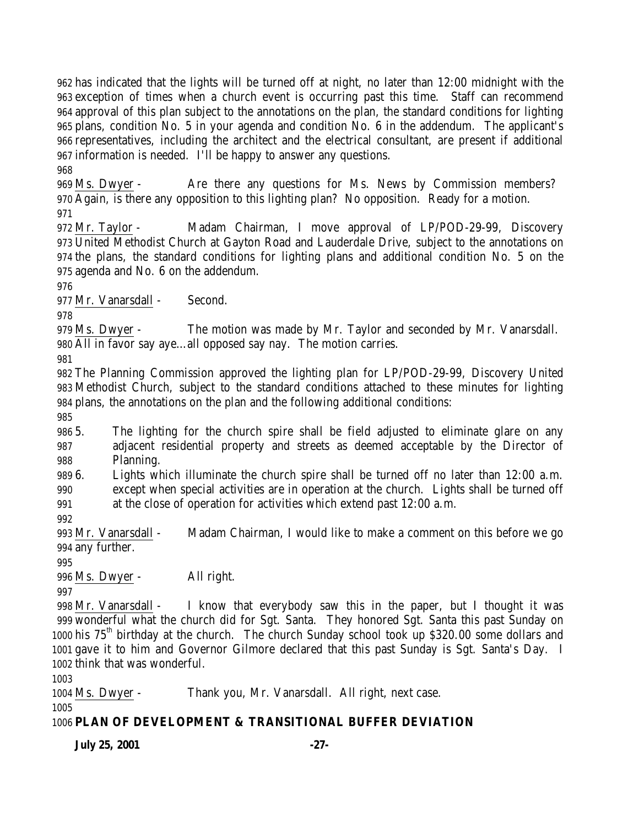has indicated that the lights will be turned off at night, no later than 12:00 midnight with the exception of times when a church event is occurring past this time. Staff can recommend approval of this plan subject to the annotations on the plan, the standard conditions for lighting plans, condition No. 5 in your agenda and condition No. 6 in the addendum. The applicant's representatives, including the architect and the electrical consultant, are present if additional information is needed. I'll be happy to answer any questions.

 Ms. Dwyer - Are there any questions for Ms. News by Commission members? Again, is there any opposition to this lighting plan? No opposition. Ready for a motion.

 Mr. Taylor - Madam Chairman, I move approval of LP/POD-29-99, Discovery United Methodist Church at Gayton Road and Lauderdale Drive, subject to the annotations on the plans, the standard conditions for lighting plans and additional condition No. 5 on the agenda and No. 6 on the addendum.

Mr. Vanarsdall - Second.

 Ms. Dwyer - The motion was made by Mr. Taylor and seconded by Mr. Vanarsdall. All in favor say aye…all opposed say nay. The motion carries.

 The Planning Commission approved the lighting plan for LP/POD-29-99, Discovery United Methodist Church, subject to the standard conditions attached to these minutes for lighting plans, the annotations on the plan and the following additional conditions:

 5. The lighting for the church spire shall be field adjusted to eliminate glare on any adjacent residential property and streets as deemed acceptable by the Director of Planning.

6. Lights which illuminate the church spire shall be turned off no later than 12:00 a.m.

 except when special activities are in operation at the church. Lights shall be turned off at the close of operation for activities which extend past 12:00 a.m.

 Mr. Vanarsdall - Madam Chairman, I would like to make a comment on this before we go any further.

Ms. Dwyer - All right.

 Mr. Vanarsdall - I know that everybody saw this in the paper, but I thought it was wonderful what the church did for Sgt. Santa. They honored Sgt. Santa this past Sunday on 1000 his 75<sup>th</sup> birthday at the church. The church Sunday school took up \$320.00 some dollars and gave it to him and Governor Gilmore declared that this past Sunday is Sgt. Santa's Day. I think that was wonderful.

Ms. Dwyer - Thank you, Mr. Vanarsdall. All right, next case.

**PLAN OF DEVELOPMENT & TRANSITIONAL BUFFER DEVIATION**

**July 25, 2001 -27-**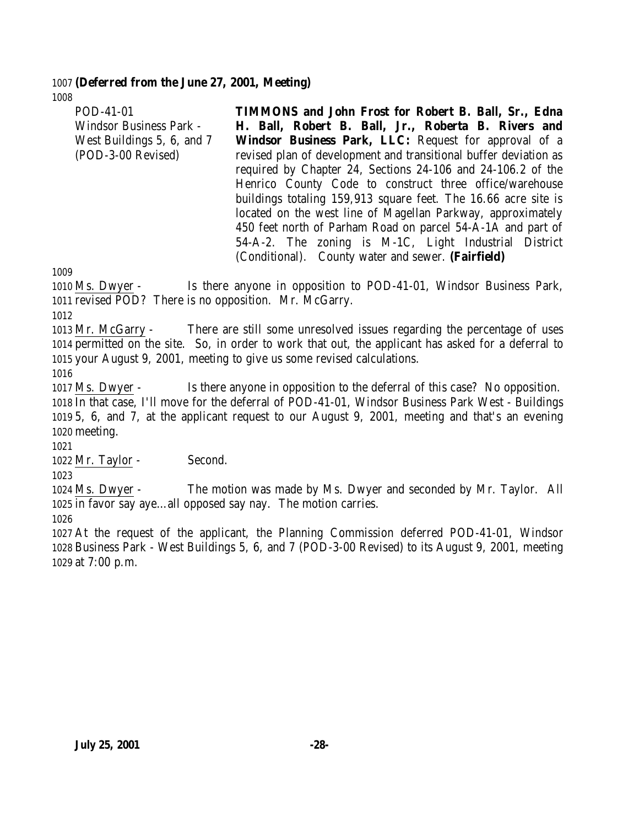#### 1007 **(Deferred from the June 27, 2001, Meeting)** 1008

| POD-41-01                  | <b>TIMMONS</b> and John Frost for Robert B. Ball, Sr., Edna      |
|----------------------------|------------------------------------------------------------------|
| Windsor Business Park -    | H. Ball, Robert B. Ball, Jr., Roberta B. Rivers and              |
| West Buildings 5, 6, and 7 | <b>Windsor Business Park, LLC:</b> Request for approval of a     |
| (POD-3-00 Revised)         | revised plan of development and transitional buffer deviation as |
|                            | required by Chapter 24, Sections 24-106 and 24-106.2 of the      |
|                            | Henrico County Code to construct three office/warehouse          |
|                            | buildings totaling 159,913 square feet. The 16.66 acre site is   |
|                            | located on the west line of Magellan Parkway, approximately      |
|                            | 450 feet north of Parham Road on parcel 54-A-1A and part of      |
|                            | 54-A-2. The zoning is M-1C, Light Industrial District            |
|                            | (Conditional). County water and sewer. (Fairfield)               |

1009

1010 Ms. Dwyer - Is there anyone in opposition to POD-41-01, Windsor Business Park, 1011 revised POD? There is no opposition. Mr. McGarry.

1012

1013 Mr. McGarry - There are still some unresolved issues regarding the percentage of uses 1014 permitted on the site. So, in order to work that out, the applicant has asked for a deferral to 1015 your August 9, 2001, meeting to give us some revised calculations.

1016

 Ms. Dwyer - Is there anyone in opposition to the deferral of this case? No opposition. In that case, I'll move for the deferral of POD-41-01, Windsor Business Park West - Buildings 5, 6, and 7, at the applicant request to our August 9, 2001, meeting and that's an evening 1020 meeting.

1021 1022 Mr. Taylor - Second.

1023

1024 Ms. Dwyer - The motion was made by Ms. Dwyer and seconded by Mr. Taylor. All 1025 in favor say aye…all opposed say nay. The motion carries.

1026

1027 At the request of the applicant, the Planning Commission deferred POD-41-01, Windsor 1028 Business Park - West Buildings 5, 6, and 7 (POD-3-00 Revised) to its August 9, 2001, meeting 1029 at 7:00 p.m.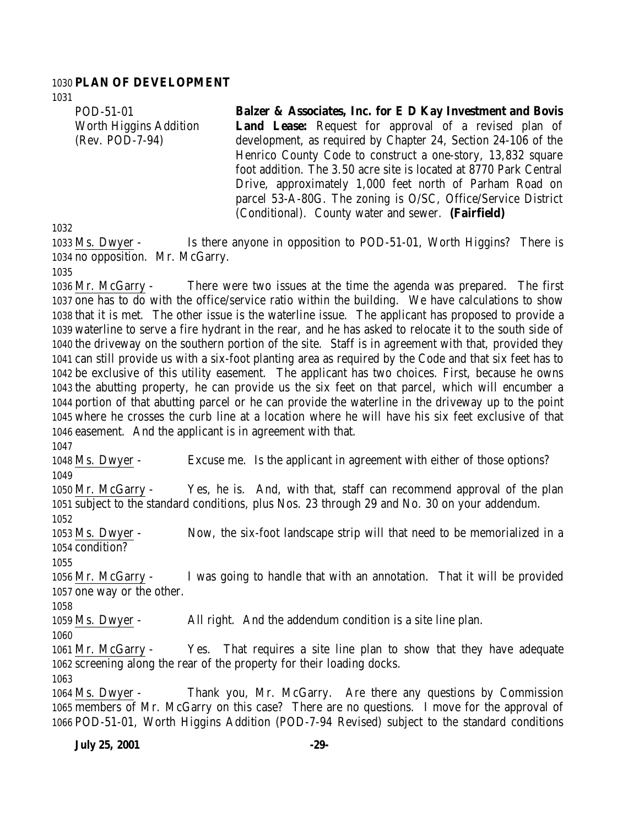#### **PLAN OF DEVELOPMENT**

POD-51-01 Worth Higgins Addition (Rev. POD-7-94)

**Balzer & Associates, Inc. for E D Kay Investment and Bovis Land Lease:** Request for approval of a revised plan of development, as required by Chapter 24, Section 24-106 of the Henrico County Code to construct a one-story, 13,832 square foot addition. The 3.50 acre site is located at 8770 Park Central Drive, approximately 1,000 feet north of Parham Road on parcel 53-A-80G. The zoning is O/SC, Office/Service District (Conditional). County water and sewer. **(Fairfield)**

 Ms. Dwyer - Is there anyone in opposition to POD-51-01, Worth Higgins? There is no opposition. Mr. McGarry.

 Mr. McGarry - There were two issues at the time the agenda was prepared. The first one has to do with the office/service ratio within the building. We have calculations to show that it is met. The other issue is the waterline issue. The applicant has proposed to provide a waterline to serve a fire hydrant in the rear, and he has asked to relocate it to the south side of the driveway on the southern portion of the site. Staff is in agreement with that, provided they can still provide us with a six-foot planting area as required by the Code and that six feet has to be exclusive of this utility easement. The applicant has two choices. First, because he owns the abutting property, he can provide us the six feet on that parcel, which will encumber a portion of that abutting parcel or he can provide the waterline in the driveway up to the point where he crosses the curb line at a location where he will have his six feet exclusive of that easement. And the applicant is in agreement with that.

 Ms. Dwyer - Excuse me. Is the applicant in agreement with either of those options? Mr. McGarry - Yes, he is. And, with that, staff can recommend approval of the plan subject to the standard conditions, plus Nos. 23 through 29 and No. 30 on your addendum. Ms. Dwyer - Now, the six-foot landscape strip will that need to be memorialized in a condition? Mr. McGarry - I was going to handle that with an annotation. That it will be provided one way or the other. Ms. Dwyer - All right. And the addendum condition is a site line plan. 

 Mr. McGarry - Yes. That requires a site line plan to show that they have adequate screening along the rear of the property for their loading docks. 

 Ms. Dwyer - Thank you, Mr. McGarry. Are there any questions by Commission members of Mr. McGarry on this case? There are no questions. I move for the approval of POD-51-01, Worth Higgins Addition (POD-7-94 Revised) subject to the standard conditions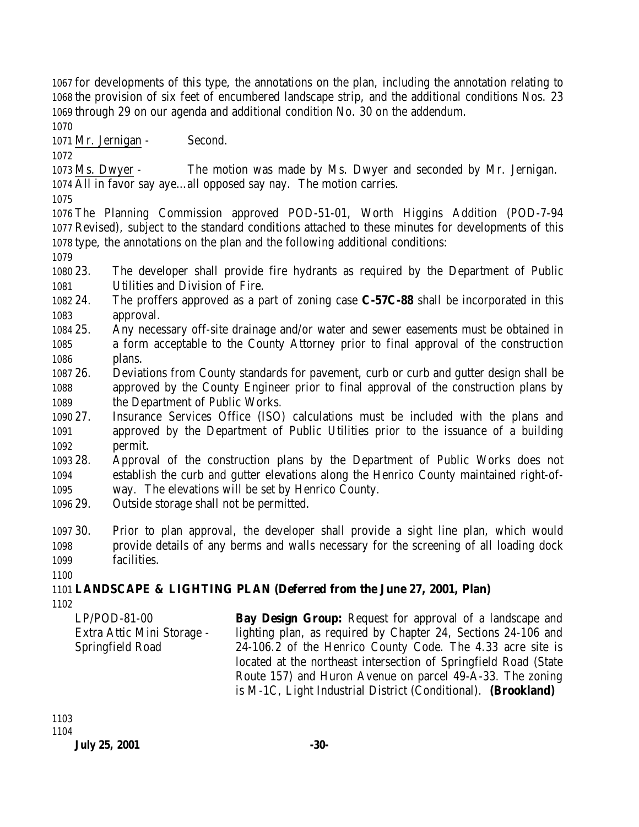for developments of this type, the annotations on the plan, including the annotation relating to the provision of six feet of encumbered landscape strip, and the additional conditions Nos. 23 through 29 on our agenda and additional condition No. 30 on the addendum.

Mr. Jernigan - Second.

 Ms. Dwyer - The motion was made by Ms. Dwyer and seconded by Mr. Jernigan. All in favor say aye…all opposed say nay. The motion carries.

 The Planning Commission approved POD-51-01, Worth Higgins Addition (POD-7-94 Revised), subject to the standard conditions attached to these minutes for developments of this type, the annotations on the plan and the following additional conditions:

 23. The developer shall provide fire hydrants as required by the Department of Public Utilities and Division of Fire.

- 24. The proffers approved as a part of zoning case **C-57C-88** shall be incorporated in this approval.
- 25. Any necessary off-site drainage and/or water and sewer easements must be obtained in a form acceptable to the County Attorney prior to final approval of the construction plans.
- 26. Deviations from County standards for pavement, curb or curb and gutter design shall be approved by the County Engineer prior to final approval of the construction plans by the Department of Public Works.
- 27. Insurance Services Office (ISO) calculations must be included with the plans and approved by the Department of Public Utilities prior to the issuance of a building permit.
- 28. Approval of the construction plans by the Department of Public Works does not establish the curb and gutter elevations along the Henrico County maintained right-of-way. The elevations will be set by Henrico County.
- 29. Outside storage shall not be permitted.
- 30. Prior to plan approval, the developer shall provide a sight line plan, which would provide details of any berms and walls necessary for the screening of all loading dock facilities.
- 

# **LANDSCAPE & LIGHTING PLAN (Deferred from the June 27, 2001, Plan)**

LP/POD-81-00 Extra Attic Mini Storage - Springfield Road **Bay Design Group:** Request for approval of a landscape and lighting plan, as required by Chapter 24, Sections 24-106 and 24-106.2 of the Henrico County Code. The 4.33 acre site is located at the northeast intersection of Springfield Road (State Route 157) and Huron Avenue on parcel 49-A-33. The zoning is M-1C, Light Industrial District (Conditional). **(Brookland)**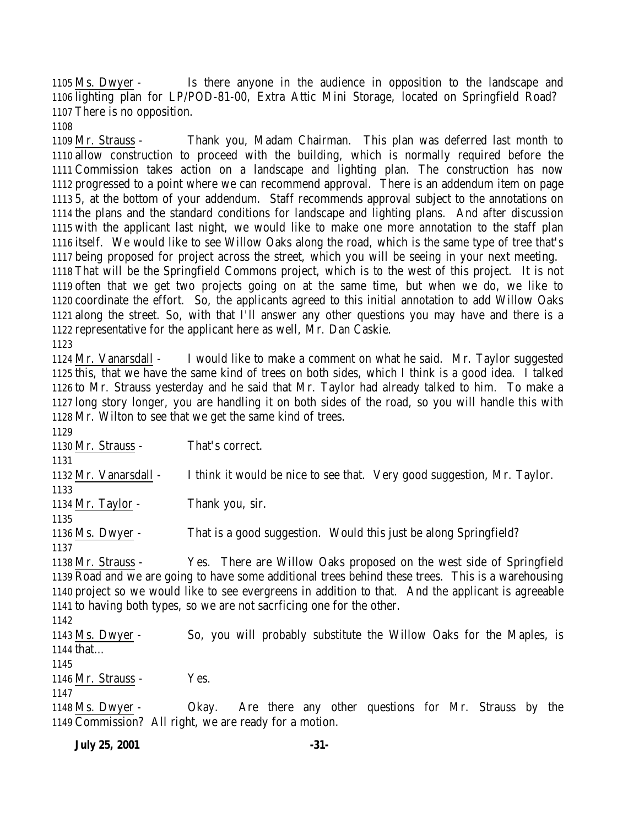Ms. Dwyer - Is there anyone in the audience in opposition to the landscape and lighting plan for LP/POD-81-00, Extra Attic Mini Storage, located on Springfield Road? There is no opposition.

 Mr. Strauss - Thank you, Madam Chairman. This plan was deferred last month to allow construction to proceed with the building, which is normally required before the Commission takes action on a landscape and lighting plan. The construction has now progressed to a point where we can recommend approval. There is an addendum item on page 5, at the bottom of your addendum. Staff recommends approval subject to the annotations on the plans and the standard conditions for landscape and lighting plans. And after discussion with the applicant last night, we would like to make one more annotation to the staff plan itself. We would like to see Willow Oaks along the road, which is the same type of tree that's being proposed for project across the street, which you will be seeing in your next meeting. That will be the Springfield Commons project, which is to the west of this project. It is not often that we get two projects going on at the same time, but when we do, we like to coordinate the effort. So, the applicants agreed to this initial annotation to add Willow Oaks along the street. So, with that I'll answer any other questions you may have and there is a representative for the applicant here as well, Mr. Dan Caskie. 

 Mr. Vanarsdall - I would like to make a comment on what he said. Mr. Taylor suggested this, that we have the same kind of trees on both sides, which I think is a good idea. I talked to Mr. Strauss yesterday and he said that Mr. Taylor had already talked to him. To make a long story longer, you are handling it on both sides of the road, so you will handle this with Mr. Wilton to see that we get the same kind of trees.

 Mr. Strauss - That's correct. Mr. Vanarsdall - I think it would be nice to see that. Very good suggestion, Mr. Taylor. Mr. Taylor - Thank you, sir. Ms. Dwyer - That is a good suggestion. Would this just be along Springfield? Mr. Strauss - Yes. There are Willow Oaks proposed on the west side of Springfield Road and we are going to have some additional trees behind these trees. This is a warehousing project so we would like to see evergreens in addition to that. And the applicant is agreeable to having both types, so we are not sacrficing one for the other. Ms. Dwyer - So, you will probably substitute the Willow Oaks for the Maples, is that… 

1146 Mr. Strauss - Yes.

 Ms. Dwyer - Okay. Are there any other questions for Mr. Strauss by the Commission? All right, we are ready for a motion.

**July 25, 2001 -31-**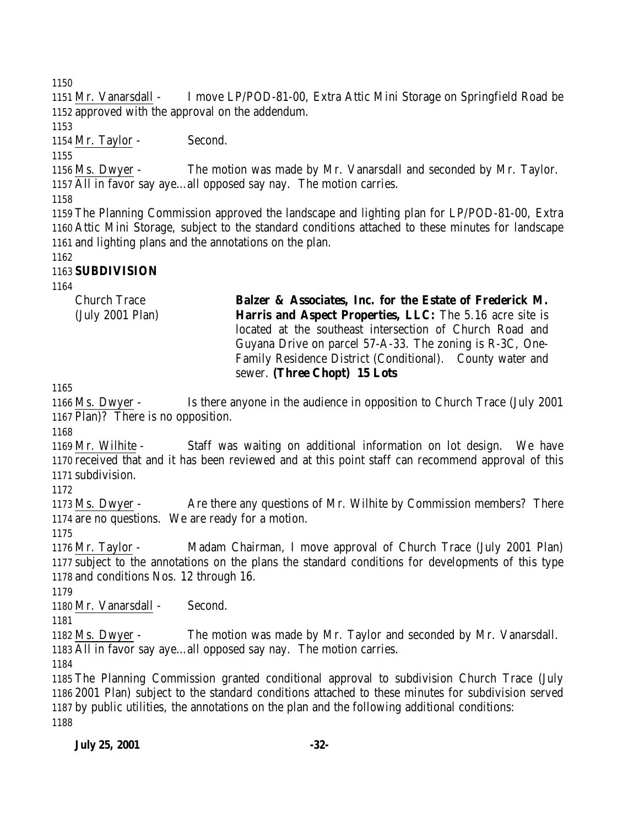Mr. Vanarsdall - I move LP/POD-81-00, Extra Attic Mini Storage on Springfield Road be approved with the approval on the addendum.

1154 Mr. Taylor - Second.

 Ms. Dwyer - The motion was made by Mr. Vanarsdall and seconded by Mr. Taylor. All in favor say aye…all opposed say nay. The motion carries.

 The Planning Commission approved the landscape and lighting plan for LP/POD-81-00, Extra Attic Mini Storage, subject to the standard conditions attached to these minutes for landscape and lighting plans and the annotations on the plan.

# **SUBDIVISION**

Church Trace (July 2001 Plan) **Balzer & Associates, Inc. for the Estate of Frederick M. Harris and Aspect Properties, LLC:** The 5.16 acre site is located at the southeast intersection of Church Road and Guyana Drive on parcel 57-A-33. The zoning is R-3C, One-Family Residence District (Conditional). County water and

sewer. **(Three Chopt) 15 Lots**

 Ms. Dwyer - Is there anyone in the audience in opposition to Church Trace (July 2001 Plan)? There is no opposition.

 Mr. Wilhite - Staff was waiting on additional information on lot design. We have received that and it has been reviewed and at this point staff can recommend approval of this subdivision.

 Ms. Dwyer - Are there any questions of Mr. Wilhite by Commission members? There are no questions. We are ready for a motion.

 Mr. Taylor - Madam Chairman, I move approval of Church Trace (July 2001 Plan) subject to the annotations on the plans the standard conditions for developments of this type and conditions Nos. 12 through 16.

Mr. Vanarsdall - Second.

 Ms. Dwyer - The motion was made by Mr. Taylor and seconded by Mr. Vanarsdall. All in favor say aye…all opposed say nay. The motion carries.

 The Planning Commission granted conditional approval to subdivision Church Trace (July 2001 Plan) subject to the standard conditions attached to these minutes for subdivision served by public utilities, the annotations on the plan and the following additional conditions: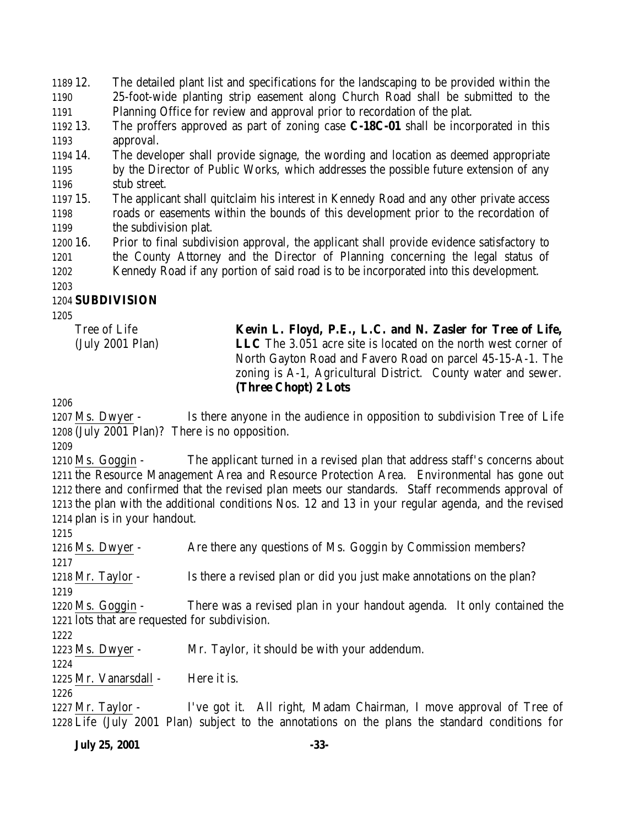12. The detailed plant list and specifications for the landscaping to be provided within the 25-foot-wide planting strip easement along Church Road shall be submitted to the Planning Office for review and approval prior to recordation of the plat.

- 13. The proffers approved as part of zoning case **C-18C-01** shall be incorporated in this approval.
- 14. The developer shall provide signage, the wording and location as deemed appropriate by the Director of Public Works, which addresses the possible future extension of any stub street.
- 15. The applicant shall quitclaim his interest in Kennedy Road and any other private access roads or easements within the bounds of this development prior to the recordation of the subdivision plat.
- 16. Prior to final subdivision approval, the applicant shall provide evidence satisfactory to the County Attorney and the Director of Planning concerning the legal status of Kennedy Road if any portion of said road is to be incorporated into this development.

### 

# **SUBDIVISION**

Tree of Life (July 2001 Plan) **Kevin L. Floyd, P.E., L.C. and N. Zasler for Tree of Life, LLC** The 3.051 acre site is located on the north west corner of North Gayton Road and Favero Road on parcel 45-15-A-1. The zoning is A-1, Agricultural District. County water and sewer. **(Three Chopt) 2 Lots**

 Ms. Dwyer - Is there anyone in the audience in opposition to subdivision Tree of Life (July 2001 Plan)? There is no opposition.

 Ms. Goggin - The applicant turned in a revised plan that address staff's concerns about the Resource Management Area and Resource Protection Area. Environmental has gone out there and confirmed that the revised plan meets our standards. Staff recommends approval of the plan with the additional conditions Nos. 12 and 13 in your regular agenda, and the revised plan is in your handout.

 Ms. Dwyer - Are there any questions of Ms. Goggin by Commission members? 1218 Mr. Taylor - Is there a revised plan or did you just make annotations on the plan? Ms. Goggin - There was a revised plan in your handout agenda. It only contained the lots that are requested for subdivision. Ms. Dwyer - Mr. Taylor, it should be with your addendum. 1225 Mr. Vanarsdall - Here it is. Mr. Taylor - I've got it. All right, Madam Chairman, I move approval of Tree of

Life (July 2001 Plan) subject to the annotations on the plans the standard conditions for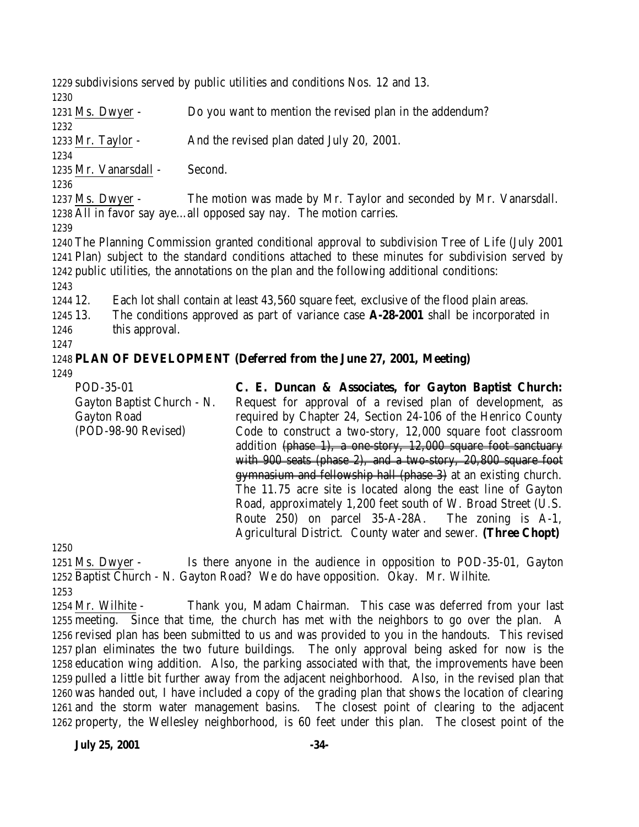subdivisions served by public utilities and conditions Nos. 12 and 13.

 Ms. Dwyer - Do you want to mention the revised plan in the addendum? Mr. Taylor - And the revised plan dated July 20, 2001. Mr. Vanarsdall - Second. Ms. Dwyer - The motion was made by Mr. Taylor and seconded by Mr. Vanarsdall. All in favor say aye…all opposed say nay. The motion carries. The Planning Commission granted conditional approval to subdivision Tree of Life (July 2001 Plan) subject to the standard conditions attached to these minutes for subdivision served by public utilities, the annotations on the plan and the following additional conditions: 12. Each lot shall contain at least 43,560 square feet, exclusive of the flood plain areas. 13. The conditions approved as part of variance case **A-28-2001** shall be incorporated in 1246 this approval. **PLAN OF DEVELOPMENT (Deferred from the June 27, 2001, Meeting)** POD-35-01 Gayton Baptist Church - N. Gayton Road (POD-98-90 Revised) **C. E. Duncan & Associates, for Gayton Baptist Church:** Request for approval of a revised plan of development, as required by Chapter 24, Section 24-106 of the Henrico County Code to construct a two-story, 12,000 square foot classroom

addition (phase 1), a one-story, 12,000 square foot sanctuary with 900 seats (phase 2), and a two-story, 20,800 square foot gymnasium and fellowship hall (phase 3) at an existing church. The 11.75 acre site is located along the east line of Gayton Road, approximately 1,200 feet south of W. Broad Street (U.S. Route 250) on parcel 35-A-28A. The zoning is A-1, Agricultural District. County water and sewer. **(Three Chopt)**

 Ms. Dwyer - Is there anyone in the audience in opposition to POD-35-01, Gayton Baptist Church - N. Gayton Road? We do have opposition. Okay. Mr. Wilhite. 

 Mr. Wilhite - Thank you, Madam Chairman. This case was deferred from your last meeting. Since that time, the church has met with the neighbors to go over the plan. A revised plan has been submitted to us and was provided to you in the handouts. This revised plan eliminates the two future buildings. The only approval being asked for now is the education wing addition. Also, the parking associated with that, the improvements have been pulled a little bit further away from the adjacent neighborhood. Also, in the revised plan that was handed out, I have included a copy of the grading plan that shows the location of clearing and the storm water management basins. The closest point of clearing to the adjacent property, the Wellesley neighborhood, is 60 feet under this plan. The closest point of the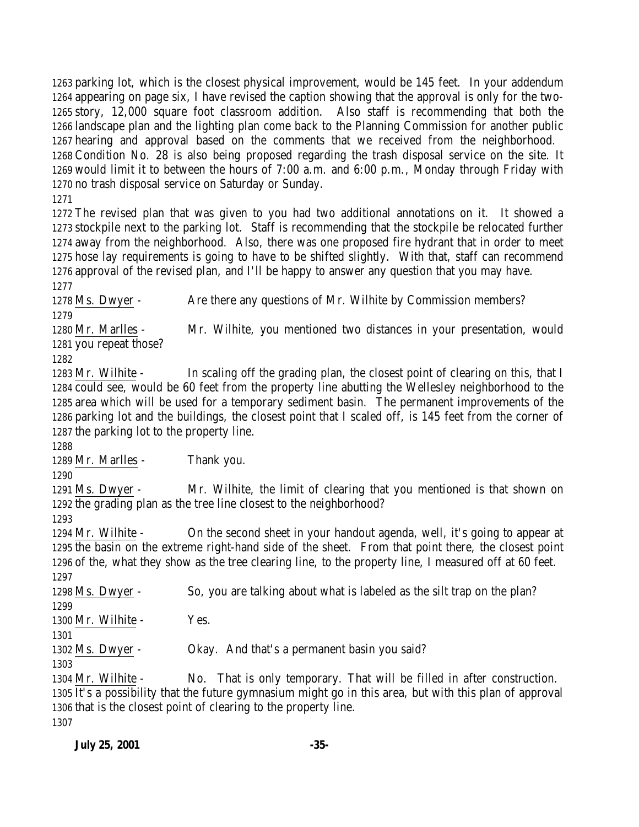parking lot, which is the closest physical improvement, would be 145 feet. In your addendum appearing on page six, I have revised the caption showing that the approval is only for the two- story, 12,000 square foot classroom addition. Also staff is recommending that both the landscape plan and the lighting plan come back to the Planning Commission for another public hearing and approval based on the comments that we received from the neighborhood. Condition No. 28 is also being proposed regarding the trash disposal service on the site. It would limit it to between the hours of 7:00 a.m. and 6:00 p.m., Monday through Friday with no trash disposal service on Saturday or Sunday.

 The revised plan that was given to you had two additional annotations on it. It showed a stockpile next to the parking lot. Staff is recommending that the stockpile be relocated further away from the neighborhood. Also, there was one proposed fire hydrant that in order to meet hose lay requirements is going to have to be shifted slightly. With that, staff can recommend approval of the revised plan, and I'll be happy to answer any question that you may have.

1278 Ms. Dwyer - Are there any questions of Mr. Wilhite by Commission members? 

Mr. Marlles - Mr. Wilhite, you mentioned two distances in your presentation, would

 you repeat those? 

1283 Mr. Wilhite - In scaling off the grading plan, the closest point of clearing on this, that I could see, would be 60 feet from the property line abutting the Wellesley neighborhood to the area which will be used for a temporary sediment basin. The permanent improvements of the parking lot and the buildings, the closest point that I scaled off, is 145 feet from the corner of the parking lot to the property line.

Mr. Marlles - Thank you.

 Ms. Dwyer - Mr. Wilhite, the limit of clearing that you mentioned is that shown on the grading plan as the tree line closest to the neighborhood?

 Mr. Wilhite - On the second sheet in your handout agenda, well, it's going to appear at the basin on the extreme right-hand side of the sheet. From that point there, the closest point of the, what they show as the tree clearing line, to the property line, I measured off at 60 feet. 

 Ms. Dwyer - So, you are talking about what is labeled as the silt trap on the plan? 

1300 Mr. Wilhite - Yes.

Ms. Dwyer - Okay. And that's a permanent basin you said?

 Mr. Wilhite - No. That is only temporary. That will be filled in after construction. It's a possibility that the future gymnasium might go in this area, but with this plan of approval that is the closest point of clearing to the property line.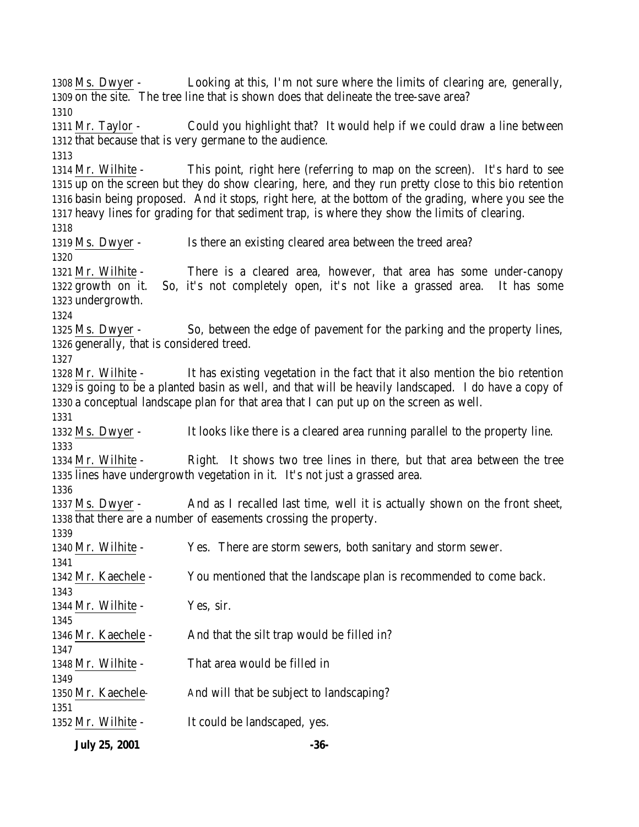Ms. Dwyer - Looking at this, I'm not sure where the limits of clearing are, generally, on the site. The tree line that is shown does that delineate the tree-save area? Mr. Taylor - Could you highlight that? It would help if we could draw a line between that because that is very germane to the audience. Mr. Wilhite - This point, right here (referring to map on the screen). It's hard to see up on the screen but they do show clearing, here, and they run pretty close to this bio retention basin being proposed. And it stops, right here, at the bottom of the grading, where you see the heavy lines for grading for that sediment trap, is where they show the limits of clearing. Ms. Dwyer - Is there an existing cleared area between the treed area? Mr. Wilhite - There is a cleared area, however, that area has some under-canopy growth on it. So, it's not completely open, it's not like a grassed area. It has some undergrowth. Ms. Dwyer - So, between the edge of pavement for the parking and the property lines, generally, that is considered treed. Mr. Wilhite - It has existing vegetation in the fact that it also mention the bio retention is going to be a planted basin as well, and that will be heavily landscaped. I do have a copy of a conceptual landscape plan for that area that I can put up on the screen as well. Ms. Dwyer - It looks like there is a cleared area running parallel to the property line. Mr. Wilhite - Right. It shows two tree lines in there, but that area between the tree lines have undergrowth vegetation in it. It's not just a grassed area. Ms. Dwyer - And as I recalled last time, well it is actually shown on the front sheet, that there are a number of easements crossing the property. Mr. Wilhite - Yes. There are storm sewers, both sanitary and storm sewer. Mr. Kaechele - You mentioned that the landscape plan is recommended to come back. 1344 Mr. Wilhite - Yes, sir. 1346 Mr. Kaechele - And that the silt trap would be filled in? Mr. Wilhite - That area would be filled in 1350 Mr. Kaechele- And will that be subject to landscaping? Mr. Wilhite - It could be landscaped, yes.

**July 25, 2001 -36-**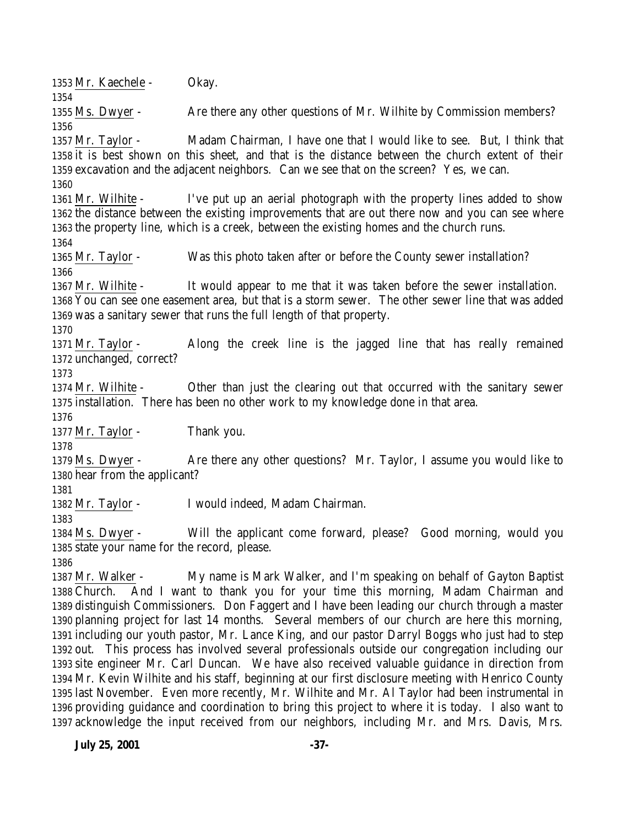Mr. Kaechele - Okay. Ms. Dwyer - Are there any other questions of Mr. Wilhite by Commission members? Mr. Taylor - Madam Chairman, I have one that I would like to see. But, I think that it is best shown on this sheet, and that is the distance between the church extent of their excavation and the adjacent neighbors. Can we see that on the screen? Yes, we can. Mr. Wilhite - I've put up an aerial photograph with the property lines added to show the distance between the existing improvements that are out there now and you can see where the property line, which is a creek, between the existing homes and the church runs. Mr. Taylor - Was this photo taken after or before the County sewer installation? Mr. Wilhite - It would appear to me that it was taken before the sewer installation. You can see one easement area, but that is a storm sewer. The other sewer line that was added was a sanitary sewer that runs the full length of that property. Mr. Taylor - Along the creek line is the jagged line that has really remained unchanged, correct? Mr. Wilhite - Other than just the clearing out that occurred with the sanitary sewer installation. There has been no other work to my knowledge done in that area. 1377 Mr. Taylor - Thank you. Ms. Dwyer - Are there any other questions? Mr. Taylor, I assume you would like to hear from the applicant? Mr. Taylor - I would indeed, Madam Chairman. Ms. Dwyer - Will the applicant come forward, please? Good morning, would you state your name for the record, please. Mr. Walker - My name is Mark Walker, and I'm speaking on behalf of Gayton Baptist Church. And I want to thank you for your time this morning, Madam Chairman and distinguish Commissioners. Don Faggert and I have been leading our church through a master planning project for last 14 months. Several members of our church are here this morning, including our youth pastor, Mr. Lance King, and our pastor Darryl Boggs who just had to step out. This process has involved several professionals outside our congregation including our site engineer Mr. Carl Duncan. We have also received valuable guidance in direction from

 Mr. Kevin Wilhite and his staff, beginning at our first disclosure meeting with Henrico County last November. Even more recently, Mr. Wilhite and Mr. Al Taylor had been instrumental in providing guidance and coordination to bring this project to where it is today. I also want to acknowledge the input received from our neighbors, including Mr. and Mrs. Davis, Mrs.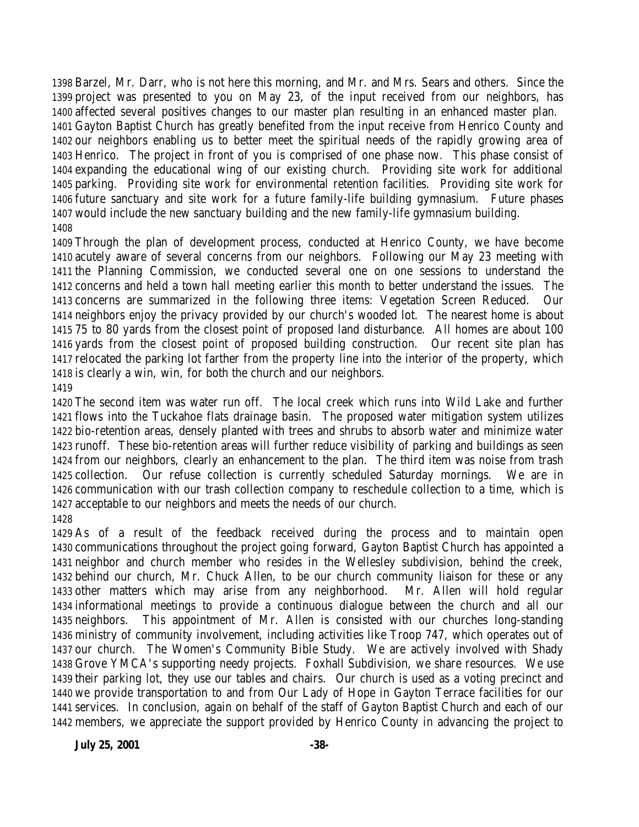Barzel, Mr. Darr, who is not here this morning, and Mr. and Mrs. Sears and others. Since the project was presented to you on May 23, of the input received from our neighbors, has affected several positives changes to our master plan resulting in an enhanced master plan. Gayton Baptist Church has greatly benefited from the input receive from Henrico County and our neighbors enabling us to better meet the spiritual needs of the rapidly growing area of Henrico. The project in front of you is comprised of one phase now. This phase consist of expanding the educational wing of our existing church. Providing site work for additional parking. Providing site work for environmental retention facilities. Providing site work for future sanctuary and site work for a future family-life building gymnasium. Future phases would include the new sanctuary building and the new family-life gymnasium building. 

 Through the plan of development process, conducted at Henrico County, we have become acutely aware of several concerns from our neighbors. Following our May 23 meeting with the Planning Commission, we conducted several one on one sessions to understand the concerns and held a town hall meeting earlier this month to better understand the issues. The concerns are summarized in the following three items: Vegetation Screen Reduced. Our neighbors enjoy the privacy provided by our church's wooded lot. The nearest home is about 75 to 80 yards from the closest point of proposed land disturbance. All homes are about 100 yards from the closest point of proposed building construction. Our recent site plan has relocated the parking lot farther from the property line into the interior of the property, which is clearly a win, win, for both the church and our neighbors. 

 The second item was water run off. The local creek which runs into Wild Lake and further flows into the Tuckahoe flats drainage basin. The proposed water mitigation system utilizes bio-retention areas, densely planted with trees and shrubs to absorb water and minimize water runoff. These bio-retention areas will further reduce visibility of parking and buildings as seen from our neighbors, clearly an enhancement to the plan. The third item was noise from trash collection. Our refuse collection is currently scheduled Saturday mornings. We are in communication with our trash collection company to reschedule collection to a time, which is acceptable to our neighbors and meets the needs of our church. 

 As of a result of the feedback received during the process and to maintain open communications throughout the project going forward, Gayton Baptist Church has appointed a neighbor and church member who resides in the Wellesley subdivision, behind the creek, behind our church, Mr. Chuck Allen, to be our church community liaison for these or any other matters which may arise from any neighborhood. Mr. Allen will hold regular informational meetings to provide a continuous dialogue between the church and all our neighbors. This appointment of Mr. Allen is consisted with our churches long-standing ministry of community involvement, including activities like Troop 747, which operates out of our church. The Women's Community Bible Study. We are actively involved with Shady Grove YMCA's supporting needy projects. Foxhall Subdivision, we share resources. We use their parking lot, they use our tables and chairs. Our church is used as a voting precinct and we provide transportation to and from Our Lady of Hope in Gayton Terrace facilities for our services. In conclusion, again on behalf of the staff of Gayton Baptist Church and each of our members, we appreciate the support provided by Henrico County in advancing the project to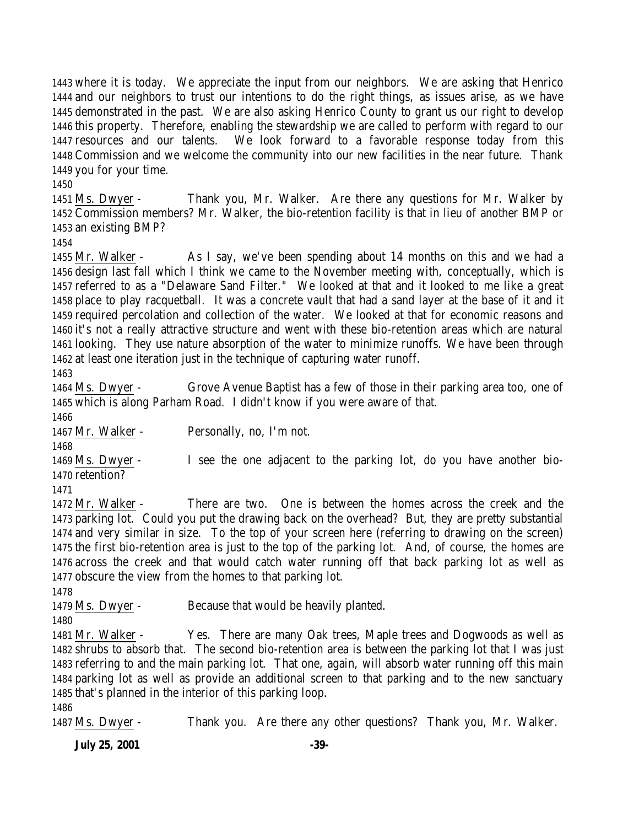where it is today. We appreciate the input from our neighbors. We are asking that Henrico and our neighbors to trust our intentions to do the right things, as issues arise, as we have demonstrated in the past. We are also asking Henrico County to grant us our right to develop this property. Therefore, enabling the stewardship we are called to perform with regard to our resources and our talents. We look forward to a favorable response today from this Commission and we welcome the community into our new facilities in the near future. Thank you for your time.

 Ms. Dwyer - Thank you, Mr. Walker. Are there any questions for Mr. Walker by Commission members? Mr. Walker, the bio-retention facility is that in lieu of another BMP or an existing BMP?

 Mr. Walker - As I say, we've been spending about 14 months on this and we had a design last fall which I think we came to the November meeting with, conceptually, which is referred to as a "Delaware Sand Filter." We looked at that and it looked to me like a great place to play racquetball. It was a concrete vault that had a sand layer at the base of it and it required percolation and collection of the water. We looked at that for economic reasons and it's not a really attractive structure and went with these bio-retention areas which are natural looking. They use nature absorption of the water to minimize runoffs. We have been through at least one iteration just in the technique of capturing water runoff.

 Ms. Dwyer - Grove Avenue Baptist has a few of those in their parking area too, one of which is along Parham Road. I didn't know if you were aware of that.

Mr. Walker - Personally, no, I'm not.

 Ms. Dwyer - I see the one adjacent to the parking lot, do you have another bio-retention?

 Mr. Walker - There are two. One is between the homes across the creek and the parking lot. Could you put the drawing back on the overhead? But, they are pretty substantial and very similar in size. To the top of your screen here (referring to drawing on the screen) the first bio-retention area is just to the top of the parking lot. And, of course, the homes are across the creek and that would catch water running off that back parking lot as well as obscure the view from the homes to that parking lot.

Ms. Dwyer - Because that would be heavily planted.

 Mr. Walker - Yes. There are many Oak trees, Maple trees and Dogwoods as well as shrubs to absorb that. The second bio-retention area is between the parking lot that I was just referring to and the main parking lot. That one, again, will absorb water running off this main parking lot as well as provide an additional screen to that parking and to the new sanctuary that's planned in the interior of this parking loop. 

Ms. Dwyer - Thank you. Are there any other questions? Thank you, Mr. Walker.

**July 25, 2001 -39-**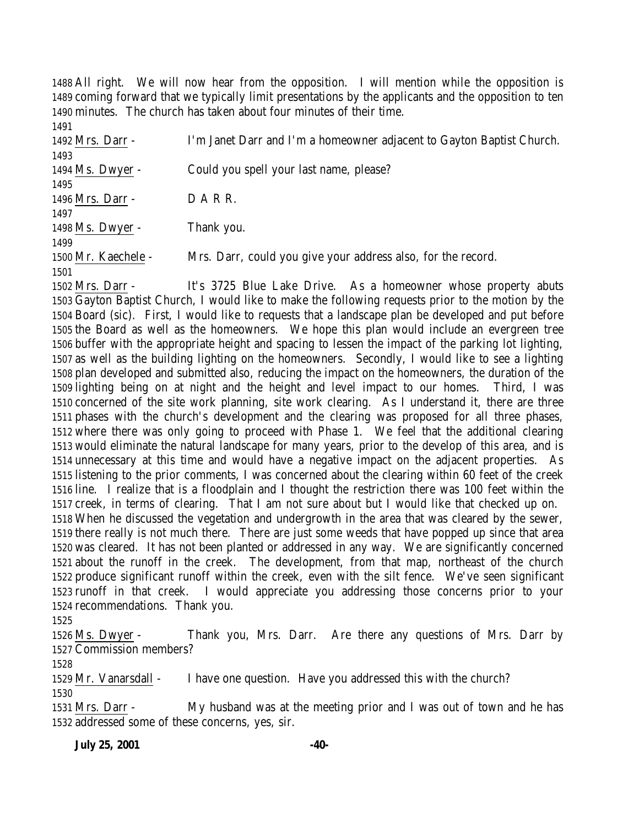All right. We will now hear from the opposition. I will mention while the opposition is coming forward that we typically limit presentations by the applicants and the opposition to ten minutes. The church has taken about four minutes of their time. 

| 1491                |                                                                       |
|---------------------|-----------------------------------------------------------------------|
| 1492 Mrs. Darr -    | I'm Janet Darr and I'm a homeowner adjacent to Gayton Baptist Church. |
| 1493                |                                                                       |
| 1494 Ms. Dwyer -    | Could you spell your last name, please?                               |
| 1495                |                                                                       |
| 1496 Mrs. Darr -    | DARR.                                                                 |
| 1497                |                                                                       |
| 1498 Ms. Dwyer -    | Thank you.                                                            |
| 1499                |                                                                       |
| 1500 Mr. Kaechele - | Mrs. Darr, could you give your address also, for the record.          |
| 1501                |                                                                       |

 Mrs. Darr - It's 3725 Blue Lake Drive. As a homeowner whose property abuts Gayton Baptist Church, I would like to make the following requests prior to the motion by the Board (sic). First, I would like to requests that a landscape plan be developed and put before the Board as well as the homeowners. We hope this plan would include an evergreen tree buffer with the appropriate height and spacing to lessen the impact of the parking lot lighting, as well as the building lighting on the homeowners. Secondly, I would like to see a lighting plan developed and submitted also, reducing the impact on the homeowners, the duration of the lighting being on at night and the height and level impact to our homes. Third, I was concerned of the site work planning, site work clearing. As I understand it, there are three phases with the church's development and the clearing was proposed for all three phases, where there was only going to proceed with Phase 1. We feel that the additional clearing would eliminate the natural landscape for many years, prior to the develop of this area, and is unnecessary at this time and would have a negative impact on the adjacent properties. As listening to the prior comments, I was concerned about the clearing within 60 feet of the creek line. I realize that is a floodplain and I thought the restriction there was 100 feet within the creek, in terms of clearing. That I am not sure about but I would like that checked up on. When he discussed the vegetation and undergrowth in the area that was cleared by the sewer, there really is not much there. There are just some weeds that have popped up since that area was cleared. It has not been planted or addressed in any way. We are significantly concerned about the runoff in the creek. The development, from that map, northeast of the church produce significant runoff within the creek, even with the silt fence. We've seen significant runoff in that creek. I would appreciate you addressing those concerns prior to your recommendations. Thank you.

 Ms. Dwyer - Thank you, Mrs. Darr. Are there any questions of Mrs. Darr by Commission members?

 Mr. Vanarsdall - I have one question. Have you addressed this with the church? 

 Mrs. Darr - My husband was at the meeting prior and I was out of town and he has addressed some of these concerns, yes, sir.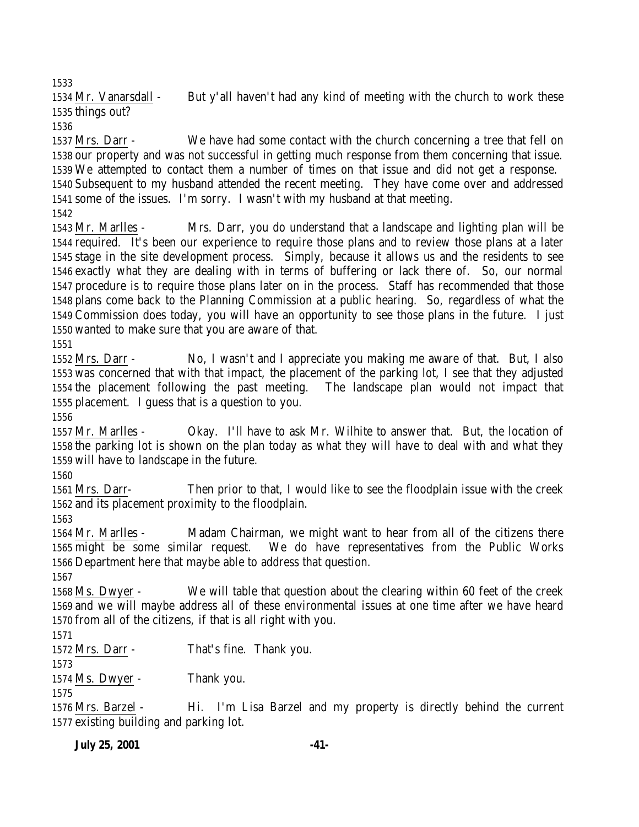Mr. Vanarsdall - But y'all haven't had any kind of meeting with the church to work these things out?

 Mrs. Darr - We have had some contact with the church concerning a tree that fell on our property and was not successful in getting much response from them concerning that issue. We attempted to contact them a number of times on that issue and did not get a response. Subsequent to my husband attended the recent meeting. They have come over and addressed some of the issues. I'm sorry. I wasn't with my husband at that meeting. 

 Mr. Marlles - Mrs. Darr, you do understand that a landscape and lighting plan will be required. It's been our experience to require those plans and to review those plans at a later stage in the site development process. Simply, because it allows us and the residents to see exactly what they are dealing with in terms of buffering or lack there of. So, our normal procedure is to require those plans later on in the process. Staff has recommended that those plans come back to the Planning Commission at a public hearing. So, regardless of what the Commission does today, you will have an opportunity to see those plans in the future. I just wanted to make sure that you are aware of that.

 Mrs. Darr - No, I wasn't and I appreciate you making me aware of that. But, I also was concerned that with that impact, the placement of the parking lot, I see that they adjusted the placement following the past meeting. The landscape plan would not impact that placement. I guess that is a question to you.

 Mr. Marlles - Okay. I'll have to ask Mr. Wilhite to answer that. But, the location of the parking lot is shown on the plan today as what they will have to deal with and what they will have to landscape in the future.

 Mrs. Darr- Then prior to that, I would like to see the floodplain issue with the creek and its placement proximity to the floodplain.

 Mr. Marlles - Madam Chairman, we might want to hear from all of the citizens there might be some similar request. We do have representatives from the Public Works Department here that maybe able to address that question.

 Ms. Dwyer - We will table that question about the clearing within 60 feet of the creek and we will maybe address all of these environmental issues at one time after we have heard from all of the citizens, if that is all right with you.

Mrs. Darr - That's fine. Thank you.

Ms. Dwyer - Thank you.

 Mrs. Barzel - Hi. I'm Lisa Barzel and my property is directly behind the current existing building and parking lot.

**July 25, 2001 -41-**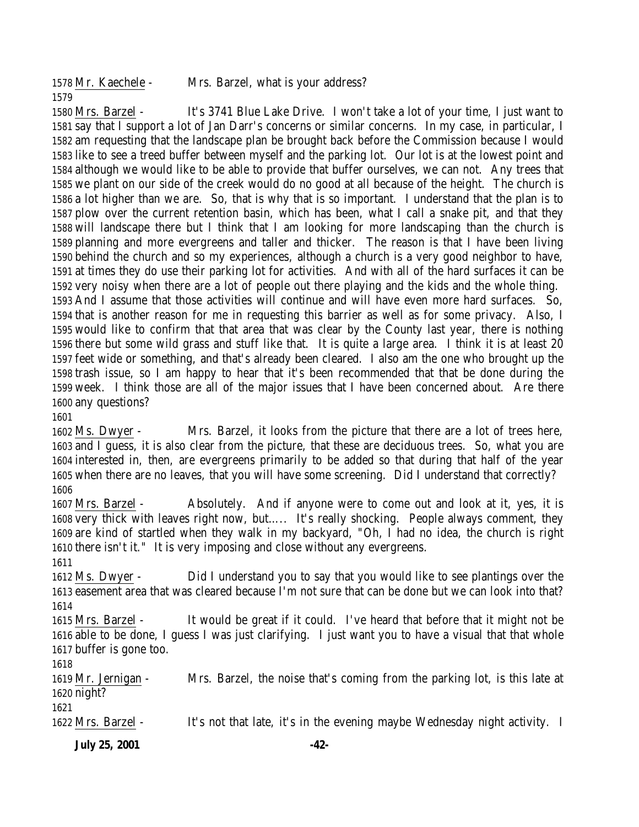Mr. Kaechele - Mrs. Barzel, what is your address? 

 Mrs. Barzel - It's 3741 Blue Lake Drive. I won't take a lot of your time, I just want to say that I support a lot of Jan Darr's concerns or similar concerns. In my case, in particular, I am requesting that the landscape plan be brought back before the Commission because I would like to see a treed buffer between myself and the parking lot. Our lot is at the lowest point and although we would like to be able to provide that buffer ourselves, we can not. Any trees that we plant on our side of the creek would do no good at all because of the height. The church is a lot higher than we are. So, that is why that is so important. I understand that the plan is to plow over the current retention basin, which has been, what I call a snake pit, and that they will landscape there but I think that I am looking for more landscaping than the church is planning and more evergreens and taller and thicker. The reason is that I have been living behind the church and so my experiences, although a church is a very good neighbor to have, at times they do use their parking lot for activities. And with all of the hard surfaces it can be very noisy when there are a lot of people out there playing and the kids and the whole thing. And I assume that those activities will continue and will have even more hard surfaces. So, that is another reason for me in requesting this barrier as well as for some privacy. Also, I would like to confirm that that area that was clear by the County last year, there is nothing there but some wild grass and stuff like that. It is quite a large area. I think it is at least 20 feet wide or something, and that's already been cleared. I also am the one who brought up the trash issue, so I am happy to hear that it's been recommended that that be done during the week. I think those are all of the major issues that I have been concerned about. Are there any questions?

 Ms. Dwyer - Mrs. Barzel, it looks from the picture that there are a lot of trees here, and I guess, it is also clear from the picture, that these are deciduous trees. So, what you are interested in, then, are evergreens primarily to be added so that during that half of the year when there are no leaves, that you will have some screening. Did I understand that correctly? 

 Mrs. Barzel - Absolutely. And if anyone were to come out and look at it, yes, it is very thick with leaves right now, but….. It's really shocking. People always comment, they are kind of startled when they walk in my backyard, "Oh, I had no idea, the church is right there isn't it." It is very imposing and close without any evergreens.

 Ms. Dwyer - Did I understand you to say that you would like to see plantings over the easement area that was cleared because I'm not sure that can be done but we can look into that? 

 Mrs. Barzel - It would be great if it could. I've heard that before that it might not be able to be done, I guess I was just clarifying. I just want you to have a visual that that whole buffer is gone too.

 Mr. Jernigan - Mrs. Barzel, the noise that's coming from the parking lot, is this late at night? 

Mrs. Barzel - It's not that late, it's in the evening maybe Wednesday night activity. I

**July 25, 2001 -42-**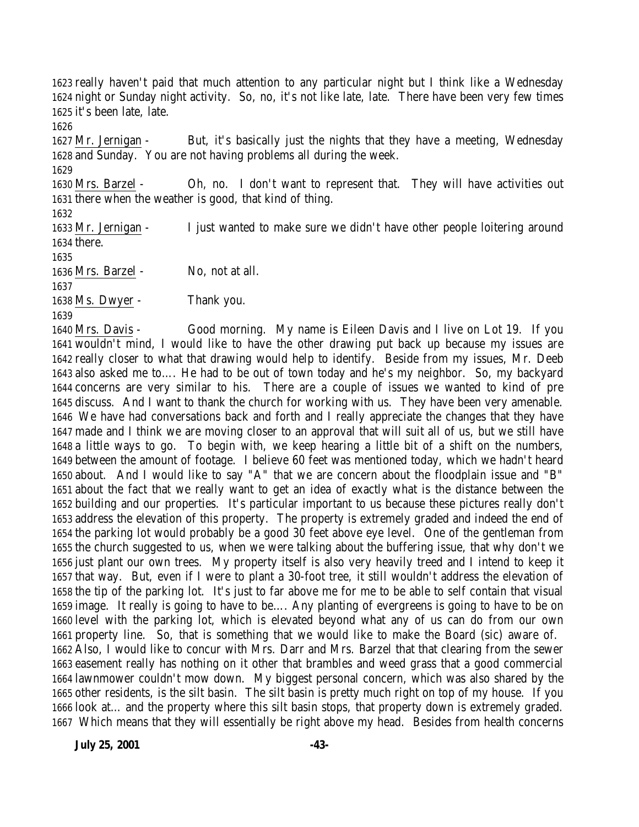really haven't paid that much attention to any particular night but I think like a Wednesday night or Sunday night activity. So, no, it's not like late, late. There have been very few times it's been late, late.

 Mr. Jernigan - But, it's basically just the nights that they have a meeting, Wednesday and Sunday. You are not having problems all during the week.

 Mrs. Barzel - Oh, no. I don't want to represent that. They will have activities out there when the weather is good, that kind of thing.

 Mr. Jernigan - I just wanted to make sure we didn't have other people loitering around there.

 Mrs. Barzel - No, not at all. 

Ms. Dwyer - Thank you.

 Mrs. Davis - Good morning. My name is Eileen Davis and I live on Lot 19. If you wouldn't mind, I would like to have the other drawing put back up because my issues are really closer to what that drawing would help to identify. Beside from my issues, Mr. Deeb also asked me to…. He had to be out of town today and he's my neighbor. So, my backyard concerns are very similar to his. There are a couple of issues we wanted to kind of pre discuss. And I want to thank the church for working with us. They have been very amenable. We have had conversations back and forth and I really appreciate the changes that they have made and I think we are moving closer to an approval that will suit all of us, but we still have a little ways to go. To begin with, we keep hearing a little bit of a shift on the numbers, between the amount of footage. I believe 60 feet was mentioned today, which we hadn't heard about. And I would like to say "A" that we are concern about the floodplain issue and "B" about the fact that we really want to get an idea of exactly what is the distance between the building and our properties. It's particular important to us because these pictures really don't address the elevation of this property. The property is extremely graded and indeed the end of the parking lot would probably be a good 30 feet above eye level. One of the gentleman from the church suggested to us, when we were talking about the buffering issue, that why don't we just plant our own trees. My property itself is also very heavily treed and I intend to keep it that way. But, even if I were to plant a 30-foot tree, it still wouldn't address the elevation of the tip of the parking lot. It's just to far above me for me to be able to self contain that visual image. It really is going to have to be…. Any planting of evergreens is going to have to be on level with the parking lot, which is elevated beyond what any of us can do from our own property line. So, that is something that we would like to make the Board (sic) aware of. Also, I would like to concur with Mrs. Darr and Mrs. Barzel that that clearing from the sewer easement really has nothing on it other that brambles and weed grass that a good commercial lawnmower couldn't mow down. My biggest personal concern, which was also shared by the other residents, is the silt basin. The silt basin is pretty much right on top of my house. If you look at… and the property where this silt basin stops, that property down is extremely graded. Which means that they will essentially be right above my head. Besides from health concerns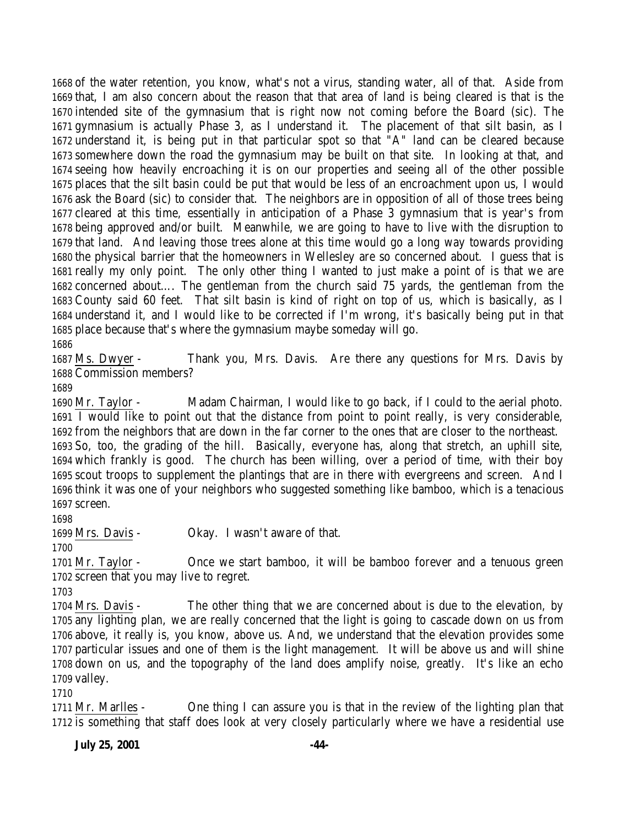of the water retention, you know, what's not a virus, standing water, all of that. Aside from that, I am also concern about the reason that that area of land is being cleared is that is the intended site of the gymnasium that is right now not coming before the Board (sic). The gymnasium is actually Phase 3, as I understand it. The placement of that silt basin, as I understand it, is being put in that particular spot so that "A" land can be cleared because somewhere down the road the gymnasium may be built on that site. In looking at that, and seeing how heavily encroaching it is on our properties and seeing all of the other possible places that the silt basin could be put that would be less of an encroachment upon us, I would ask the Board (sic) to consider that. The neighbors are in opposition of all of those trees being cleared at this time, essentially in anticipation of a Phase 3 gymnasium that is year's from being approved and/or built. Meanwhile, we are going to have to live with the disruption to that land. And leaving those trees alone at this time would go a long way towards providing the physical barrier that the homeowners in Wellesley are so concerned about. I guess that is really my only point. The only other thing I wanted to just make a point of is that we are concerned about…. The gentleman from the church said 75 yards, the gentleman from the County said 60 feet. That silt basin is kind of right on top of us, which is basically, as I understand it, and I would like to be corrected if I'm wrong, it's basically being put in that place because that's where the gymnasium maybe someday will go.

 Ms. Dwyer - Thank you, Mrs. Davis. Are there any questions for Mrs. Davis by Commission members?

 Mr. Taylor - Madam Chairman, I would like to go back, if I could to the aerial photo. I would like to point out that the distance from point to point really, is very considerable, from the neighbors that are down in the far corner to the ones that are closer to the northeast. So, too, the grading of the hill. Basically, everyone has, along that stretch, an uphill site, which frankly is good. The church has been willing, over a period of time, with their boy scout troops to supplement the plantings that are in there with evergreens and screen. And I think it was one of your neighbors who suggested something like bamboo, which is a tenacious screen.

Mrs. Davis - Okay. I wasn't aware of that.

 Mr. Taylor - Once we start bamboo, it will be bamboo forever and a tenuous green screen that you may live to regret.

 Mrs. Davis - The other thing that we are concerned about is due to the elevation, by any lighting plan, we are really concerned that the light is going to cascade down on us from above, it really is, you know, above us. And, we understand that the elevation provides some particular issues and one of them is the light management. It will be above us and will shine down on us, and the topography of the land does amplify noise, greatly. It's like an echo valley.

 Mr. Marlles - One thing I can assure you is that in the review of the lighting plan that 1712 is something that staff does look at very closely particularly where we have a residential use

**July 25, 2001 -44-**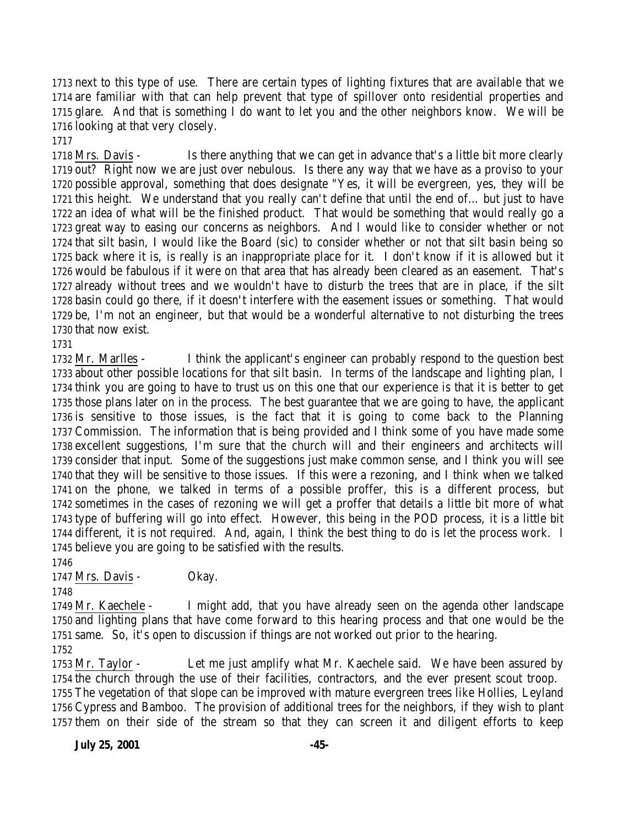next to this type of use. There are certain types of lighting fixtures that are available that we are familiar with that can help prevent that type of spillover onto residential properties and glare. And that is something I do want to let you and the other neighbors know. We will be looking at that very closely.

 Mrs. Davis - Is there anything that we can get in advance that's a little bit more clearly out? Right now we are just over nebulous. Is there any way that we have as a proviso to your possible approval, something that does designate "Yes, it will be evergreen, yes, they will be this height. We understand that you really can't define that until the end of… but just to have an idea of what will be the finished product. That would be something that would really go a great way to easing our concerns as neighbors. And I would like to consider whether or not that silt basin, I would like the Board (sic) to consider whether or not that silt basin being so back where it is, is really is an inappropriate place for it. I don't know if it is allowed but it would be fabulous if it were on that area that has already been cleared as an easement. That's already without trees and we wouldn't have to disturb the trees that are in place, if the silt basin could go there, if it doesn't interfere with the easement issues or something. That would be, I'm not an engineer, but that would be a wonderful alternative to not disturbing the trees that now exist.

 Mr. Marlles - I think the applicant's engineer can probably respond to the question best about other possible locations for that silt basin. In terms of the landscape and lighting plan, I think you are going to have to trust us on this one that our experience is that it is better to get those plans later on in the process. The best guarantee that we are going to have, the applicant is sensitive to those issues, is the fact that it is going to come back to the Planning Commission. The information that is being provided and I think some of you have made some excellent suggestions, I'm sure that the church will and their engineers and architects will consider that input. Some of the suggestions just make common sense, and I think you will see that they will be sensitive to those issues. If this were a rezoning, and I think when we talked on the phone, we talked in terms of a possible proffer, this is a different process, but sometimes in the cases of rezoning we will get a proffer that details a little bit more of what type of buffering will go into effect. However, this being in the POD process, it is a little bit different, it is not required. And, again, I think the best thing to do is let the process work. I believe you are going to be satisfied with the results.

1747 Mrs. Davis - Okay.

 Mr. Kaechele - I might add, that you have already seen on the agenda other landscape and lighting plans that have come forward to this hearing process and that one would be the same. So, it's open to discussion if things are not worked out prior to the hearing. 

 Mr. Taylor - Let me just amplify what Mr. Kaechele said. We have been assured by the church through the use of their facilities, contractors, and the ever present scout troop. The vegetation of that slope can be improved with mature evergreen trees like Hollies, Leyland Cypress and Bamboo. The provision of additional trees for the neighbors, if they wish to plant them on their side of the stream so that they can screen it and diligent efforts to keep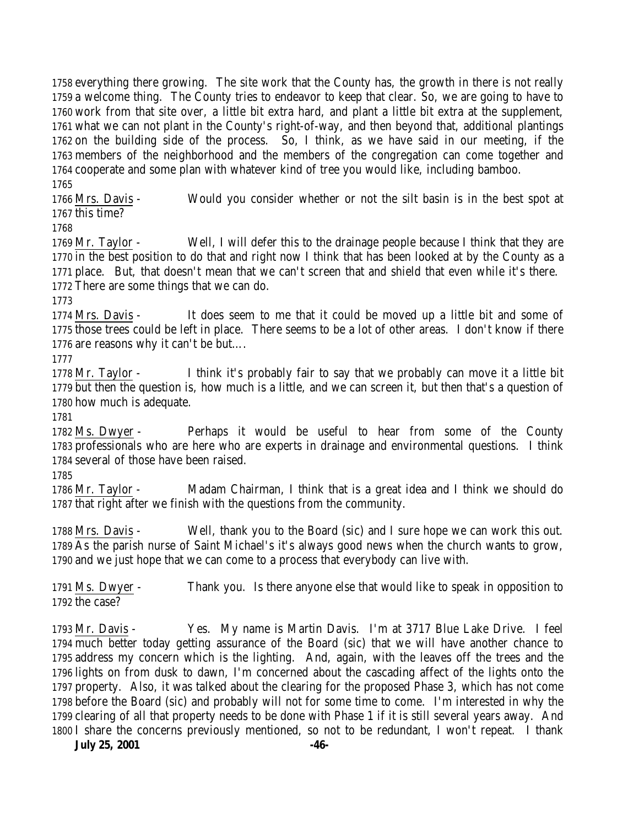everything there growing. The site work that the County has, the growth in there is not really a welcome thing. The County tries to endeavor to keep that clear. So, we are going to have to work from that site over, a little bit extra hard, and plant a little bit extra at the supplement, what we can not plant in the County's right-of-way, and then beyond that, additional plantings on the building side of the process. So, I think, as we have said in our meeting, if the members of the neighborhood and the members of the congregation can come together and cooperate and some plan with whatever kind of tree you would like, including bamboo.

 Mrs. Davis - Would you consider whether or not the silt basin is in the best spot at this time?

 Mr. Taylor - Well, I will defer this to the drainage people because I think that they are in the best position to do that and right now I think that has been looked at by the County as a place. But, that doesn't mean that we can't screen that and shield that even while it's there. There are some things that we can do.

 Mrs. Davis - It does seem to me that it could be moved up a little bit and some of those trees could be left in place. There seems to be a lot of other areas. I don't know if there are reasons why it can't be but….

 Mr. Taylor - I think it's probably fair to say that we probably can move it a little bit but then the question is, how much is a little, and we can screen it, but then that's a question of how much is adequate.

 Ms. Dwyer - Perhaps it would be useful to hear from some of the County professionals who are here who are experts in drainage and environmental questions. I think several of those have been raised.

 Mr. Taylor - Madam Chairman, I think that is a great idea and I think we should do that right after we finish with the questions from the community.

 Mrs. Davis - Well, thank you to the Board (sic) and I sure hope we can work this out. As the parish nurse of Saint Michael's it's always good news when the church wants to grow, and we just hope that we can come to a process that everybody can live with.

 Ms. Dwyer - Thank you. Is there anyone else that would like to speak in opposition to the case?

 Mr. Davis - Yes. My name is Martin Davis. I'm at 3717 Blue Lake Drive. I feel much better today getting assurance of the Board (sic) that we will have another chance to address my concern which is the lighting. And, again, with the leaves off the trees and the lights on from dusk to dawn, I'm concerned about the cascading affect of the lights onto the property. Also, it was talked about the clearing for the proposed Phase 3, which has not come before the Board (sic) and probably will not for some time to come. I'm interested in why the clearing of all that property needs to be done with Phase 1 if it is still several years away. And I share the concerns previously mentioned, so not to be redundant, I won't repeat. I thank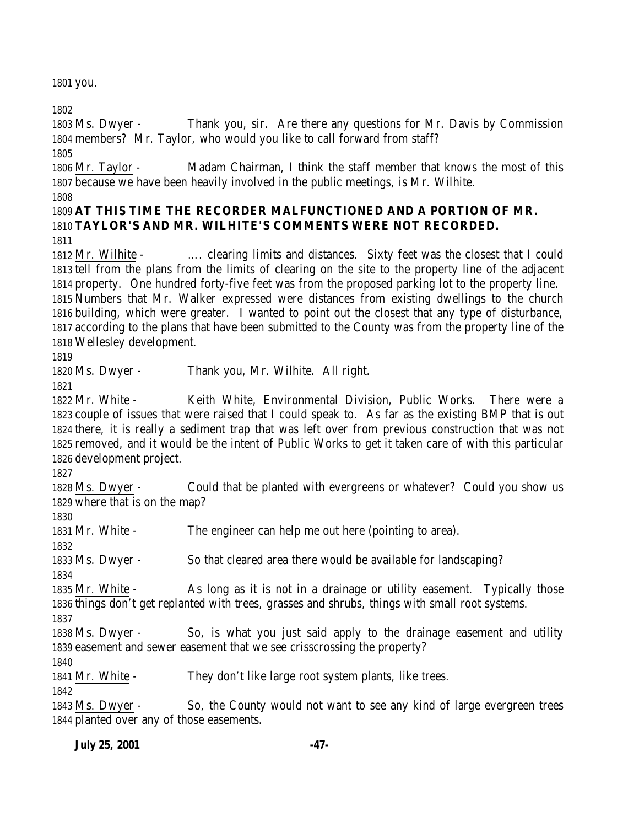you.

 Ms. Dwyer - Thank you, sir. Are there any questions for Mr. Davis by Commission members? Mr. Taylor, who would you like to call forward from staff?

 Mr. Taylor - Madam Chairman, I think the staff member that knows the most of this because we have been heavily involved in the public meetings, is Mr. Wilhite.

# **AT THIS TIME THE RECORDER MALFUNCTIONED AND A PORTION OF MR. TAYLOR'S AND MR. WILHITE'S COMMENTS WERE NOT RECORDED.**

 Mr. Wilhite - …. clearing limits and distances. Sixty feet was the closest that I could tell from the plans from the limits of clearing on the site to the property line of the adjacent property. One hundred forty-five feet was from the proposed parking lot to the property line. Numbers that Mr. Walker expressed were distances from existing dwellings to the church building, which were greater. I wanted to point out the closest that any type of disturbance, according to the plans that have been submitted to the County was from the property line of the Wellesley development.

Ms. Dwyer - Thank you, Mr. Wilhite. All right.

 Mr. White - Keith White, Environmental Division, Public Works. There were a couple of issues that were raised that I could speak to. As far as the existing BMP that is out there, it is really a sediment trap that was left over from previous construction that was not removed, and it would be the intent of Public Works to get it taken care of with this particular development project.

 Ms. Dwyer - Could that be planted with evergreens or whatever? Could you show us where that is on the map?

1831 Mr. White - The engineer can help me out here (pointing to area).

Ms. Dwyer - So that cleared area there would be available for landscaping?

 Mr. White - As long as it is not in a drainage or utility easement. Typically those things don't get replanted with trees, grasses and shrubs, things with small root systems.

 Ms. Dwyer - So, is what you just said apply to the drainage easement and utility easement and sewer easement that we see crisscrossing the property?

Mr. White - They don't like large root system plants, like trees.

 Ms. Dwyer - So, the County would not want to see any kind of large evergreen trees planted over any of those easements.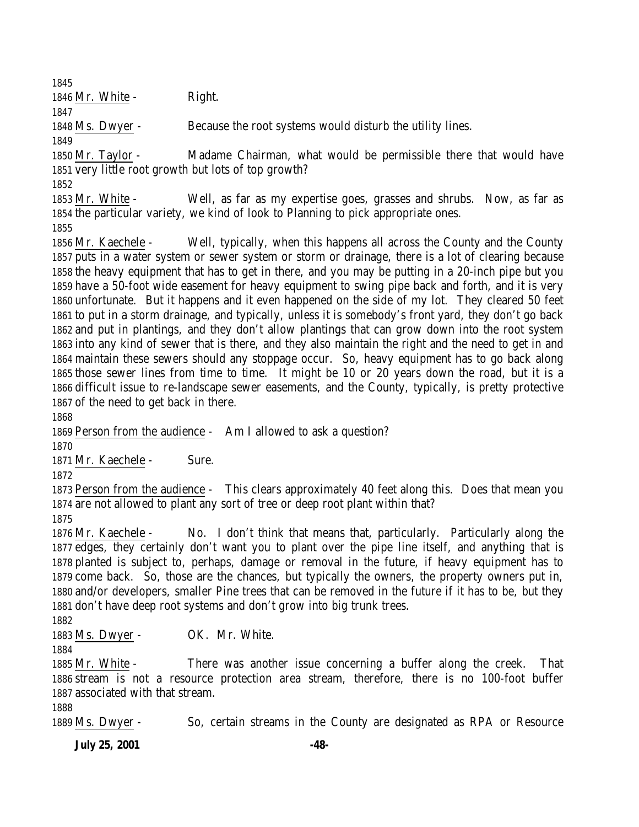1846 Mr. White - Right.

Ms. Dwyer - Because the root systems would disturb the utility lines.

 Mr. Taylor - Madame Chairman, what would be permissible there that would have very little root growth but lots of top growth?

 Mr. White - Well, as far as my expertise goes, grasses and shrubs. Now, as far as the particular variety, we kind of look to Planning to pick appropriate ones. 

 Mr. Kaechele - Well, typically, when this happens all across the County and the County puts in a water system or sewer system or storm or drainage, there is a lot of clearing because the heavy equipment that has to get in there, and you may be putting in a 20-inch pipe but you have a 50-foot wide easement for heavy equipment to swing pipe back and forth, and it is very unfortunate. But it happens and it even happened on the side of my lot. They cleared 50 feet to put in a storm drainage, and typically, unless it is somebody's front yard, they don't go back and put in plantings, and they don't allow plantings that can grow down into the root system into any kind of sewer that is there, and they also maintain the right and the need to get in and maintain these sewers should any stoppage occur. So, heavy equipment has to go back along those sewer lines from time to time. It might be 10 or 20 years down the road, but it is a difficult issue to re-landscape sewer easements, and the County, typically, is pretty protective of the need to get back in there.

Person from the audience - Am I allowed to ask a question?

 Mr. Kaechele - Sure.

 Person from the audience - This clears approximately 40 feet along this. Does that mean you are not allowed to plant any sort of tree or deep root plant within that?

 Mr. Kaechele - No. I don't think that means that, particularly. Particularly along the edges, they certainly don't want you to plant over the pipe line itself, and anything that is planted is subject to, perhaps, damage or removal in the future, if heavy equipment has to come back. So, those are the chances, but typically the owners, the property owners put in, and/or developers, smaller Pine trees that can be removed in the future if it has to be, but they don't have deep root systems and don't grow into big trunk trees.

Ms. Dwyer - OK. Mr. White.

 Mr. White - There was another issue concerning a buffer along the creek. That stream is not a resource protection area stream, therefore, there is no 100-foot buffer associated with that stream.

Ms. Dwyer - So, certain streams in the County are designated as RPA or Resource

**July 25, 2001 -48-**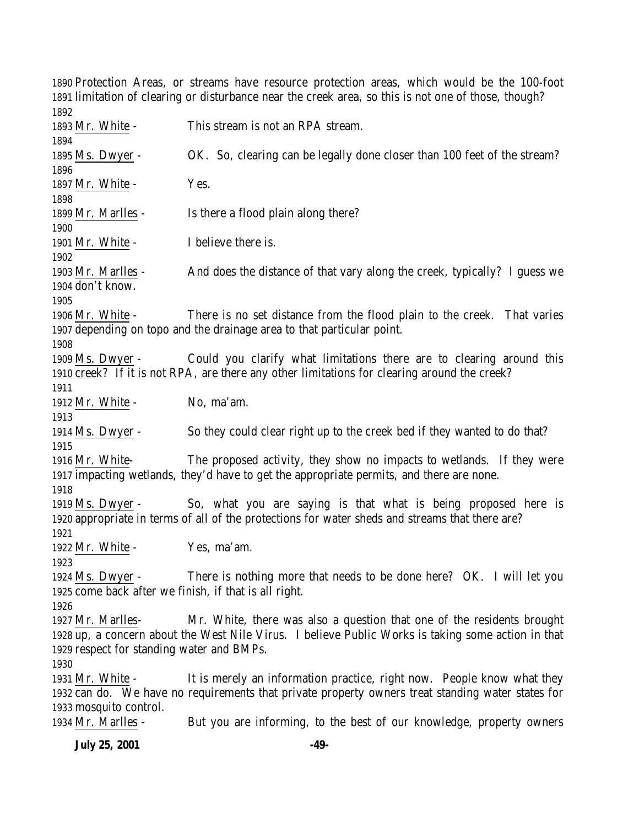Protection Areas, or streams have resource protection areas, which would be the 100-foot limitation of clearing or disturbance near the creek area, so this is not one of those, though? 

 Mr. White - This stream is not an RPA stream. Ms. Dwyer - OK. So, clearing can be legally done closer than 100 feet of the stream? 1897 Mr. White - Yes. Mr. Marlles - Is there a flood plain along there? 1901 Mr. White - I believe there is. Mr. Marlles - And does the distance of that vary along the creek, typically? I guess we don't know. Mr. White - There is no set distance from the flood plain to the creek. That varies depending on topo and the drainage area to that particular point. Ms. Dwyer - Could you clarify what limitations there are to clearing around this creek? If it is not RPA, are there any other limitations for clearing around the creek? 1912 Mr. White - No. ma'am. Ms. Dwyer - So they could clear right up to the creek bed if they wanted to do that? Mr. White- The proposed activity, they show no impacts to wetlands. If they were impacting wetlands, they'd have to get the appropriate permits, and there are none. Ms. Dwyer - So, what you are saying is that what is being proposed here is appropriate in terms of all of the protections for water sheds and streams that there are? 1922 Mr. White - Yes, ma'am. Ms. Dwyer - There is nothing more that needs to be done here? OK. I will let you come back after we finish, if that is all right. Mr. Marlles- Mr. White, there was also a question that one of the residents brought up, a concern about the West Nile Virus. I believe Public Works is taking some action in that respect for standing water and BMPs. Mr. White - It is merely an information practice, right now. People know what they can do. We have no requirements that private property owners treat standing water states for mosquito control. Mr. Marlles - But you are informing, to the best of our knowledge, property owners

**July 25, 2001 -49-**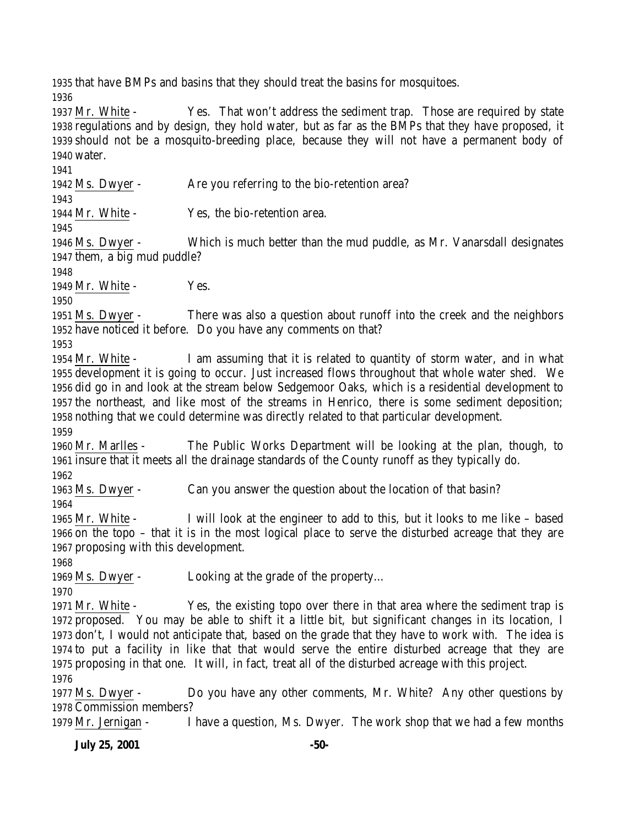that have BMPs and basins that they should treat the basins for mosquitoes.

 Mr. White - Yes. That won't address the sediment trap. Those are required by state regulations and by design, they hold water, but as far as the BMPs that they have proposed, it should not be a mosquito-breeding place, because they will not have a permanent body of water.

Ms. Dwyer - Are you referring to the bio-retention area?

Mr. White - Yes, the bio-retention area.

 Ms. Dwyer - Which is much better than the mud puddle, as Mr. Vanarsdall designates them, a big mud puddle?

1949 Mr. White - Yes.

 Ms. Dwyer - There was also a question about runoff into the creek and the neighbors have noticed it before. Do you have any comments on that?

 Mr. White - I am assuming that it is related to quantity of storm water, and in what development it is going to occur. Just increased flows throughout that whole water shed. We did go in and look at the stream below Sedgemoor Oaks, which is a residential development to the northeast, and like most of the streams in Henrico, there is some sediment deposition; nothing that we could determine was directly related to that particular development. 

 Mr. Marlles - The Public Works Department will be looking at the plan, though, to insure that it meets all the drainage standards of the County runoff as they typically do.

Ms. Dwyer - Can you answer the question about the location of that basin?

 Mr. White - I will look at the engineer to add to this, but it looks to me like – based on the topo – that it is in the most logical place to serve the disturbed acreage that they are proposing with this development.

Ms. Dwyer - Looking at the grade of the property…

 Mr. White - Yes, the existing topo over there in that area where the sediment trap is proposed. You may be able to shift it a little bit, but significant changes in its location, I don't, I would not anticipate that, based on the grade that they have to work with. The idea is to put a facility in like that that would serve the entire disturbed acreage that they are proposing in that one. It will, in fact, treat all of the disturbed acreage with this project. 

 Ms. Dwyer - Do you have any other comments, Mr. White? Any other questions by Commission members?

Mr. Jernigan - I have a question, Ms. Dwyer. The work shop that we had a few months

**July 25, 2001 -50-**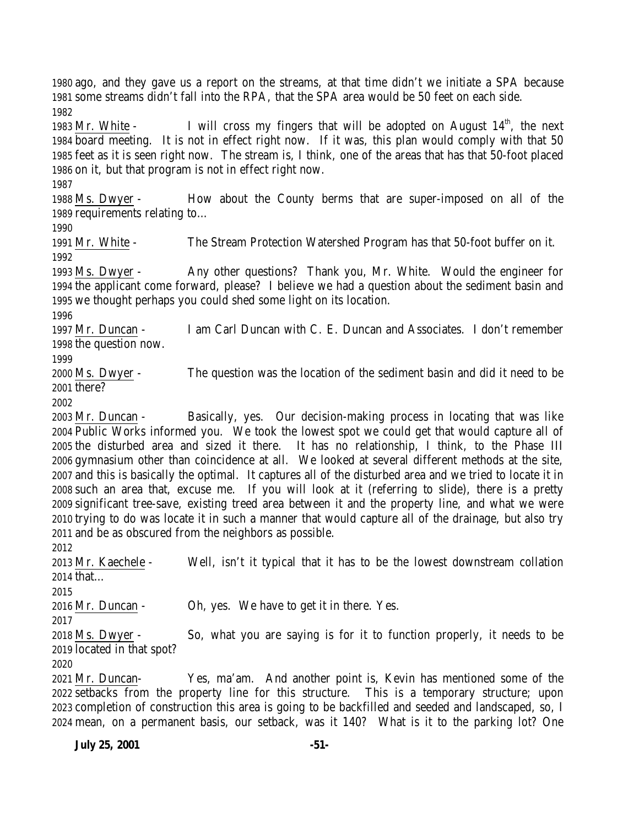1983 Mr. White - I will cross my fingers that will be adopted on August  $14<sup>th</sup>$ , the next board meeting. It is not in effect right now. If it was, this plan would comply with that 50 feet as it is seen right now. The stream is, I think, one of the areas that has that 50-foot placed on it, but that program is not in effect right now. Ms. Dwyer - How about the County berms that are super-imposed on all of the requirements relating to… Mr. White - The Stream Protection Watershed Program has that 50-foot buffer on it. Ms. Dwyer - Any other questions? Thank you, Mr. White. Would the engineer for the applicant come forward, please? I believe we had a question about the sediment basin and we thought perhaps you could shed some light on its location. Mr. Duncan - I am Carl Duncan with C. E. Duncan and Associates. I don't remember the question now. 

ago, and they gave us a report on the streams, at that time didn't we initiate a SPA because

some streams didn't fall into the RPA, that the SPA area would be 50 feet on each side.

 Ms. Dwyer - The question was the location of the sediment basin and did it need to be there?

 Mr. Duncan - Basically, yes. Our decision-making process in locating that was like Public Works informed you. We took the lowest spot we could get that would capture all of the disturbed area and sized it there. It has no relationship, I think, to the Phase III gymnasium other than coincidence at all. We looked at several different methods at the site, and this is basically the optimal. It captures all of the disturbed area and we tried to locate it in such an area that, excuse me. If you will look at it (referring to slide), there is a pretty significant tree-save, existing treed area between it and the property line, and what we were trying to do was locate it in such a manner that would capture all of the drainage, but also try and be as obscured from the neighbors as possible.

 Mr. Kaechele - Well, isn't it typical that it has to be the lowest downstream collation that…

Mr. Duncan - Oh, yes. We have to get it in there. Yes.

 Ms. Dwyer - So, what you are saying is for it to function properly, it needs to be located in that spot?

 Mr. Duncan- Yes, ma'am. And another point is, Kevin has mentioned some of the setbacks from the property line for this structure. This is a temporary structure; upon completion of construction this area is going to be backfilled and seeded and landscaped, so, I mean, on a permanent basis, our setback, was it 140? What is it to the parking lot? One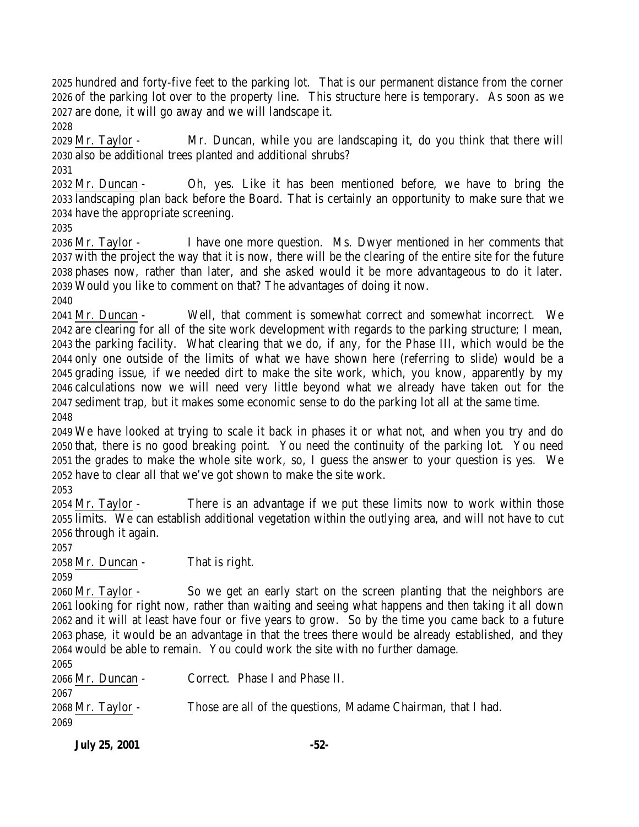hundred and forty-five feet to the parking lot. That is our permanent distance from the corner of the parking lot over to the property line. This structure here is temporary. As soon as we are done, it will go away and we will landscape it. 

 Mr. Taylor - Mr. Duncan, while you are landscaping it, do you think that there will also be additional trees planted and additional shrubs? 

 Mr. Duncan - Oh, yes. Like it has been mentioned before, we have to bring the landscaping plan back before the Board. That is certainly an opportunity to make sure that we have the appropriate screening.

 Mr. Taylor - I have one more question. Ms. Dwyer mentioned in her comments that with the project the way that it is now, there will be the clearing of the entire site for the future phases now, rather than later, and she asked would it be more advantageous to do it later. Would you like to comment on that? The advantages of doing it now.

 Mr. Duncan - Well, that comment is somewhat correct and somewhat incorrect. We are clearing for all of the site work development with regards to the parking structure; I mean, the parking facility. What clearing that we do, if any, for the Phase III, which would be the only one outside of the limits of what we have shown here (referring to slide) would be a grading issue, if we needed dirt to make the site work, which, you know, apparently by my calculations now we will need very little beyond what we already have taken out for the sediment trap, but it makes some economic sense to do the parking lot all at the same time. 

 We have looked at trying to scale it back in phases it or what not, and when you try and do that, there is no good breaking point. You need the continuity of the parking lot. You need the grades to make the whole site work, so, I guess the answer to your question is yes. We have to clear all that we've got shown to make the site work.

 Mr. Taylor - There is an advantage if we put these limits now to work within those limits. We can establish additional vegetation within the outlying area, and will not have to cut through it again.

Mr. Duncan - That is right.

 Mr. Taylor - So we get an early start on the screen planting that the neighbors are looking for right now, rather than waiting and seeing what happens and then taking it all down and it will at least have four or five years to grow. So by the time you came back to a future phase, it would be an advantage in that the trees there would be already established, and they would be able to remain. You could work the site with no further damage.

 Mr. Duncan - Correct. Phase I and Phase II. Mr. Taylor - Those are all of the questions, Madame Chairman, that I had.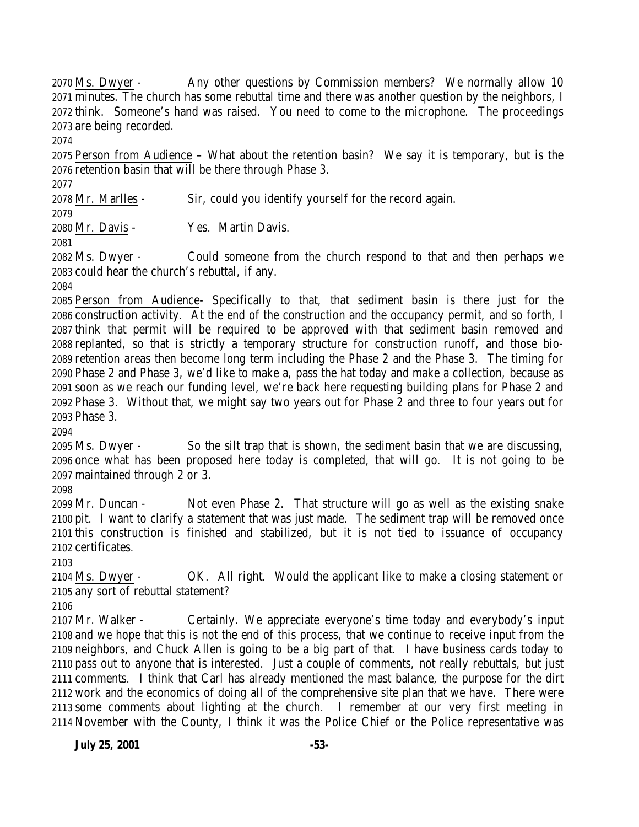Ms. Dwyer - Any other questions by Commission members? We normally allow 10 minutes. The church has some rebuttal time and there was another question by the neighbors, I think. Someone's hand was raised. You need to come to the microphone. The proceedings are being recorded.

 Person from Audience – What about the retention basin? We say it is temporary, but is the retention basin that will be there through Phase 3.

Mr. Marlles - Sir, could you identify yourself for the record again.

Mr. Davis - Yes. Martin Davis.

 Ms. Dwyer - Could someone from the church respond to that and then perhaps we could hear the church's rebuttal, if any.

 Person from Audience- Specifically to that, that sediment basin is there just for the construction activity. At the end of the construction and the occupancy permit, and so forth, I think that permit will be required to be approved with that sediment basin removed and replanted, so that is strictly a temporary structure for construction runoff, and those bio- retention areas then become long term including the Phase 2 and the Phase 3. The timing for Phase 2 and Phase 3, we'd like to make a, pass the hat today and make a collection, because as soon as we reach our funding level, we're back here requesting building plans for Phase 2 and Phase 3. Without that, we might say two years out for Phase 2 and three to four years out for Phase 3.

 Ms. Dwyer - So the silt trap that is shown, the sediment basin that we are discussing, once what has been proposed here today is completed, that will go. It is not going to be maintained through 2 or 3.

 Mr. Duncan - Not even Phase 2. That structure will go as well as the existing snake pit. I want to clarify a statement that was just made. The sediment trap will be removed once this construction is finished and stabilized, but it is not tied to issuance of occupancy certificates.

 Ms. Dwyer - OK. All right. Would the applicant like to make a closing statement or any sort of rebuttal statement?

 Mr. Walker - Certainly. We appreciate everyone's time today and everybody's input and we hope that this is not the end of this process, that we continue to receive input from the neighbors, and Chuck Allen is going to be a big part of that. I have business cards today to pass out to anyone that is interested. Just a couple of comments, not really rebuttals, but just comments. I think that Carl has already mentioned the mast balance, the purpose for the dirt work and the economics of doing all of the comprehensive site plan that we have. There were some comments about lighting at the church. I remember at our very first meeting in November with the County, I think it was the Police Chief or the Police representative was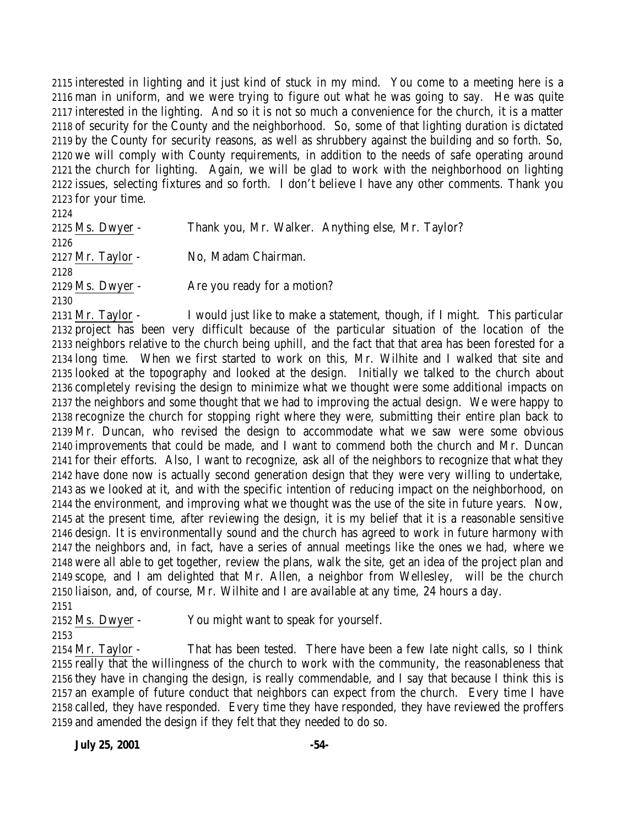interested in lighting and it just kind of stuck in my mind. You come to a meeting here is a man in uniform, and we were trying to figure out what he was going to say. He was quite interested in the lighting. And so it is not so much a convenience for the church, it is a matter of security for the County and the neighborhood. So, some of that lighting duration is dictated by the County for security reasons, as well as shrubbery against the building and so forth. So, we will comply with County requirements, in addition to the needs of safe operating around the church for lighting. Again, we will be glad to work with the neighborhood on lighting issues, selecting fixtures and so forth. I don't believe I have any other comments. Thank you for your time.

| 2124                |                                                   |
|---------------------|---------------------------------------------------|
| 2125 Ms. Dwyer -    | Thank you, Mr. Walker. Anything else, Mr. Taylor? |
| 2126                |                                                   |
| $2127$ Mr. Taylor - | No, Madam Chairman.                               |
| 2128                |                                                   |
| 2129 Ms. Dwyer -    | Are you ready for a motion?                       |
| 2130                |                                                   |
|                     |                                                   |

 Mr. Taylor - I would just like to make a statement, though, if I might. This particular project has been very difficult because of the particular situation of the location of the neighbors relative to the church being uphill, and the fact that that area has been forested for a long time. When we first started to work on this, Mr. Wilhite and I walked that site and looked at the topography and looked at the design. Initially we talked to the church about completely revising the design to minimize what we thought were some additional impacts on the neighbors and some thought that we had to improving the actual design. We were happy to recognize the church for stopping right where they were, submitting their entire plan back to Mr. Duncan, who revised the design to accommodate what we saw were some obvious improvements that could be made, and I want to commend both the church and Mr. Duncan for their efforts. Also, I want to recognize, ask all of the neighbors to recognize that what they have done now is actually second generation design that they were very willing to undertake, as we looked at it, and with the specific intention of reducing impact on the neighborhood, on the environment, and improving what we thought was the use of the site in future years. Now, at the present time, after reviewing the design, it is my belief that it is a reasonable sensitive design. It is environmentally sound and the church has agreed to work in future harmony with the neighbors and, in fact, have a series of annual meetings like the ones we had, where we were all able to get together, review the plans, walk the site, get an idea of the project plan and scope, and I am delighted that Mr. Allen, a neighbor from Wellesley, will be the church liaison, and, of course, Mr. Wilhite and I are available at any time, 24 hours a day.

Ms. Dwyer - You might want to speak for yourself.

 Mr. Taylor - That has been tested. There have been a few late night calls, so I think really that the willingness of the church to work with the community, the reasonableness that they have in changing the design, is really commendable, and I say that because I think this is an example of future conduct that neighbors can expect from the church. Every time I have called, they have responded. Every time they have responded, they have reviewed the proffers and amended the design if they felt that they needed to do so.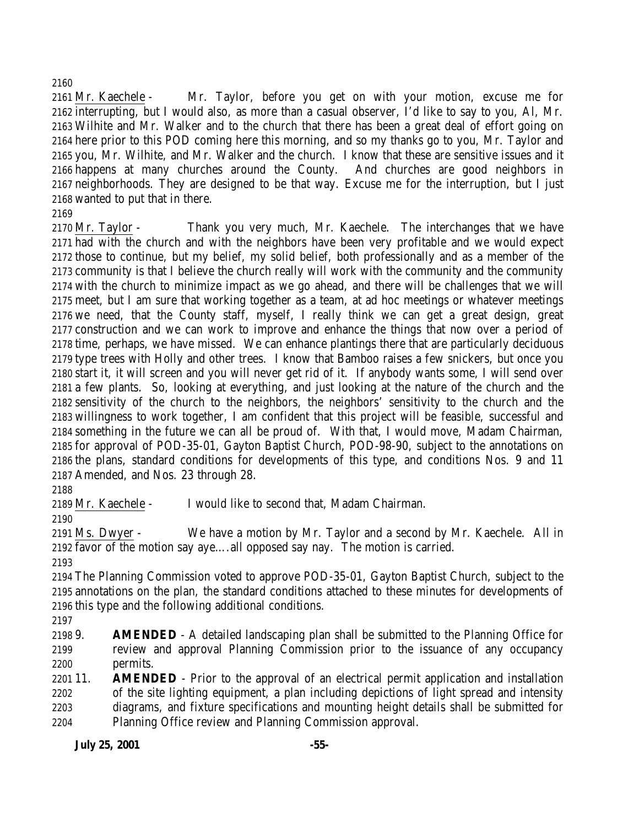Mr. Kaechele - Mr. Taylor, before you get on with your motion, excuse me for interrupting, but I would also, as more than a casual observer, I'd like to say to you, Al, Mr. Wilhite and Mr. Walker and to the church that there has been a great deal of effort going on here prior to this POD coming here this morning, and so my thanks go to you, Mr. Taylor and you, Mr. Wilhite, and Mr. Walker and the church. I know that these are sensitive issues and it happens at many churches around the County. And churches are good neighbors in neighborhoods. They are designed to be that way. Excuse me for the interruption, but I just wanted to put that in there.

 Mr. Taylor - Thank you very much, Mr. Kaechele. The interchanges that we have had with the church and with the neighbors have been very profitable and we would expect those to continue, but my belief, my solid belief, both professionally and as a member of the community is that I believe the church really will work with the community and the community with the church to minimize impact as we go ahead, and there will be challenges that we will meet, but I am sure that working together as a team, at ad hoc meetings or whatever meetings we need, that the County staff, myself, I really think we can get a great design, great construction and we can work to improve and enhance the things that now over a period of time, perhaps, we have missed. We can enhance plantings there that are particularly deciduous type trees with Holly and other trees. I know that Bamboo raises a few snickers, but once you start it, it will screen and you will never get rid of it. If anybody wants some, I will send over a few plants. So, looking at everything, and just looking at the nature of the church and the sensitivity of the church to the neighbors, the neighbors' sensitivity to the church and the willingness to work together, I am confident that this project will be feasible, successful and something in the future we can all be proud of. With that, I would move, Madam Chairman, for approval of POD-35-01, Gayton Baptist Church, POD-98-90, subject to the annotations on the plans, standard conditions for developments of this type, and conditions Nos. 9 and 11 Amended, and Nos. 23 through 28.

Mr. Kaechele - I would like to second that, Madam Chairman.

 Ms. Dwyer - We have a motion by Mr. Taylor and a second by Mr. Kaechele. All in favor of the motion say aye….all opposed say nay. The motion is carried.

 The Planning Commission voted to approve POD-35-01, Gayton Baptist Church, subject to the annotations on the plan, the standard conditions attached to these minutes for developments of this type and the following additional conditions.

 9. **AMENDED** - A detailed landscaping plan shall be submitted to the Planning Office for review and approval Planning Commission prior to the issuance of any occupancy permits.

 11. **AMENDED** - Prior to the approval of an electrical permit application and installation of the site lighting equipment, a plan including depictions of light spread and intensity diagrams, and fixture specifications and mounting height details shall be submitted for Planning Office review and Planning Commission approval.

**July 25, 2001 -55-**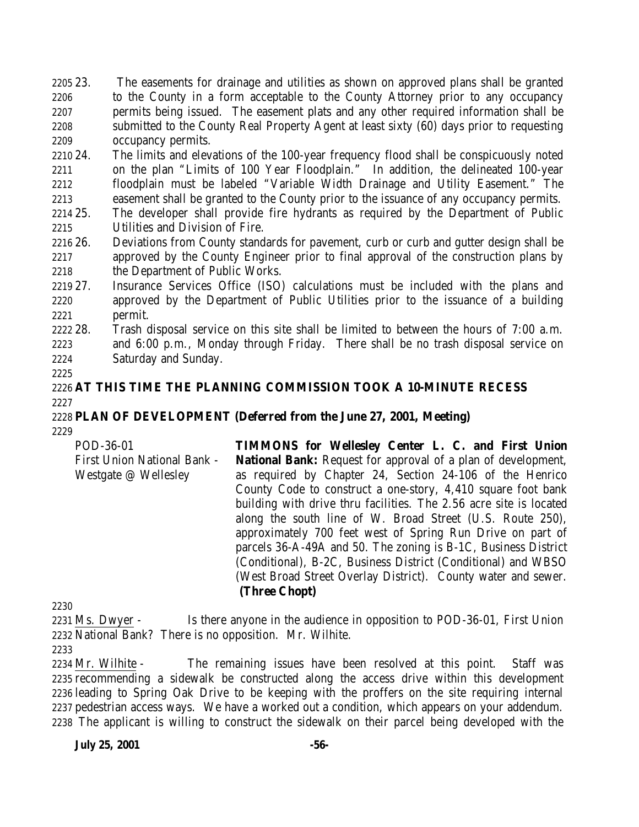23. The easements for drainage and utilities as shown on approved plans shall be granted to the County in a form acceptable to the County Attorney prior to any occupancy permits being issued. The easement plats and any other required information shall be submitted to the County Real Property Agent at least sixty (60) days prior to requesting occupancy permits.

 24. The limits and elevations of the 100-year frequency flood shall be conspicuously noted on the plan "Limits of 100 Year Floodplain." In addition, the delineated 100-year floodplain must be labeled "Variable Width Drainage and Utility Easement." The easement shall be granted to the County prior to the issuance of any occupancy permits.

 25. The developer shall provide fire hydrants as required by the Department of Public Utilities and Division of Fire.

 26. Deviations from County standards for pavement, curb or curb and gutter design shall be approved by the County Engineer prior to final approval of the construction plans by the Department of Public Works.

 27. Insurance Services Office (ISO) calculations must be included with the plans and approved by the Department of Public Utilities prior to the issuance of a building permit.

 28. Trash disposal service on this site shall be limited to between the hours of 7:00 a.m. and 6:00 p.m., Monday through Friday. There shall be no trash disposal service on Saturday and Sunday.

# **AT THIS TIME THE PLANNING COMMISSION TOOK A 10-MINUTE RECESS**

### **PLAN OF DEVELOPMENT (Deferred from the June 27, 2001, Meeting)**

POD-36-01 First Union National Bank - Westgate @ Wellesley **TIMMONS for Wellesley Center L. C. and First Union National Bank:** Request for approval of a plan of development, as required by Chapter 24, Section 24-106 of the Henrico County Code to construct a one-story, 4,410 square foot bank building with drive thru facilities. The 2.56 acre site is located along the south line of W. Broad Street (U.S. Route 250), approximately 700 feet west of Spring Run Drive on part of parcels 36-A-49A and 50. The zoning is B-1C, Business District (Conditional), B-2C, Business District (Conditional) and WBSO (West Broad Street Overlay District). County water and sewer. **(Three Chopt)**

 Ms. Dwyer - Is there anyone in the audience in opposition to POD-36-01, First Union National Bank? There is no opposition. Mr. Wilhite.

 Mr. Wilhite - The remaining issues have been resolved at this point. Staff was recommending a sidewalk be constructed along the access drive within this development leading to Spring Oak Drive to be keeping with the proffers on the site requiring internal pedestrian access ways. We have a worked out a condition, which appears on your addendum. The applicant is willing to construct the sidewalk on their parcel being developed with the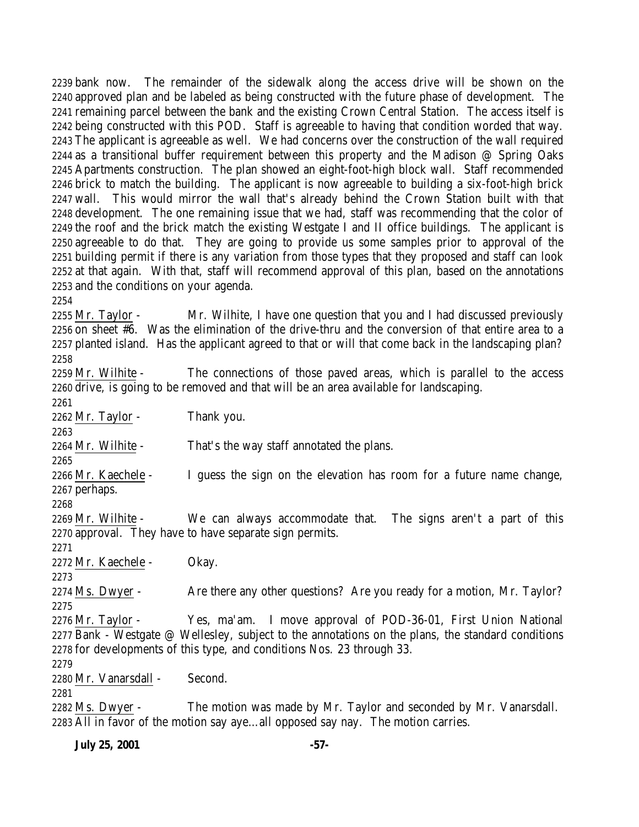bank now. The remainder of the sidewalk along the access drive will be shown on the approved plan and be labeled as being constructed with the future phase of development. The remaining parcel between the bank and the existing Crown Central Station. The access itself is being constructed with this POD. Staff is agreeable to having that condition worded that way. The applicant is agreeable as well. We had concerns over the construction of the wall required 2244 as a transitional buffer requirement between this property and the Madison  $\omega$  Spring Oaks Apartments construction. The plan showed an eight-foot-high block wall. Staff recommended brick to match the building. The applicant is now agreeable to building a six-foot-high brick wall. This would mirror the wall that's already behind the Crown Station built with that development. The one remaining issue that we had, staff was recommending that the color of the roof and the brick match the existing Westgate I and II office buildings. The applicant is agreeable to do that. They are going to provide us some samples prior to approval of the building permit if there is any variation from those types that they proposed and staff can look at that again. With that, staff will recommend approval of this plan, based on the annotations and the conditions on your agenda.

2255 Mr. Taylor - Mr. Wilhite, I have one question that you and I had discussed previously on sheet #6. Was the elimination of the drive-thru and the conversion of that entire area to a planted island. Has the applicant agreed to that or will that come back in the landscaping plan? 

2259 Mr. Wilhite - The connections of those paved areas, which is parallel to the access drive, is going to be removed and that will be an area available for landscaping.

Mr. Taylor - Thank you.

Mr. Wilhite - That's the way staff annotated the plans.

 Mr. Kaechele - I guess the sign on the elevation has room for a future name change, perhaps.

 Mr. Wilhite - We can always accommodate that. The signs aren't a part of this approval. They have to have separate sign permits.

Mr. Kaechele - Okay.

2274 Ms. Dwyer - Are there any other questions? Are you ready for a motion, Mr. Taylor? 

 Mr. Taylor - Yes, ma'am. I move approval of POD-36-01, First Union National Bank - Westgate @ Wellesley, subject to the annotations on the plans, the standard conditions for developments of this type, and conditions Nos. 23 through 33.

Mr. Vanarsdall - Second.

 Ms. Dwyer - The motion was made by Mr. Taylor and seconded by Mr. Vanarsdall. All in favor of the motion say aye…all opposed say nay. The motion carries.

**July 25, 2001 -57-**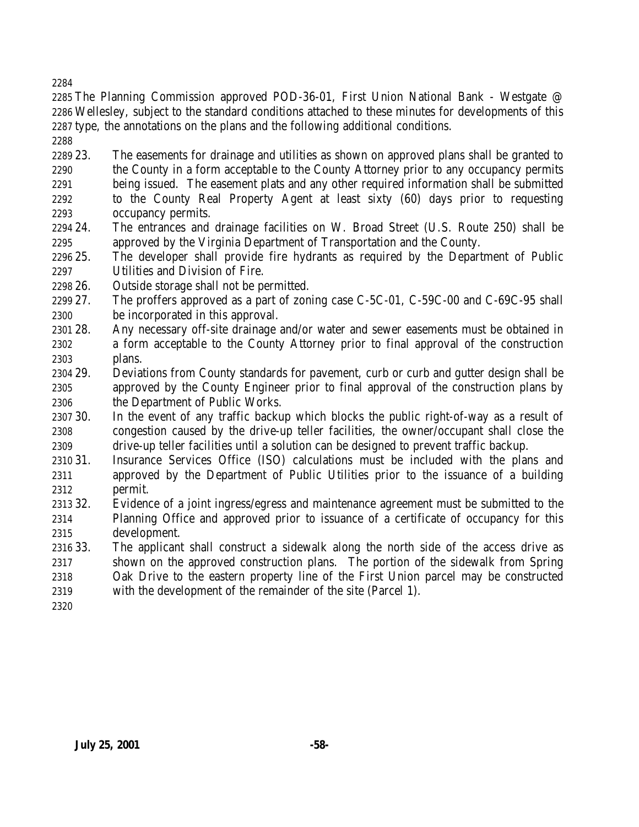The Planning Commission approved POD-36-01, First Union National Bank - Westgate @ Wellesley, subject to the standard conditions attached to these minutes for developments of this type, the annotations on the plans and the following additional conditions.

 23. The easements for drainage and utilities as shown on approved plans shall be granted to the County in a form acceptable to the County Attorney prior to any occupancy permits being issued. The easement plats and any other required information shall be submitted to the County Real Property Agent at least sixty (60) days prior to requesting occupancy permits.

- 24. The entrances and drainage facilities on W. Broad Street (U.S. Route 250) shall be approved by the Virginia Department of Transportation and the County.
- 25. The developer shall provide fire hydrants as required by the Department of Public Utilities and Division of Fire.
- 26. Outside storage shall not be permitted.

 27. The proffers approved as a part of zoning case C-5C-01, C-59C-00 and C-69C-95 shall be incorporated in this approval.

- 28. Any necessary off-site drainage and/or water and sewer easements must be obtained in a form acceptable to the County Attorney prior to final approval of the construction plans.
- 29. Deviations from County standards for pavement, curb or curb and gutter design shall be approved by the County Engineer prior to final approval of the construction plans by the Department of Public Works.
- 30. In the event of any traffic backup which blocks the public right-of-way as a result of congestion caused by the drive-up teller facilities, the owner/occupant shall close the drive-up teller facilities until a solution can be designed to prevent traffic backup.
- 31. Insurance Services Office (ISO) calculations must be included with the plans and approved by the Department of Public Utilities prior to the issuance of a building permit.
- 32. Evidence of a joint ingress/egress and maintenance agreement must be submitted to the Planning Office and approved prior to issuance of a certificate of occupancy for this development.
- 33. The applicant shall construct a sidewalk along the north side of the access drive as shown on the approved construction plans. The portion of the sidewalk from Spring Oak Drive to the eastern property line of the First Union parcel may be constructed with the development of the remainder of the site (Parcel 1).
-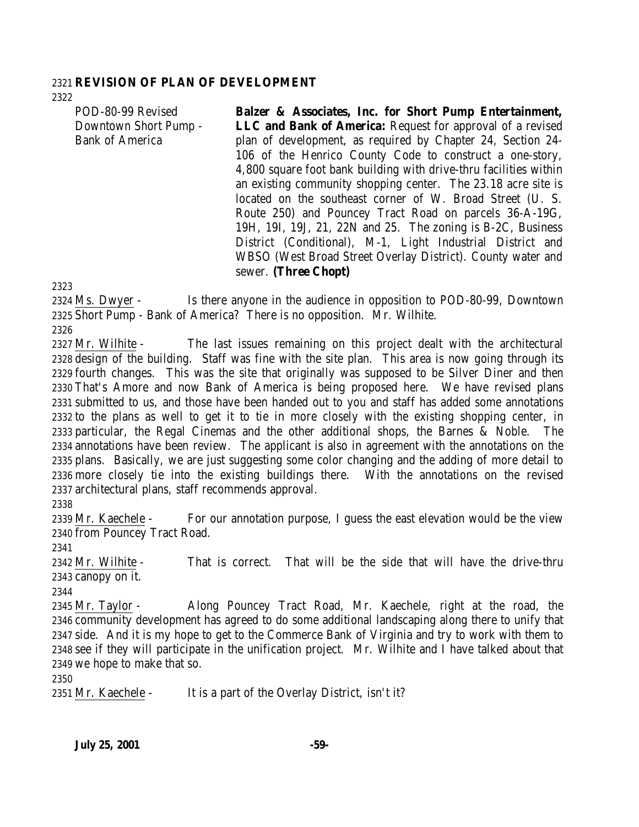#### **REVISION OF PLAN OF DEVELOPMENT**

POD-80-99 Revised Downtown Short Pump - Bank of America **Balzer & Associates, Inc. for Short Pump Entertainment, LLC and Bank of America:** Request for approval of a revised plan of development, as required by Chapter 24, Section 24- 106 of the Henrico County Code to construct a one-story, 4,800 square foot bank building with drive-thru facilities within an existing community shopping center. The 23.18 acre site is located on the southeast corner of W. Broad Street (U. S.

Route 250) and Pouncey Tract Road on parcels 36-A-19G, 19H, 19I, 19J, 21, 22N and 25. The zoning is B-2C, Business District (Conditional), M-1, Light Industrial District and WBSO (West Broad Street Overlay District). County water and sewer. **(Three Chopt)**

 Ms. Dwyer - Is there anyone in the audience in opposition to POD-80-99, Downtown Short Pump - Bank of America? There is no opposition. Mr. Wilhite.

2327 Mr. Wilhite - The last issues remaining on this project dealt with the architectural design of the building. Staff was fine with the site plan. This area is now going through its fourth changes. This was the site that originally was supposed to be Silver Diner and then That's Amore and now Bank of America is being proposed here. We have revised plans submitted to us, and those have been handed out to you and staff has added some annotations to the plans as well to get it to tie in more closely with the existing shopping center, in particular, the Regal Cinemas and the other additional shops, the Barnes & Noble. The annotations have been review. The applicant is also in agreement with the annotations on the plans. Basically, we are just suggesting some color changing and the adding of more detail to more closely tie into the existing buildings there. With the annotations on the revised architectural plans, staff recommends approval.

 Mr. Kaechele - For our annotation purpose, I guess the east elevation would be the view from Pouncey Tract Road.

 Mr. Wilhite - That is correct. That will be the side that will have the drive-thru canopy on it.

 Mr. Taylor - Along Pouncey Tract Road, Mr. Kaechele, right at the road, the community development has agreed to do some additional landscaping along there to unify that side. And it is my hope to get to the Commerce Bank of Virginia and try to work with them to see if they will participate in the unification project. Mr. Wilhite and I have talked about that we hope to make that so.

2351 Mr. Kaechele - It is a part of the Overlay District, isn't it?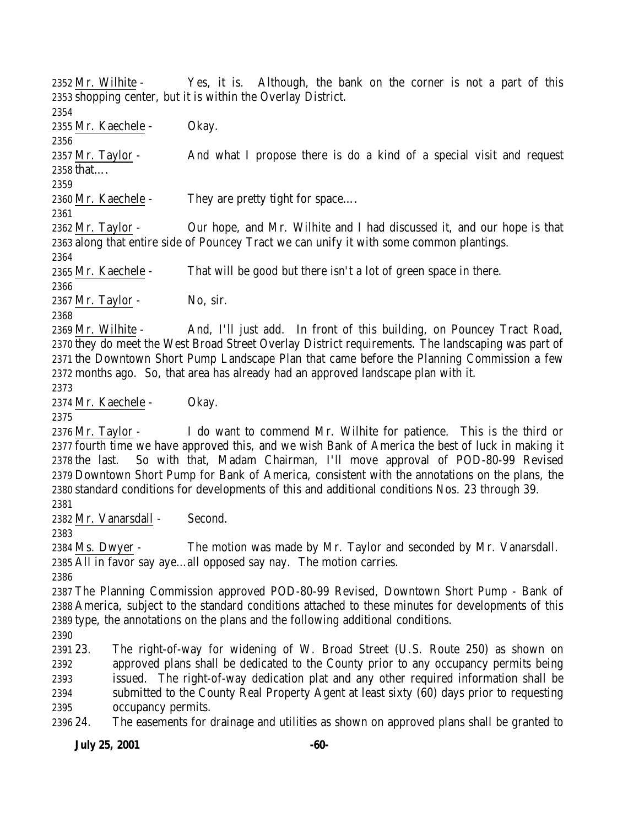Mr. Wilhite - Yes, it is. Although, the bank on the corner is not a part of this shopping center, but it is within the Overlay District. Mr. Kaechele - Okay. Mr. Taylor - And what I propose there is do a kind of a special visit and request that…. Mr. Kaechele - They are pretty tight for space…. Mr. Taylor - Our hope, and Mr. Wilhite and I had discussed it, and our hope is that along that entire side of Pouncey Tract we can unify it with some common plantings. Mr. Kaechele - That will be good but there isn't a lot of green space in there. 2367 Mr. Taylor - No, sir. 2369 Mr. Wilhite - And, I'll just add. In front of this building, on Pouncey Tract Road, they do meet the West Broad Street Overlay District requirements. The landscaping was part of the Downtown Short Pump Landscape Plan that came before the Planning Commission a few months ago. So, that area has already had an approved landscape plan with it. Mr. Kaechele - Okay. Mr. Taylor - I do want to commend Mr. Wilhite for patience. This is the third or fourth time we have approved this, and we wish Bank of America the best of luck in making it the last. So with that, Madam Chairman, I'll move approval of POD-80-99 Revised Downtown Short Pump for Bank of America, consistent with the annotations on the plans, the standard conditions for developments of this and additional conditions Nos. 23 through 39. Mr. Vanarsdall - Second. Ms. Dwyer - The motion was made by Mr. Taylor and seconded by Mr. Vanarsdall. All in favor say aye…all opposed say nay. The motion carries. The Planning Commission approved POD-80-99 Revised, Downtown Short Pump - Bank of America, subject to the standard conditions attached to these minutes for developments of this type, the annotations on the plans and the following additional conditions. 23. The right-of-way for widening of W. Broad Street (U.S. Route 250) as shown on approved plans shall be dedicated to the County prior to any occupancy permits being issued. The right-of-way dedication plat and any other required information shall be submitted to the County Real Property Agent at least sixty (60) days prior to requesting occupancy permits. 24. The easements for drainage and utilities as shown on approved plans shall be granted to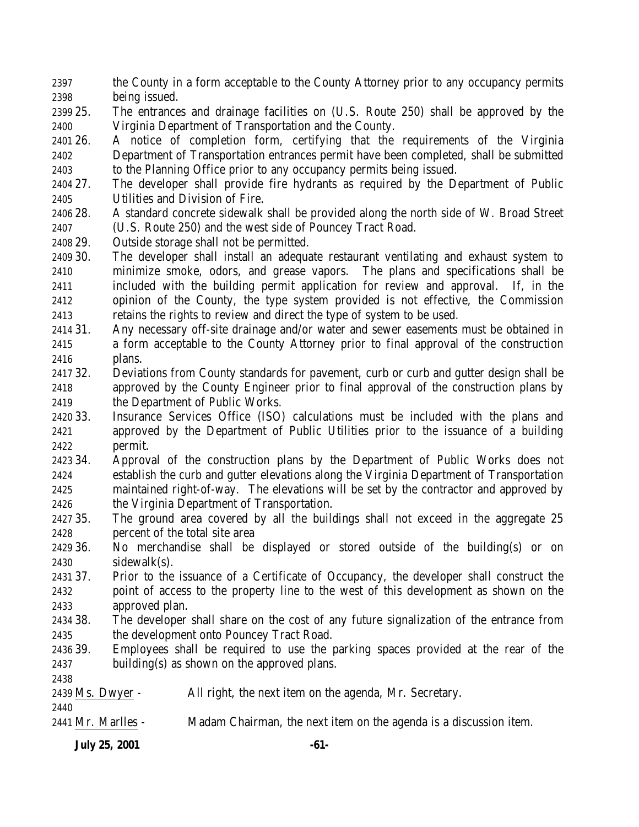the County in a form acceptable to the County Attorney prior to any occupancy permits being issued.

- 25. The entrances and drainage facilities on (U.S. Route 250) shall be approved by the Virginia Department of Transportation and the County.
- 26. A notice of completion form, certifying that the requirements of the Virginia Department of Transportation entrances permit have been completed, shall be submitted to the Planning Office prior to any occupancy permits being issued.
- 27. The developer shall provide fire hydrants as required by the Department of Public Utilities and Division of Fire.
- 28. A standard concrete sidewalk shall be provided along the north side of W. Broad Street (U.S. Route 250) and the west side of Pouncey Tract Road.
- 29. Outside storage shall not be permitted.
- 30. The developer shall install an adequate restaurant ventilating and exhaust system to minimize smoke, odors, and grease vapors. The plans and specifications shall be included with the building permit application for review and approval. If, in the opinion of the County, the type system provided is not effective, the Commission retains the rights to review and direct the type of system to be used.
- 31. Any necessary off-site drainage and/or water and sewer easements must be obtained in a form acceptable to the County Attorney prior to final approval of the construction plans.
- 32. Deviations from County standards for pavement, curb or curb and gutter design shall be approved by the County Engineer prior to final approval of the construction plans by the Department of Public Works.
- 33. Insurance Services Office (ISO) calculations must be included with the plans and approved by the Department of Public Utilities prior to the issuance of a building permit.
- 34. Approval of the construction plans by the Department of Public Works does not establish the curb and gutter elevations along the Virginia Department of Transportation maintained right-of-way. The elevations will be set by the contractor and approved by the Virginia Department of Transportation.
- 35. The ground area covered by all the buildings shall not exceed in the aggregate 25 percent of the total site area
- 36. No merchandise shall be displayed or stored outside of the building(s) or on sidewalk(s).
- 37. Prior to the issuance of a Certificate of Occupancy, the developer shall construct the point of access to the property line to the west of this development as shown on the approved plan.
- 38. The developer shall share on the cost of any future signalization of the entrance from the development onto Pouncey Tract Road.
- 39. Employees shall be required to use the parking spaces provided at the rear of the building(s) as shown on the approved plans.

Ms. Dwyer - All right, the next item on the agenda, Mr. Secretary.

- Mr. Marlles Madam Chairman, the next item on the agenda is a discussion item.
	- **July 25, 2001 -61-**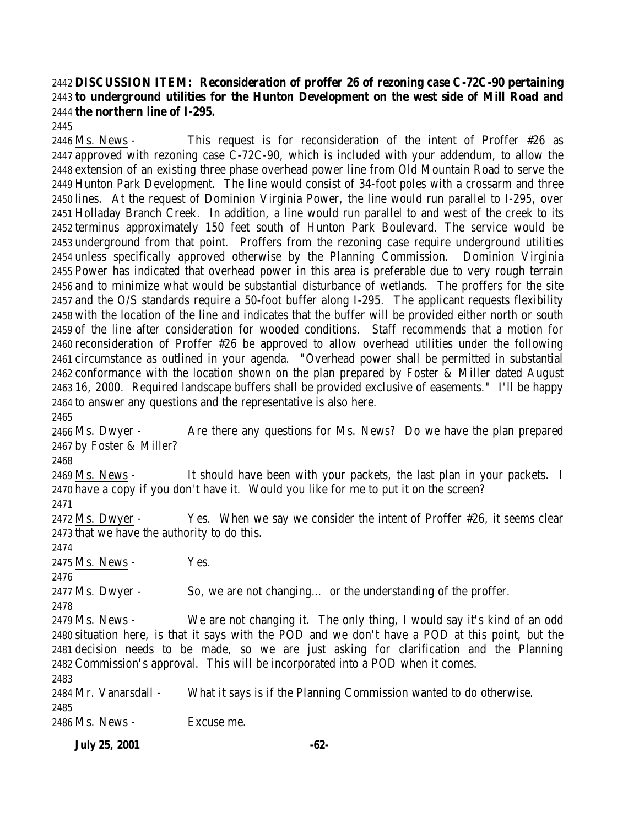# **DISCUSSION ITEM: Reconsideration of proffer 26 of rezoning case C-72C-90 pertaining to underground utilities for the Hunton Development on the west side of Mill Road and the northern line of I-295.**

 Ms. News - This request is for reconsideration of the intent of Proffer #26 as approved with rezoning case C-72C-90, which is included with your addendum, to allow the extension of an existing three phase overhead power line from Old Mountain Road to serve the Hunton Park Development. The line would consist of 34-foot poles with a crossarm and three lines. At the request of Dominion Virginia Power, the line would run parallel to I-295, over Holladay Branch Creek. In addition, a line would run parallel to and west of the creek to its terminus approximately 150 feet south of Hunton Park Boulevard. The service would be underground from that point. Proffers from the rezoning case require underground utilities unless specifically approved otherwise by the Planning Commission. Dominion Virginia Power has indicated that overhead power in this area is preferable due to very rough terrain and to minimize what would be substantial disturbance of wetlands. The proffers for the site and the O/S standards require a 50-foot buffer along I-295. The applicant requests flexibility with the location of the line and indicates that the buffer will be provided either north or south of the line after consideration for wooded conditions. Staff recommends that a motion for reconsideration of Proffer #26 be approved to allow overhead utilities under the following circumstance as outlined in your agenda. "Overhead power shall be permitted in substantial conformance with the location shown on the plan prepared by Foster & Miller dated August 16, 2000. Required landscape buffers shall be provided exclusive of easements." I'll be happy to answer any questions and the representative is also here.

 Ms. Dwyer - Are there any questions for Ms. News? Do we have the plan prepared by Foster & Miller?

2469 Ms. News - It should have been with your packets, the last plan in your packets. I have a copy if you don't have it. Would you like for me to put it on the screen?

2472 Ms. Dwyer - Yes. When we say we consider the intent of Proffer #26, it seems clear that we have the authority to do this.

Ms. News - Yes.

Ms. Dwyer - So, we are not changing… or the understanding of the proffer.

 Ms. News - We are not changing it. The only thing, I would say it's kind of an odd situation here, is that it says with the POD and we don't have a POD at this point, but the decision needs to be made, so we are just asking for clarification and the Planning Commission's approval. This will be incorporated into a POD when it comes.

| 2483                  |                                                                    |
|-----------------------|--------------------------------------------------------------------|
| 2484 Mr. Vanarsdall - | What it says is if the Planning Commission wanted to do otherwise. |
| 2485                  |                                                                    |
| 2486 Ms. News -       | Excuse me.                                                         |

**July 25, 2001 -62-**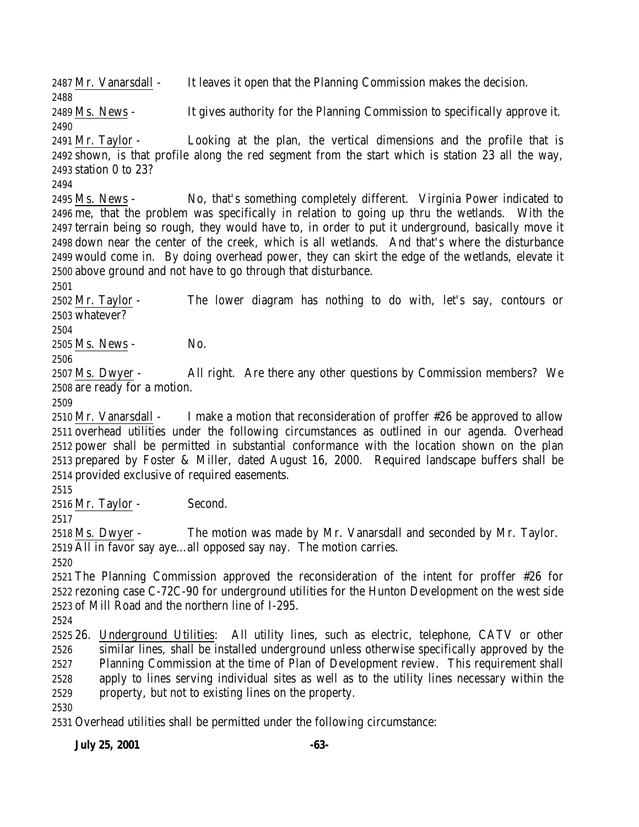Mr. Vanarsdall - It leaves it open that the Planning Commission makes the decision.

 Ms. News - It gives authority for the Planning Commission to specifically approve it. 

 Mr. Taylor - Looking at the plan, the vertical dimensions and the profile that is shown, is that profile along the red segment from the start which is station 23 all the way, station 0 to 23?

 Ms. News - No, that's something completely different. Virginia Power indicated to me, that the problem was specifically in relation to going up thru the wetlands. With the terrain being so rough, they would have to, in order to put it underground, basically move it down near the center of the creek, which is all wetlands. And that's where the disturbance would come in. By doing overhead power, they can skirt the edge of the wetlands, elevate it above ground and not have to go through that disturbance.

 Mr. Taylor - The lower diagram has nothing to do with, let's say, contours or whatever?

Ms. News - No.

 Ms. Dwyer - All right. Are there any other questions by Commission members? We are ready for a motion.

 Mr. Vanarsdall - I make a motion that reconsideration of proffer #26 be approved to allow overhead utilities under the following circumstances as outlined in our agenda. Overhead power shall be permitted in substantial conformance with the location shown on the plan prepared by Foster & Miller, dated August 16, 2000. Required landscape buffers shall be provided exclusive of required easements.

Mr. Taylor - Second.

 Ms. Dwyer - The motion was made by Mr. Vanarsdall and seconded by Mr. Taylor. All in favor say aye…all opposed say nay. The motion carries.

 The Planning Commission approved the reconsideration of the intent for proffer #26 for rezoning case C-72C-90 for underground utilities for the Hunton Development on the west side of Mill Road and the northern line of I-295.

 26. Underground Utilities: All utility lines, such as electric, telephone, CATV or other similar lines, shall be installed underground unless otherwise specifically approved by the Planning Commission at the time of Plan of Development review. This requirement shall apply to lines serving individual sites as well as to the utility lines necessary within the property, but not to existing lines on the property.

Overhead utilities shall be permitted under the following circumstance:

**July 25, 2001 -63-**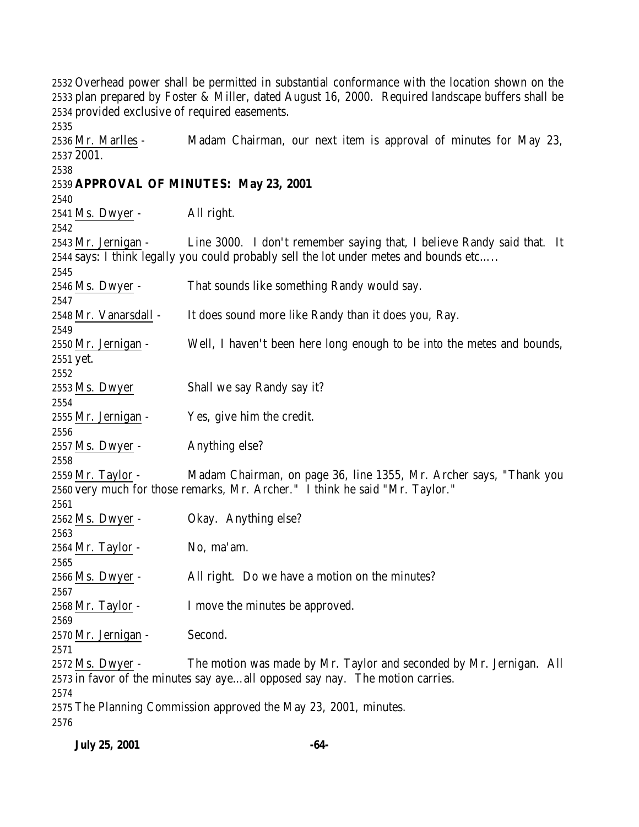Overhead power shall be permitted in substantial conformance with the location shown on the plan prepared by Foster & Miller, dated August 16, 2000. Required landscape buffers shall be provided exclusive of required easements. Mr. Marlles - Madam Chairman, our next item is approval of minutes for May 23, 2001. **APPROVAL OF MINUTES: May 23, 2001** Ms. Dwyer - All right. Mr. Jernigan - Line 3000. I don't remember saying that, I believe Randy said that. It says: I think legally you could probably sell the lot under metes and bounds etc….. 2546 Ms. Dwyer - That sounds like something Randy would say. Mr. Vanarsdall - It does sound more like Randy than it does you, Ray. Mr. Jernigan - Well, I haven't been here long enough to be into the metes and bounds, yet. Ms. Dwyer Shall we say Randy say it? Mr. Jernigan - Yes, give him the credit. Ms. Dwyer - Anything else? Mr. Taylor - Madam Chairman, on page 36, line 1355, Mr. Archer says, "Thank you very much for those remarks, Mr. Archer." I think he said "Mr. Taylor." Ms. Dwyer - Okay. Anything else? Mr. Taylor - No, ma'am. Ms. Dwyer - All right. Do we have a motion on the minutes? Mr. Taylor - I move the minutes be approved. Mr. Jernigan - Second. Ms. Dwyer - The motion was made by Mr. Taylor and seconded by Mr. Jernigan. All in favor of the minutes say aye…all opposed say nay. The motion carries. The Planning Commission approved the May 23, 2001, minutes.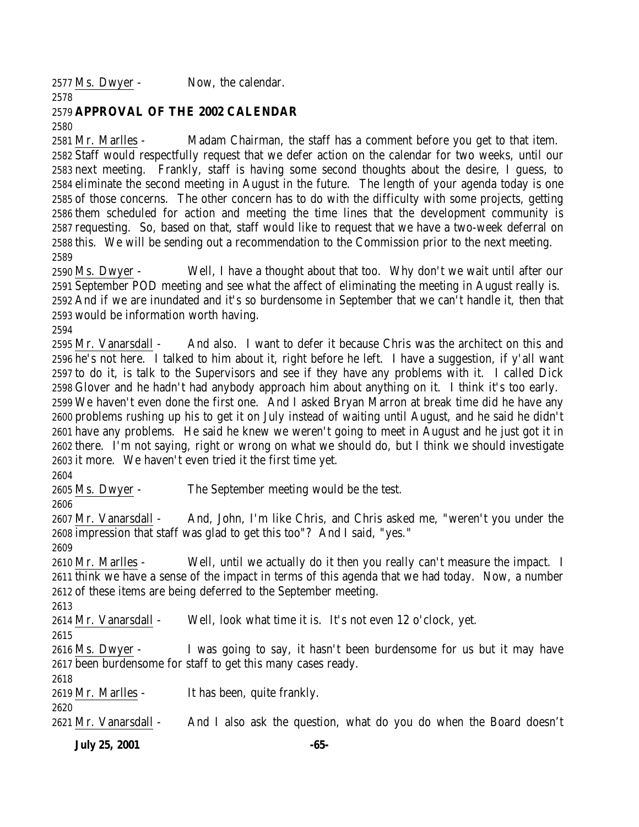Ms. Dwyer - Now, the calendar.

# **APPROVAL OF THE 2002 CALENDAR**

 Mr. Marlles - Madam Chairman, the staff has a comment before you get to that item. Staff would respectfully request that we defer action on the calendar for two weeks, until our next meeting. Frankly, staff is having some second thoughts about the desire, I guess, to eliminate the second meeting in August in the future. The length of your agenda today is one of those concerns. The other concern has to do with the difficulty with some projects, getting them scheduled for action and meeting the time lines that the development community is requesting. So, based on that, staff would like to request that we have a two-week deferral on this. We will be sending out a recommendation to the Commission prior to the next meeting. 

 Ms. Dwyer - Well, I have a thought about that too. Why don't we wait until after our September POD meeting and see what the affect of eliminating the meeting in August really is. And if we are inundated and it's so burdensome in September that we can't handle it, then that would be information worth having.

 Mr. Vanarsdall - And also. I want to defer it because Chris was the architect on this and he's not here. I talked to him about it, right before he left. I have a suggestion, if y'all want to do it, is talk to the Supervisors and see if they have any problems with it. I called Dick Glover and he hadn't had anybody approach him about anything on it. I think it's too early. We haven't even done the first one. And I asked Bryan Marron at break time did he have any problems rushing up his to get it on July instead of waiting until August, and he said he didn't have any problems. He said he knew we weren't going to meet in August and he just got it in there. I'm not saying, right or wrong on what we should do, but I think we should investigate it more. We haven't even tried it the first time yet.

Ms. Dwyer - The September meeting would be the test.

 Mr. Vanarsdall - And, John, I'm like Chris, and Chris asked me, "weren't you under the impression that staff was glad to get this too"? And I said, "yes."

 Mr. Marlles - Well, until we actually do it then you really can't measure the impact. I think we have a sense of the impact in terms of this agenda that we had today. Now, a number of these items are being deferred to the September meeting.

Mr. Vanarsdall - Well, look what time it is. It's not even 12 o'clock, yet.

 Ms. Dwyer - I was going to say, it hasn't been burdensome for us but it may have been burdensome for staff to get this many cases ready.

Mr. Marlles - It has been, quite frankly.

Mr. Vanarsdall - And I also ask the question, what do you do when the Board doesn't

**July 25, 2001 -65-**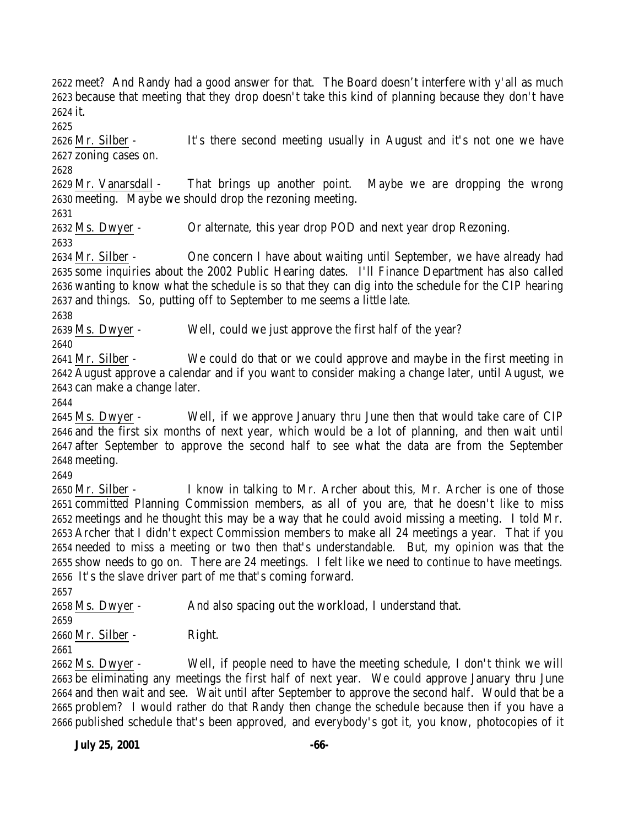meet? And Randy had a good answer for that. The Board doesn't interfere with y'all as much because that meeting that they drop doesn't take this kind of planning because they don't have it.

 Mr. Silber - It's there second meeting usually in August and it's not one we have zoning cases on.

 Mr. Vanarsdall - That brings up another point. Maybe we are dropping the wrong meeting. Maybe we should drop the rezoning meeting.

Ms. Dwyer - Or alternate, this year drop POD and next year drop Rezoning.

 Mr. Silber - One concern I have about waiting until September, we have already had some inquiries about the 2002 Public Hearing dates. I'll Finance Department has also called wanting to know what the schedule is so that they can dig into the schedule for the CIP hearing and things. So, putting off to September to me seems a little late.

Ms. Dwyer - Well, could we just approve the first half of the year?

 Mr. Silber - We could do that or we could approve and maybe in the first meeting in August approve a calendar and if you want to consider making a change later, until August, we can make a change later.

 Ms. Dwyer - Well, if we approve January thru June then that would take care of CIP and the first six months of next year, which would be a lot of planning, and then wait until after September to approve the second half to see what the data are from the September meeting.

 Mr. Silber - I know in talking to Mr. Archer about this, Mr. Archer is one of those committed Planning Commission members, as all of you are, that he doesn't like to miss meetings and he thought this may be a way that he could avoid missing a meeting. I told Mr. Archer that I didn't expect Commission members to make all 24 meetings a year. That if you needed to miss a meeting or two then that's understandable. But, my opinion was that the show needs to go on. There are 24 meetings. I felt like we need to continue to have meetings. It's the slave driver part of me that's coming forward.

Ms. Dwyer - And also spacing out the workload, I understand that.

Mr. Silber - Right.

 Ms. Dwyer - Well, if people need to have the meeting schedule, I don't think we will be eliminating any meetings the first half of next year. We could approve January thru June and then wait and see. Wait until after September to approve the second half. Would that be a problem? I would rather do that Randy then change the schedule because then if you have a published schedule that's been approved, and everybody's got it, you know, photocopies of it

**July 25, 2001 -66-**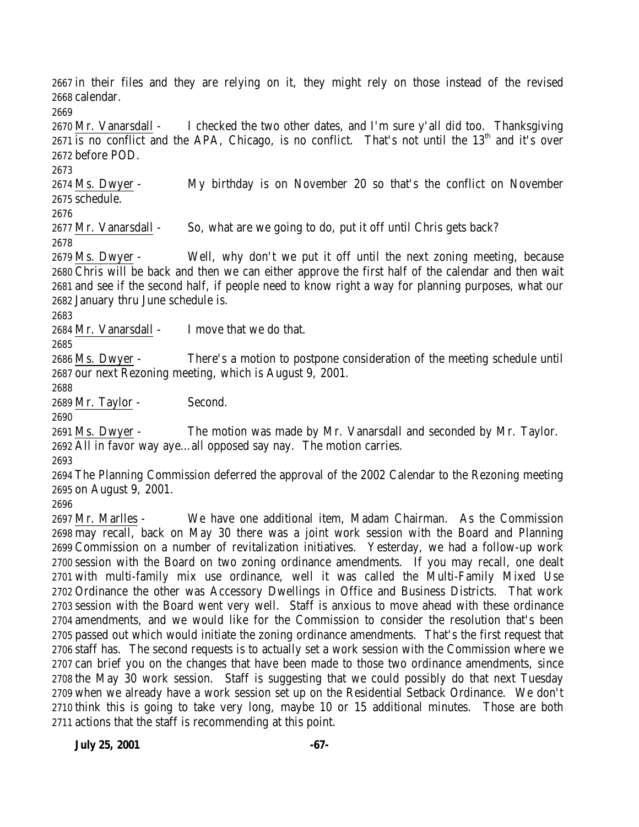in their files and they are relying on it, they might rely on those instead of the revised calendar.

 Mr. Vanarsdall - I checked the two other dates, and I'm sure y'all did too. Thanksgiving is no conflict and the APA, Chicago, is no conflict. That's not until the 13<sup>th</sup> and it's over before POD.

 Ms. Dwyer - My birthday is on November 20 so that's the conflict on November schedule.

2677 Mr. Vanarsdall - So, what are we going to do, put it off until Chris gets back?

 Ms. Dwyer - Well, why don't we put it off until the next zoning meeting, because Chris will be back and then we can either approve the first half of the calendar and then wait and see if the second half, if people need to know right a way for planning purposes, what our January thru June schedule is.

Mr. Vanarsdall - I move that we do that.

 Ms. Dwyer - There's a motion to postpone consideration of the meeting schedule until our next Rezoning meeting, which is August 9, 2001.

Mr. Taylor - Second.

 Ms. Dwyer - The motion was made by Mr. Vanarsdall and seconded by Mr. Taylor. All in favor way aye…all opposed say nay. The motion carries.

 The Planning Commission deferred the approval of the 2002 Calendar to the Rezoning meeting on August 9, 2001.

 Mr. Marlles - We have one additional item, Madam Chairman. As the Commission may recall, back on May 30 there was a joint work session with the Board and Planning Commission on a number of revitalization initiatives. Yesterday, we had a follow-up work session with the Board on two zoning ordinance amendments. If you may recall, one dealt with multi-family mix use ordinance, well it was called the Multi-Family Mixed Use Ordinance the other was Accessory Dwellings in Office and Business Districts. That work session with the Board went very well. Staff is anxious to move ahead with these ordinance amendments, and we would like for the Commission to consider the resolution that's been passed out which would initiate the zoning ordinance amendments. That's the first request that staff has. The second requests is to actually set a work session with the Commission where we can brief you on the changes that have been made to those two ordinance amendments, since the May 30 work session. Staff is suggesting that we could possibly do that next Tuesday when we already have a work session set up on the Residential Setback Ordinance. We don't think this is going to take very long, maybe 10 or 15 additional minutes. Those are both actions that the staff is recommending at this point.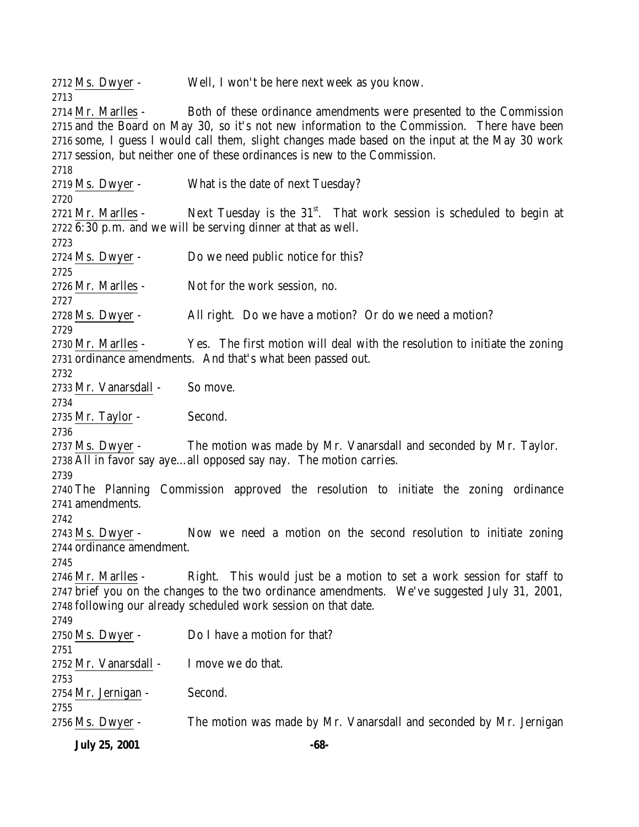**July 25, 2001 -68-** Ms. Dwyer - Well, I won't be here next week as you know. 2714 Mr. Marlles - Both of these ordinance amendments were presented to the Commission and the Board on May 30, so it's not new information to the Commission. There have been some, I guess I would call them, slight changes made based on the input at the May 30 work session, but neither one of these ordinances is new to the Commission. Ms. Dwyer - What is the date of next Tuesday? 2721 Mr. Marlles - Next Tuesday is the  $31<sup>st</sup>$ . That work session is scheduled to begin at 6:30 p.m. and we will be serving dinner at that as well. Ms. Dwyer - Do we need public notice for this? Mr. Marlles - Not for the work session, no. Ms. Dwyer - All right. Do we have a motion? Or do we need a motion? 2730 Mr. Marlles - Yes. The first motion will deal with the resolution to initiate the zoning ordinance amendments. And that's what been passed out. Mr. Vanarsdall - So move. 2735 Mr. Taylor - Second. Ms. Dwyer - The motion was made by Mr. Vanarsdall and seconded by Mr. Taylor. All in favor say aye…all opposed say nay. The motion carries. The Planning Commission approved the resolution to initiate the zoning ordinance amendments. Ms. Dwyer - Now we need a motion on the second resolution to initiate zoning ordinance amendment. 2746 Mr. Marlles - Right. This would just be a motion to set a work session for staff to brief you on the changes to the two ordinance amendments. We've suggested July 31, 2001, following our already scheduled work session on that date. Ms. Dwyer - Do I have a motion for that? Mr. Vanarsdall - I move we do that. Mr. Jernigan - Second. Ms. Dwyer - The motion was made by Mr. Vanarsdall and seconded by Mr. Jernigan